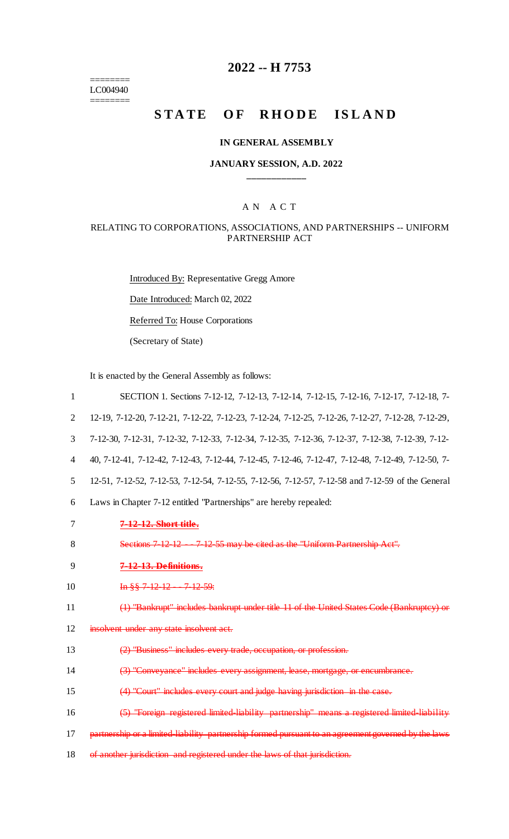======== LC004940

========

# **2022 -- H 7753**

# **STATE OF RHODE ISLAND**

### **IN GENERAL ASSEMBLY**

### **JANUARY SESSION, A.D. 2022 \_\_\_\_\_\_\_\_\_\_\_\_**

## A N A C T

### RELATING TO CORPORATIONS, ASSOCIATIONS, AND PARTNERSHIPS -- UNIFORM PARTNERSHIP ACT

Introduced By: Representative Gregg Amore Date Introduced: March 02, 2022 Referred To: House Corporations (Secretary of State)

It is enacted by the General Assembly as follows:

| $\mathbf{1}$ | SECTION 1. Sections 7-12-12, 7-12-13, 7-12-14, 7-12-15, 7-12-16, 7-12-17, 7-12-18, 7-               |
|--------------|-----------------------------------------------------------------------------------------------------|
| 2            | 12-19, 7-12-20, 7-12-21, 7-12-22, 7-12-23, 7-12-24, 7-12-25, 7-12-26, 7-12-27, 7-12-28, 7-12-29,    |
| 3            | 7-12-30, 7-12-31, 7-12-32, 7-12-33, 7-12-34, 7-12-35, 7-12-36, 7-12-37, 7-12-38, 7-12-39, 7-12-     |
| 4            | 40, 7-12-41, 7-12-42, 7-12-43, 7-12-44, 7-12-45, 7-12-46, 7-12-47, 7-12-48, 7-12-49, 7-12-50, 7-    |
| 5            | 12-51, 7-12-52, 7-12-53, 7-12-54, 7-12-55, 7-12-56, 7-12-57, 7-12-58 and 7-12-59 of the General     |
| 6            | Laws in Chapter 7-12 entitled "Partnerships" are hereby repealed:                                   |
| 7            | 7-12-12. Short title.                                                                               |
| 8            | Sections 7-12-12 - 7-12-55 may be cited as the "Uniform Partnership Act".                           |
| 9            | 7-12-13. Definitions.                                                                               |
| 10           | $\text{In } \frac{88}{8}$ 7 12 12 - 7 12 59:                                                        |
| 11           | (1) "Bankrupt" includes bankrupt under title 11 of the United States Code (Bankruptey) or           |
| 12           | insolvent under any state insolvent act.                                                            |
| 13           | (2) "Business" includes every trade, occupation, or profession.                                     |
| 14           | (3) "Conveyance" includes every assignment, lease, mortgage, or encumbrance.                        |
| 15           | (4) "Court" includes every court and judge having jurisdiction in the case.                         |
| 16           | (5) "Foreign registered limited liability partnership" means a registered limited liability         |
| 17           | partnership or a limited-liability partnership formed pursuant to an agreement governed by the laws |
|              |                                                                                                     |

18 of another jurisdiction and registered under the laws of that jurisdiction.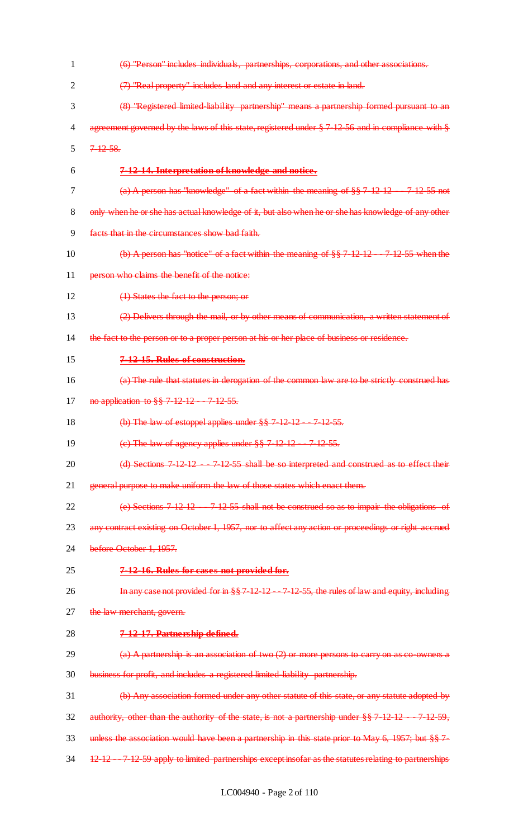| $\mathbf{1}$   | (6) "Person" includes individuals, partnerships, corporations, and other associations.                                       |
|----------------|------------------------------------------------------------------------------------------------------------------------------|
| $\overline{2}$ | (7) "Real property" includes land and any interest or estate in land.                                                        |
| 3              | (8) "Registered limited liability partnership" means a partnership formed pursuant to an                                     |
| 4              | agreement governed by the laws of this state, registered under § 7-12-56 and in compliance with §                            |
| 5              | $7 - 12 - 58$                                                                                                                |
| 6              | 7-12-14. Interpretation of knowledge and notice.                                                                             |
| 7              | (a) A person has "knowledge" of a fact within the meaning of $\S 7$ 12 12 $-$ 7 12 55 not                                    |
| 8              | only when he or she has actual knowledge of it, but also when he or she has knowledge of any other                           |
| 9              | facts that in the circumstances show bad faith.                                                                              |
| 10             | (b) A person has "notice" of a fact within the meaning of $\S$ $\S$ 7 12 12 - 7 12 55 when the                               |
| 11             | person who claims the benefit of the notice:                                                                                 |
| 12             | (1) States the fact to the person; or                                                                                        |
| 13             | (2) Delivers through the mail, or by other means of communication, a written statement of                                    |
| 14             | the fact to the person or to a proper person at his or her place of business or residence.                                   |
| 15             | 7-12-15. Rules of construction.                                                                                              |
| 16             | (a) The rule that statutes in derogation of the common law are to be strictly construed has                                  |
| 17             | no application to §§ 7-12-12 -- 7-12-55.                                                                                     |
| 18             | (b) The law of estoppel applies under $\S$ § $7$ 12 12 $-7$ 12 55.                                                           |
| 19             | (e) The law of agency applies under $\S$ § 7-12-12 -- 7-12-55.                                                               |
| 20             | (d) Sections $7\overline{12}$ $12\overline{12}$ $7\overline{12}$ 55 shall be so interpreted and construed as to effect their |
| 21             | general purpose to make uniform the law of those states which enact them.                                                    |
| 22             | (e) Sections $7-12-12$ $-7-12-55$ shall not be construed so as to impair the obligations of                                  |
| 23             | any contract existing on October 1, 1957, nor to affect any action or proceedings or right accrued                           |
| 24             | before October 1, 1957.                                                                                                      |
| 25             | 7-12-16. Rules for cases not provided for.                                                                                   |
| 26             | In any case not provided for in §§ 7-12-12 - 7-12-55, the rules of law and equity, including                                 |
| 27             | the law merchant, govern.                                                                                                    |
| 28             | 7-12-17. Partnership defined.                                                                                                |
| 29             | (a) A partnership is an association of two $(2)$ or more persons to carry on as co-owners a                                  |
| 30             | business for profit, and includes a registered limited liability partnership.                                                |
| 31             | (b) Any association formed under any other statute of this state, or any statute adopted by                                  |
| 32             | authority, other than the authority of the state, is not a partnership under $\S$ § 7-12-12 -- 7-12-59,                      |
| 33             | unless the association would have been a partnership in this state prior to May 6, 1957; but §§7-                            |
|                |                                                                                                                              |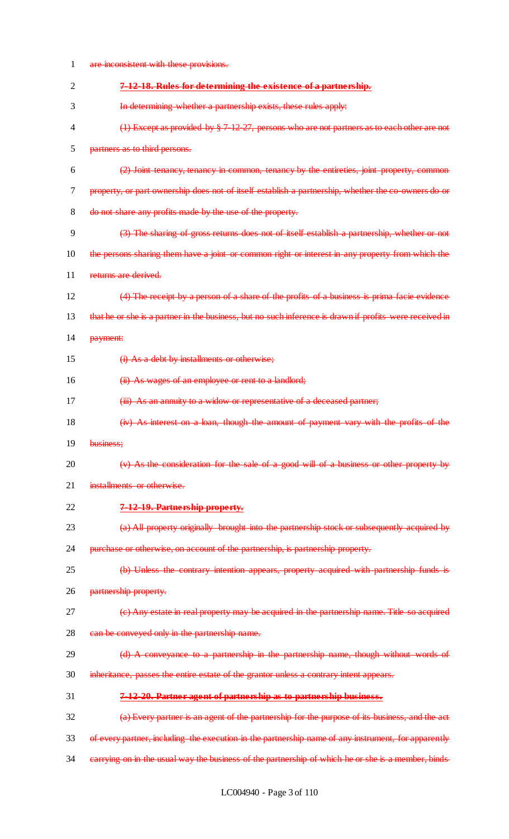| $\mathbf{1}$   | are inconsistent with these provisions.                                                                 |
|----------------|---------------------------------------------------------------------------------------------------------|
| $\overline{2}$ | 7-12-18. Rules for determining the existence of a partnership.                                          |
| 3              | In determining whether a partnership exists, these rules apply:                                         |
| 4              | (1) Except as provided by § 7-12-27, persons who are not partners as to each other are not              |
| 5              | partners as to third persons.                                                                           |
| 6              | (2) Joint tenancy, tenancy in common, tenancy by the entireties, joint property, common                 |
| 7              | property, or part ownership does not of itself establish a partnership, whether the co-owners do or     |
| 8              | do not share any profits made by the use of the property.                                               |
| 9              | (3) The sharing of gross returns does not of itself establish a partnership, whether or not             |
| 10             | the persons sharing them have a joint or common right or interest in any property from which the        |
| 11             | returns are derived.                                                                                    |
| 12             | (4) The receipt by a person of a share of the profits of a business is prima facie evidence             |
| 13             | that he or she is a partner in the business, but no such inference is drawn if profits were received in |
| 14             | payment:                                                                                                |
| 15             | (i) As a debt by installments or otherwise;                                                             |
| 16             | (ii) As wages of an employee or rent to a landlord;                                                     |
| 17             | (iii) As an annuity to a widow or representative of a deceased partner;                                 |
| 18             | (iv) As interest on a loan, though the amount of payment vary with the profits of the                   |
| 19             | business;                                                                                               |
| 20             | (v) As the consideration for the sale of a good will of a business or other property by                 |
| 21             | installments or otherwise.                                                                              |
| 22             | 7-12-19. Partnership property.                                                                          |
| 23             | (a) All property originally brought into the partnership stock or subsequently acquired by              |
| 24             | purchase or otherwise, on account of the partnership, is partnership property.                          |
| 25             | (b) Unless the contrary intention appears, property acquired with partnership funds is                  |
| 26             | partnership property.                                                                                   |
| 27             | (c) Any estate in real property may be acquired in the partnership name. Title so acquired              |
| 28             | can be conveyed only in the partnership name.                                                           |
| 29             | (d) A conveyance to a partnership in the partnership name, though without words of                      |
| 30             | inheritance, passes the entire estate of the grantor unless a contrary intent appears.                  |
| 31             | 7-12-20. Partner agent of partnership as to partnership business.                                       |
| 32             | (a) Every partner is an agent of the partnership for the purpose of its business, and the act           |
| 33             | of every partner, including the execution in the partnership name of any instrument, for apparently     |
| 34             | earrying on in the usual way the business of the partnership of which he or she is a member, binds      |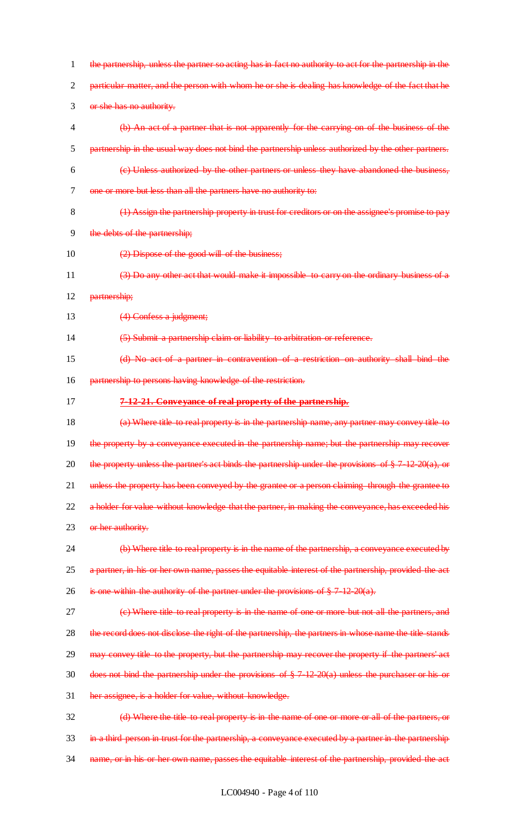1 the partnership, unless the partner so acting has in fact no authority to act for the partnership in the 2 particular matter, and the person with whom he or she is dealing has knowledge of the fact that he 3 or she has no authority. 4 (b) An act of a partner that is not apparently for the carrying on of the business of the 5 partnership in the usual way does not bind the partnership unless authorized by the other partners. 6 (c) Unless authorized by the other partners or unless they have abandoned the business, 7 one or more but less than all the partners have no authority to: 8 (1) Assign the partnership property in trust for creditors or on the assignee's promise to pay 9 the debts of the partnership; 10 (2) Dispose of the good will of the business; 11 (3) Do any other act that would make it impossible to carry on the ordinary business of a 12 partnership; 13 (4) Confess a judgment; 14 (5) Submit a partnership claim or liability to arbitration or reference. 15 (d) No act of a partner in contravention of a restriction on authority shall bind the 16 partnership to persons having knowledge of the restriction. 17 **7-12-21. Conveyance of real property of the partnership.** 18 (a) Where title to real property is in the partnership name, any partner may convey title to 19 the property by a conveyance executed in the partnership name; but the partnership may recover 20 the property unless the partner's act binds the partnership under the provisions of § 7-12-20(a), or 21 unless the property has been conveyed by the grantee or a person claiming through the grantee to 22 a holder for value without knowledge that the partner, in making the conveyance, has exceeded his 23 or her authority. 24 (b) Where title to real property is in the name of the partnership, a conveyance executed by 25 a partner, in his or her own name, passes the equitable interest of the partnership, provided the act 26 is one within the authority of the partner under the provisions of  $\frac{8}{9}$  7-12-20(a). 27 (c) Where title to real property is in the name of one or more but not all the partners, and 28 the record does not disclose the right of the partnership, the partners in whose name the title stands 29 may convey title to the property, but the partnership may recover the property if the partners' act 30 does not bind the partnership under the provisions of § 7-12-20(a) unless the purchaser or his or 31 her assignee, is a holder for value, without knowledge. 32 (d) Where the title to real property is in the name of one or more or all of the partners, or 33 in a third person in trust for the partnership, a conveyance executed by a partner in the partnership 34 name, or in his or her own name, passes the equitable interest of the partnership, provided the act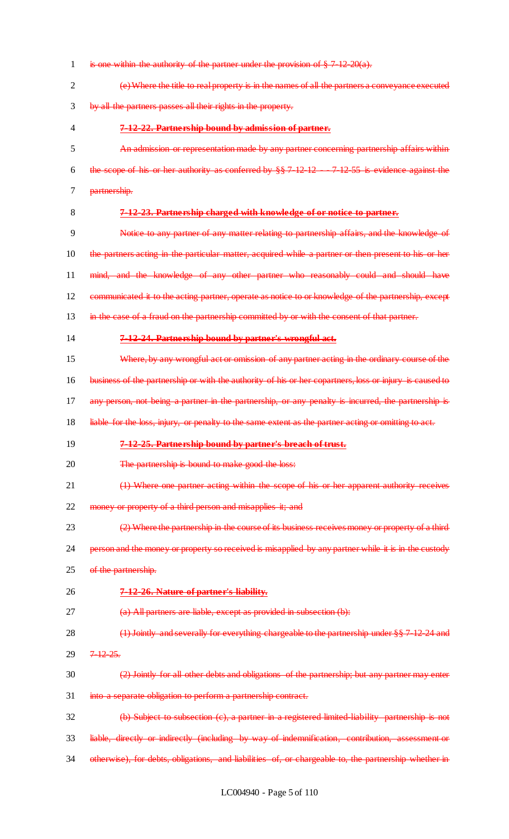1 is one within the authority of the partner under the provision of  $\S 7.12-20(a)$ . 2 (e) Where the title to real property is in the names of all the partners a conveyance executed 3 by all the partners passes all their rights in the property. 4 **7-12-22. Partnership bound by admission of partner.** 5 An admission or representation made by any partner concerning partnership affairs within 6 the scope of his or her authority as conferred by  $\S$ § 7-12-12  $-$  7-12-55 is evidence against the 7 partnership. 8 **7-12-23. Partnership charged with knowledge of or notice to partner.** 9 Notice to any partner of any matter relating to partnership affairs, and the knowledge of 10 the partners acting in the particular matter, acquired while a partner or then present to his or her 11 mind, and the knowledge of any other partner who reasonably could and should have 12 communicated it to the acting partner, operate as notice to or knowledge of the partnership, except 13 in the case of a fraud on the partnership committed by or with the consent of that partner. 14 **7-12-24. Partnership bound by partner's wrongful act.** 15 Where, by any wrongful act or omission of any partner acting in the ordinary course of the 16 business of the partnership or with the authority of his or her copartners, loss or injury is caused to 17 any person, not being a partner in the partnership, or any penalty is incurred, the partnership is 18 liable for the loss, injury, or penalty to the same extent as the partner acting or omitting to act. 19 **7-12-25. Partnership bound by partner's breach of trust.** 20 The partnership is bound to make good the loss: 21 (1) Where one partner acting within the scope of his or her apparent authority receives 22 money or property of a third person and misapplies it; and 23 (2) Where the partnership in the course of its business receives money or property of a third 24 person and the money or property so received is misapplied by any partner while it is in the custody 25 of the partnership. 26 **7-12-26. Nature of partner's liability.** 27 (a) All partners are liable, except as provided in subsection (b): 28 (1) Jointly and severally for everything chargeable to the partnership under §§ 7-12-24 and 29 7-12-25. 30 (2) Jointly for all other debts and obligations of the partnership; but any partner may enter 31 into a separate obligation to perform a partnership contract. 32 (b) Subject to subsection (c), a partner in a registered limited-liability partnership is not 33 liable, directly or indirectly (including by way of indemnification, contribution, assessment or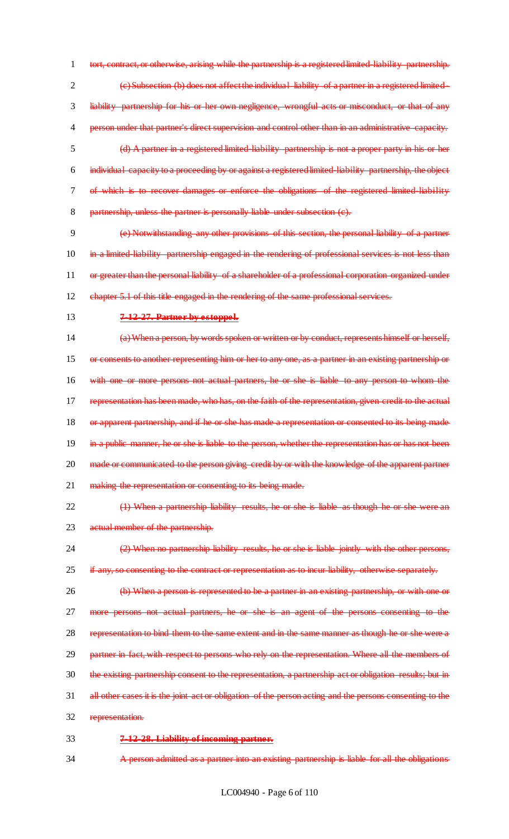1 tort, contract, or otherwise, arising while the partnership is a registered limited-liability partnership. 2 (c) Subsection (b) does not affect the individual liability of a partner in a registered limited-3 liability partnership for his or her own negligence, wrongful acts or misconduct, or that of any 4 person under that partner's direct supervision and control other than in an administrative capacity. 5 (d) A partner in a registered limited-liability partnership is not a proper party in his or her 6 individual capacity to a proceeding by or against a registered limited-liability partnership, the object 7 of which is to recover damages or enforce the obligations of the registered limited-liability 8 partnership, unless the partner is personally liable under subsection (e).

 (e) Notwithstanding any other provisions of this section, the personal liability of a partner 10 in a limited-liability partnership engaged in the rendering of professional services is not less than or greater than the personal liability of a shareholder of a professional corporation organized under chapter 5.1 of this title engaged in the rendering of the same professional services.

### 13 **7-12-27. Partner by estoppel.**

14 (a) When a person, by words spoken or written or by conduct, represents himself or herself, 15 or consents to another representing him or her to any one, as a partner in an existing partnership or 16 with one or more persons not actual partners, he or she is liable to any person to whom the 17 representation has been made, who has, on the faith of the representation, given credit to the actual 18 or apparent partnership, and if he or she has made a representation or consented to its being made 19 in a public manner, he or she is liable to the person, whether the representation has or has not been 20 made or communicated to the person giving credit by or with the knowledge of the apparent partner 21 making the representation or consenting to its being made.

22 (1) When a partnership liability results, he or she is liable as though he or she were an 23 actual member of the partnership.

24 (2) When no partnership liability results, he or she is liable jointly with the other persons, 25 if any, so consenting to the contract or representation as to incur liability, otherwise separately.

26 (b) When a person is represented to be a partner in an existing partnership, or with one or 27 more persons not actual partners, he or she is an agent of the persons consenting to the 28 representation to bind them to the same extent and in the same manner as though he or she were a 29 partner in fact, with respect to persons who rely on the representation. Where all the members of 30 the existing partnership consent to the representation, a partnership act or obligation results; but in 31 all other cases it is the joint act or obligation of the person acting and the persons consenting to the 32 representation.

- 33 **7-12-28. Liability of incoming partner.**
- 34 A person admitted as a partner into an existing partnership is liable for all the obligations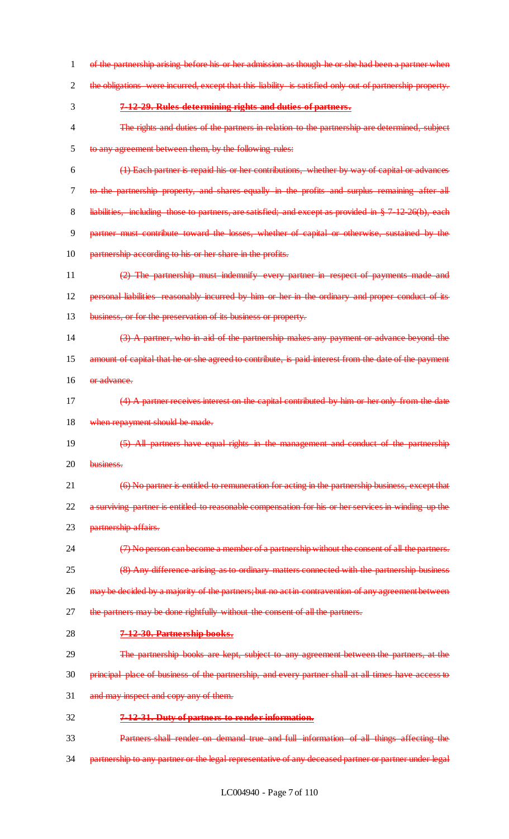of the partnership arising before his or her admission as though he or she had been a partner when 2 the obligations were incurred, except that this liability is satisfied only out of partnership property. **7-12-29. Rules determining rights and duties of partners.** The rights and duties of the partners in relation to the partnership are determined, subject to any agreement between them, by the following rules: (1) Each partner is repaid his or her contributions, whether by way of capital or advances 7 to the partnership property, and shares equally in the profits and surplus remaining after all 8 liabilities, including those to partners, are satisfied; and except as provided in § 7-12-26(b), each partner must contribute toward the losses, whether of capital or otherwise, sustained by the 10 partnership according to his or her share in the profits. (2) The partnership must indemnify every partner in respect of payments made and 12 personal liabilities reasonably incurred by him or her in the ordinary and proper conduct of its business, or for the preservation of its business or property. (3) A partner, who in aid of the partnership makes any payment or advance beyond the amount of capital that he or she agreed to contribute, is paid interest from the date of the payment 16 or advance. (4) A partner receives interest on the capital contributed by him or her only from the date 18 when repayment should be made. (5) All partners have equal rights in the management and conduct of the partnership 20 business. (6) No partner is entitled to remuneration for acting in the partnership business, except that a surviving partner is entitled to reasonable compensation for his or her services in winding up the 23 partnership affairs. (7) No person can become a member of a partnership without the consent of all the partners. (8) Any difference arising as to ordinary matters connected with the partnership business may be decided by a majority of the partners; but no act in contravention of any agreement between 27 the partners may be done rightfully without the consent of all the partners. **7-12-30. Partnership books.** 29 The partnership books are kept, subject to any agreement between the partners, at the principal place of business of the partnership, and every partner shall at all times have access to 31 and may inspect and copy any of them. **7-12-31. Duty of partners to render information.** Partners shall render on demand true and full information of all things affecting the 34 partnership to any partner or the legal representative of any deceased partner or partner under legal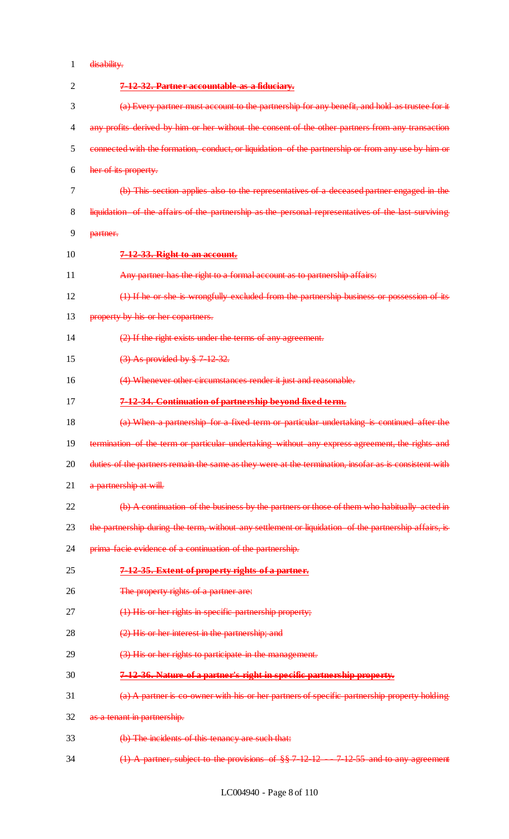disability.

| $\overline{2}$ | 7-12-32. Partner accountable as a fiduciary.                                                          |
|----------------|-------------------------------------------------------------------------------------------------------|
| 3              | (a) Every partner must account to the partnership for any benefit, and hold as trustee for it         |
| 4              | any profits derived by him or her without the consent of the other partners from any transaction      |
| 5              | connected with the formation, conduct, or liquidation of the partnership or from any use by him or    |
| 6              | her of its property.                                                                                  |
| 7              | (b) This section applies also to the representatives of a deceased partner engaged in the             |
| 8              | liquidation of the affairs of the partnership as the personal representatives of the last surviving   |
| 9              | partner.                                                                                              |
| 10             | 7-12-33. Right to an account.                                                                         |
| 11             | Any partner has the right to a formal account as to partnership affairs:                              |
| 12             | (1) If he or she is wrongfully excluded from the partnership business or possession of its            |
| 13             | property by his or her copartners.                                                                    |
| 14             | (2) If the right exists under the terms of any agreement.                                             |
| 15             | $(3)$ As provided by $§$ 7-12-32.                                                                     |
| 16             | (4) Whenever other circumstances render it just and reasonable.                                       |
| 17             | 7-12-34. Continuation of partnership beyond fixed term.                                               |
| 18             | (a) When a partnership for a fixed term or particular undertaking is continued after the              |
| 19             | termination of the term or particular undertaking without any express agreement, the rights and       |
| 20             | duties of the partners remain the same as they were at the termination, insofar as is consistent with |
| 21             | a partnership at will.                                                                                |
| 22             | (b) A continuation of the business by the partners or those of them who habitually acted in           |
| 23             | the partnership during the term, without any settlement or liquidation of the partnership affairs, is |
| 24             | prima facie evidence of a continuation of the partnership.                                            |
| 25             | 7-12-35. Extent of property rights of a partner.                                                      |
| 26             | The property rights of a partner are:                                                                 |
| 27             | (1) His or her rights in specific partnership property;                                               |
| 28             | (2) His or her interest in the partnership; and                                                       |
| 29             | (3) His or her rights to participate in the management.                                               |
| 30             | 7-12-36. Nature of a partner's right in specific partnership property.                                |
| 31             | (a) A partner is co-owner with his or her partners of specific partnership property holding           |
| 32             | as a tenant in partnership.                                                                           |
| 33             | (b) The incidents of this tenancy are such that:                                                      |
| 34             | $(1)$ A partner, subject to the provisions of $\S$ § 7-12-12 - 7-12-55 and to any agreement           |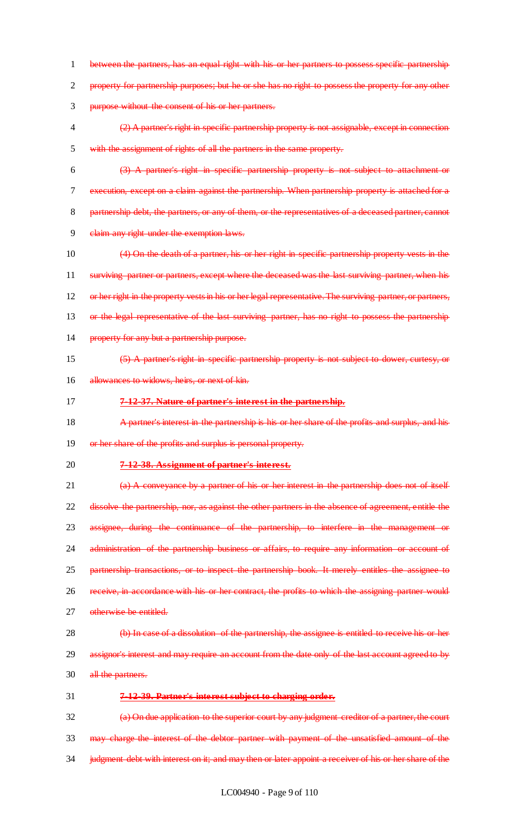1 between the partners, has an equal right with his or her partners to possess specific partnership 2 property for partnership purposes; but he or she has no right to possess the property for any other 3 purpose without the consent of his or her partners. 4 (2) A partner's right in specific partnership property is not assignable, except in connection 5 with the assignment of rights of all the partners in the same property. 6 (3) A partner's right in specific partnership property is not subject to attachment or 7 execution, except on a claim against the partnership. When partnership property is attached for a 8 partnership debt, the partners, or any of them, or the representatives of a deceased partner, cannot 9 claim any right under the exemption laws. 10 (4) On the death of a partner, his or her right in specific partnership property vests in the 11 surviving partner or partners, except where the deceased was the last surviving partner, when his 12 or her right in the property vests in his or her legal representative. The surviving partner, or partners, 13 or the legal representative of the last surviving partner, has no right to possess the partnership 14 property for any but a partnership purpose. 15 (5) A partner's right in specific partnership property is not subject to dower, curtesy, or 16 allowances to widows, heirs, or next of kin. 17 **7-12-37. Nature of partner's interest in the partnership.** 18 A partner's interest in the partnership is his or her share of the profits and surplus, and his 19 or her share of the profits and surplus is personal property. 20 **7-12-38. Assignment of partner's interest.** 21 (a) A conveyance by a partner of his or her interest in the partnership does not of itself 22 dissolve the partnership, nor, as against the other partners in the absence of agreement, entitle the 23 assignee, during the continuance of the partnership, to interfere in the management or 24 administration of the partnership business or affairs, to require any information or account of 25 partnership transactions, or to inspect the partnership book. It merely entitles the assignee to 26 receive, in accordance with his or her contract, the profits to which the assigning partner would 27 otherwise be entitled. 28 (b) In case of a dissolution of the partnership, the assignee is entitled to receive his or her 29 assignor's interest and may require an account from the date only of the last account agreed to by

- 30 all the partners.
- 31 **7-12-39. Partner's interest subject to charging order.**

32 (a) On due application to the superior court by any judgment creditor of a partner, the court 33 may charge the interest of the debtor partner with payment of the unsatisfied amount of the 34 judgment debt with interest on it; and may then or later appoint a receiver of his or her share of the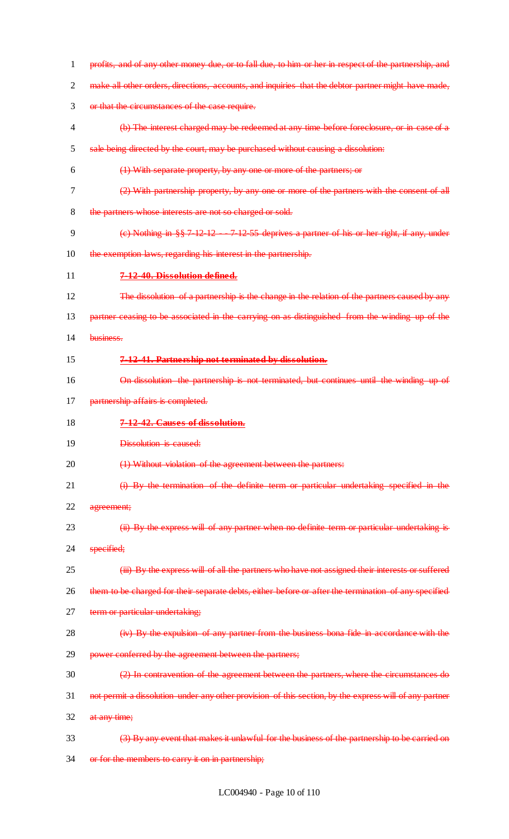| 1  | profits, and of any other money due, or to fall due, to him or her in respect of the partnership, and                           |
|----|---------------------------------------------------------------------------------------------------------------------------------|
| 2  | make all other orders, directions, accounts, and inquiries that the debtor partner might have made,                             |
| 3  | or that the circumstances of the case require.                                                                                  |
| 4  | (b) The interest charged may be redeemed at any time before foreclosure, or in case of a                                        |
| 5  | sale being directed by the court, may be purchased without causing a dissolution:                                               |
| 6  | (1) With separate property, by any one or more of the partners; or                                                              |
| 7  | (2) With partnership property, by any one or more of the partners with the consent of all                                       |
| 8  | the partners whose interests are not so charged or sold.                                                                        |
| 9  | (e) Nothing in §§ 7-12-12 -- 7-12-55 deprives a partner of his or her right, if any, under                                      |
| 10 | the exemption laws, regarding his interest in the partnership.                                                                  |
| 11 | 7-12-40. Dissolution defined.                                                                                                   |
| 12 | The dissolution of a partnership is the change in the relation of the partners caused by any                                    |
| 13 | partner ceasing to be associated in the carrying on as distinguished from the winding up of the                                 |
| 14 | business.                                                                                                                       |
| 15 | 7-12-41. Partnership not terminated by dissolution.                                                                             |
| 16 | On dissolution the partnership is not terminated, but continues until the winding<br>− <del>o</del> f<br>$\overline{\text{up}}$ |
| 17 | partnership affairs is completed.                                                                                               |
| 18 | 7-12-42. Causes of dissolution.                                                                                                 |
| 19 | Dissolution is caused:                                                                                                          |
|    |                                                                                                                                 |
| 20 | (1) Without violation of the agreement between the partners:                                                                    |
| 21 | (i) By the termination of the definite term or particular undertaking specified in the                                          |
| 22 | agreement;                                                                                                                      |
| 23 | (ii) By the express will of any partner when no definite term or particular undertaking is                                      |
| 24 | specified;                                                                                                                      |
| 25 | (iii) By the express will of all the partners who have not assigned their interests or suffered                                 |
| 26 | them to be charged for their separate debts, either before or after the termination of any specified                            |
| 27 | term or particular undertaking;                                                                                                 |
| 28 | (iv) By the expulsion of any partner from the business bona fide in accordance with the                                         |
| 29 | power conferred by the agreement between the partners;                                                                          |
| 30 | (2) In contravention of the agreement between the partners, where the circumstances do                                          |
| 31 | not permit a dissolution under any other provision of this section, by the express will of any partner                          |
| 32 | at any time;                                                                                                                    |
| 33 | (3) By any event that makes it unlawful for the business of the partnership to be carried on                                    |

# LC004940 - Page 10 of 110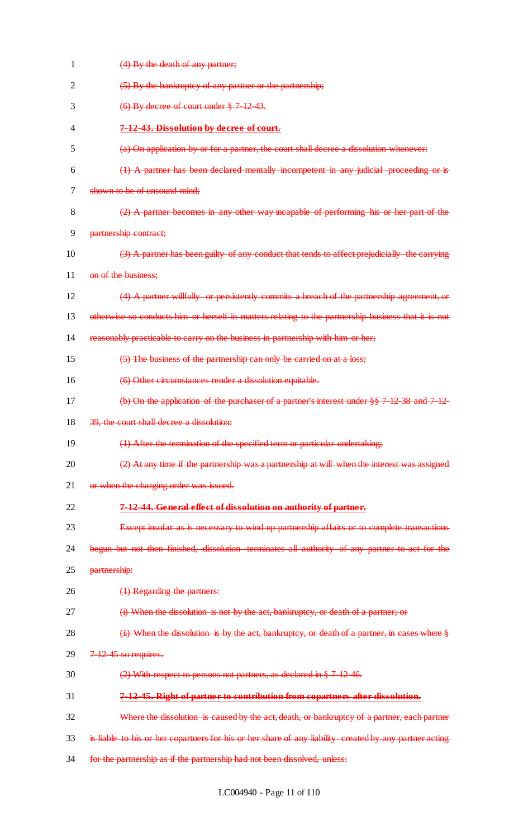| 1              | (4) By the death of any partner;                                                                       |
|----------------|--------------------------------------------------------------------------------------------------------|
| $\overline{2}$ | (5) By the bankruptcy of any partner or the partnership;                                               |
| 3              | $(6)$ By decree of court under $§$ 7-12-43.                                                            |
| 4              | 7-12-43. Dissolution by decree of court.                                                               |
| 5              | (a) On application by or for a partner, the court shall decree a dissolution whenever:                 |
| 6              | (1) A partner has been declared mentally incompetent in any judicial proceeding or is                  |
| 7              | shown to be of unsound mind;                                                                           |
| 8              | (2) A partner becomes in any other way incapable of performing his or her part of the                  |
| 9              | partnership contract;                                                                                  |
| 10             | (3) A partner has been guilty of any conduct that tends to affect prejudicially the carrying           |
| 11             | on of the business;                                                                                    |
| 12             | (4) A partner willfully or persistently commits a breach of the partnership agreement, or              |
| 13             | otherwise so conducts him or herself in matters relating to the partnership business that it is not    |
| 14             | reasonably practicable to carry on the business in partnership with him or her;                        |
| 15             | (5) The business of the partnership can only be carried on at a loss;                                  |
| 16             | (6) Other circumstances render a dissolution equitable.                                                |
| 17             | (b) On the application of the purchaser of a partner's interest under §§ 7-12-38 and 7-12-             |
| 18             | 39, the court shall decree a dissolution:                                                              |
| 19             | (1) After the termination of the specified term or particular undertaking;                             |
| 20             | (2) At any time if the partnership was a partnership at will when the interest was assigned            |
| 21             | or when the charging order was issued.                                                                 |
| 22             | 7-12-44. General effect of dissolution on authority of partner.                                        |
| 23             | Except insofar as is necessary to wind up partnership affairs or to complete transactions              |
| 24             | begun but not then finished, dissolution terminates all authority of any partner to act for the        |
| 25             | partnership:                                                                                           |
| 26             | (1) Regarding the partners:                                                                            |
| 27             | (i) When the dissolution is not by the act, bankruptcy, or death of a partner; or                      |
| 28             | $(ii)$ When the dissolution is by the act, bankruptcy, or death of a partner, in cases where $§$       |
| 29             | 7 12 45 so requires.                                                                                   |
| 30             | (2) With respect to persons not partners, as declared in § 7-12-46.                                    |
| 31             | 7-12-45. Right of partner to contribution from copartners after dissolution.                           |
| 32             | Where the dissolution is caused by the act, death, or bankruptcy of a partner, each partner            |
| 33             | is liable to his or her copartners for his or her share of any liability created by any partner acting |
| 34             | for the partnership as if the partnership had not been dissolved, unless:                              |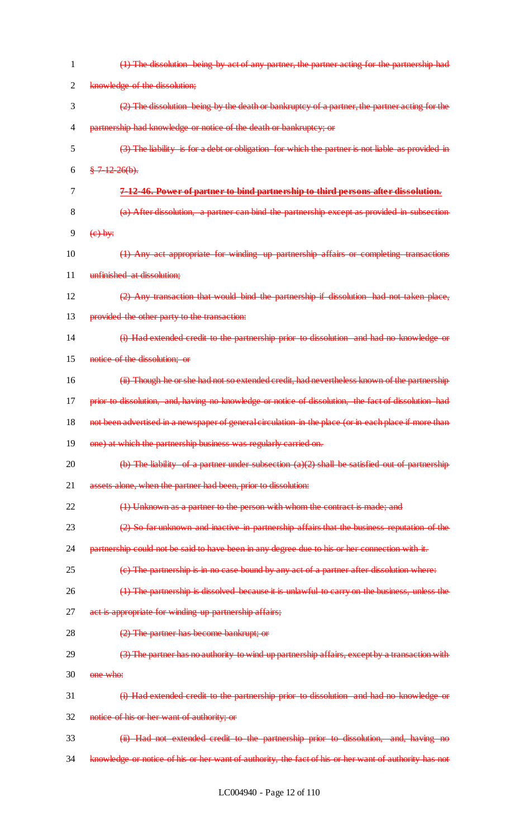| $\mathbf{1}$   | (1) The dissolution being by act of any partner, the partner acting for the partnership had           |
|----------------|-------------------------------------------------------------------------------------------------------|
| $\overline{2}$ | knowledge of the dissolution;                                                                         |
| 3              | (2) The dissolution being by the death or bankruptcy of a partner, the partner acting for the         |
| 4              | partnership had knowledge or notice of the death or bankruptcy; or                                    |
| 5              | (3) The liability is for a debt or obligation for which the partner is not liable as provided in      |
| 6              | $\frac{8}{3}$ 7 12 26(b).                                                                             |
| 7              | 7-12-46. Power of partner to bind partnership to third persons after dissolution.                     |
| 8              | (a) After dissolution, a partner can bind the partnership except as provided in subsection            |
| 9              | $(e)$ by:                                                                                             |
| 10             | (1) Any act appropriate for winding up partnership affairs or completing transactions                 |
| 11             | unfinished at dissolution;                                                                            |
| 12             | (2) Any transaction that would bind the partnership if dissolution had not taken place,               |
| 13             | provided the other party to the transaction:                                                          |
| 14             | (i) Had extended credit to the partnership prior to dissolution and had no knowledge or               |
| 15             | notice of the dissolution; or                                                                         |
| 16             | (ii) Though he or she had not so extended credit, had nevertheless known of the partnership           |
| 17             | prior to dissolution, and, having no knowledge or notice of dissolution, the fact of dissolution had  |
| 18             | not been advertised in a newspaper of general circulation in the place (or in each place if more than |
| 19             | one) at which the partnership business was regularly carried on.                                      |
| 20             | (b) The liability of a partner under subsection $(a)(2)$ shall be satisfied out of partnership        |
| 21             | assets alone, when the partner had been, prior to dissolution:                                        |
| 22             | (1) Unknown as a partner to the person with whom the contract is made; and                            |
| 23             | (2) So far unknown and inactive in partnership affairs that the business reputation of the            |
| 24             | partnership could not be said to have been in any degree due to his or her connection with it.        |
| 25             | (e) The partnership is in no case bound by any act of a partner after dissolution where:              |
| 26             | (1) The partnership is dissolved because it is unlawful to carry on the business, unless the          |
| 27             | act is appropriate for winding up partnership affairs;                                                |
| 28             | (2) The partner has become bankrupt; or                                                               |
| 29             | (3) The partner has no authority to wind up partnership affairs, except by a transaction with         |
| 30             | one who:                                                                                              |
| 31             | (i) Had extended credit to the partnership prior to dissolution and had no knowledge or               |
| 32             | notice of his or her want of authority; or                                                            |
| 33             | (ii) Had not extended credit to the partnership prior to dissolution, and, having no                  |
| 34             | knowledge or notice of his or her want of authority, the fact of his or her want of authority has not |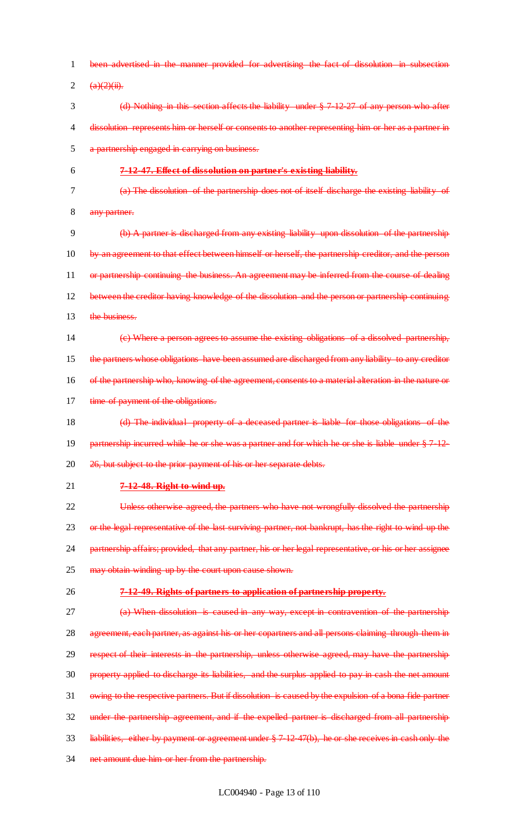1 been advertised in the manner provided for advertising the fact of dissolution in subsection 2  $(a)(2)(ii)$ . 3 (d) Nothing in this section affects the liability under § 7-12-27 of any person who after 4 dissolution represents him or herself or consents to another representing him or her as a partner in 5 a partnership engaged in carrying on business. 6 **7-12-47. Effect of dissolution on partner's existing liability.** 7 (a) The dissolution of the partnership does not of itself discharge the existing liability of 8 any partner. 9 (b) A partner is discharged from any existing liability upon dissolution of the partnership 10 by an agreement to that effect between himself or herself, the partnership creditor, and the person 11 or partnership continuing the business. An agreement may be inferred from the course of dealing 12 between the creditor having knowledge of the dissolution and the person or partnership continuing 13 the business. 14 (c) Where a person agrees to assume the existing obligations of a dissolved partnership, 15 the partners whose obligations have been assumed are discharged from any liability to any creditor 16 of the partnership who, knowing of the agreement, consents to a material alteration in the nature or 17 time of payment of the obligations. 18 (d) The individual property of a deceased partner is liable for those obligations of the 19 partnership incurred while he or she was a partner and for which he or she is liable under § 7-12-20 26, but subject to the prior payment of his or her separate debts. 21 **7-12-48. Right to wind up.** 22 Unless otherwise agreed, the partners who have not wrongfully dissolved the partnership 23 or the legal representative of the last surviving partner, not bankrupt, has the right to wind up the 24 partnership affairs; provided, that any partner, his or her legal representative, or his or her assignee 25 may obtain winding up by the court upon cause shown. 26 **7-12-49. Rights of partners to application of partnership property.** 27 **(a)** When dissolution is caused in any way, except in contravention of the partnership 28 agreement, each partner, as against his or her copartners and all persons claiming through them in 29 respect of their interests in the partnership, unless otherwise agreed, may have the partnership 30 property applied to discharge its liabilities, and the surplus applied to pay in cash the net amount 31 owing to the respective partners. But if dissolution is caused by the expulsion of a bona fide partner 32 under the partnership agreement, and if the expelled partner is discharged from all partnership 33 liabilities, either by payment or agreement under § 7-12-47(b), he or she receives in cash only the 34 net amount due him or her from the partnership.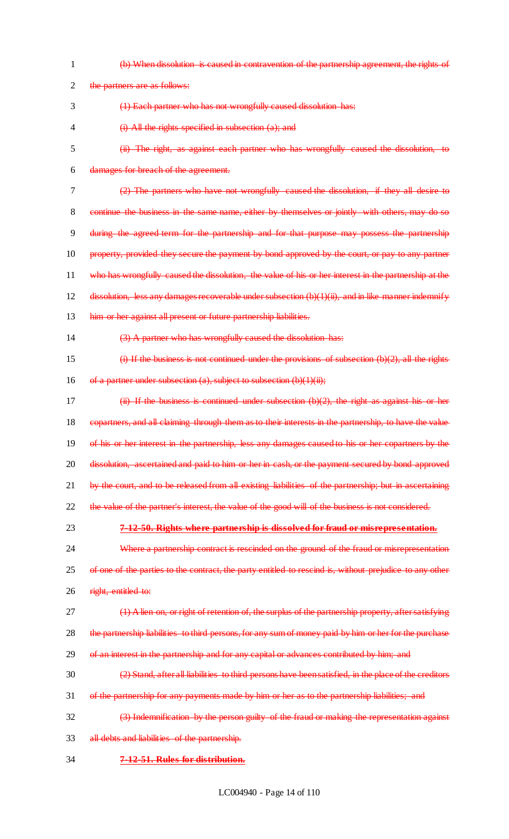| 1              | (b) When dissolution is caused in contravention of the partnership agreement, the rights of             |
|----------------|---------------------------------------------------------------------------------------------------------|
| $\overline{2}$ | the partners are as follows:                                                                            |
| 3              | (1) Each partner who has not wrongfully caused dissolution has:                                         |
| 4              | (i) All the rights specified in subsection (a); and                                                     |
| 5              | (ii) The right, as against each partner who has wrongfully caused the dissolution,<br><del>to</del>     |
| 6              | damages for breach of the agreement.                                                                    |
| 7              | (2) The partners who have not wrongfully caused the dissolution, if they all desire to                  |
| 8              | continue the business in the same name, either by themselves or jointly with others, may do so          |
| 9              | during the agreed term for the partnership and for that purpose may possess the partnership             |
| 10             | property, provided they secure the payment by bond approved by the court, or pay to any partner         |
| 11             | who has wrongfully caused the dissolution, the value of his or her interest in the partnership at the   |
| 12             | dissolution, less any damages recoverable under subsection (b)(1)(ii), and in like manner indemnify     |
| 13             | him or her against all present or future partnership liabilities.                                       |
| 14             | (3) A partner who has wrongfully caused the dissolution has:                                            |
| 15             | (i) If the business is not continued under the provisions of subsection $(b)(2)$ , all the rights       |
| 16             | of a partner under subsection (a), subject to subsection $(b)(1)(ii)$ ;                                 |
| 17             | $(ii)$ If the business is continued under subsection $(b)(2)$ , the right as against his or her         |
| 18             | copartners, and all claiming through them as to their interests in the partnership, to have the value   |
| 19             | of his or her interest in the partnership, less any damages caused to his or her copartners by the      |
| 20             | dissolution, ascertained and paid to him or her in cash, or the payment secured by bond approved        |
| 21             | by the court, and to be released from all existing liabilities of the partnership; but in ascertaining  |
| 22             | the value of the partner's interest, the value of the good will of the business is not considered.      |
| 23             | 7-12-50. Rights where partnership is dissolved for fraud or misrepresentation.                          |
| 24             | Where a partnership contract is rescinded on the ground of the fraud or misrepresentation               |
| 25             | of one of the parties to the contract, the party entitled to rescind is, without prejudice to any other |
| 26             | right, entitled to:                                                                                     |
| 27             | (1) A lien on, or right of retention of, the surplus of the partnership property, after satisfying      |
| 28             | the partnership liabilities to third persons, for any sum of money paid by him or her for the purchase  |
| 29             | of an interest in the partnership and for any capital or advances contributed by him; and               |
| 30             | (2) Stand, after all liabilities to third persons have been satisfied, in the place of the creditors    |
| 31             | of the partnership for any payments made by him or her as to the partnership liabilities; and           |
| 32             | (3) Indemnification by the person guilty of the fraud or making the representation against              |
| 33             | all debts and liabilities of the partnership.                                                           |
| 34             | 7-12-51. Rules for distribution.                                                                        |

# LC004940 - Page 14 of 110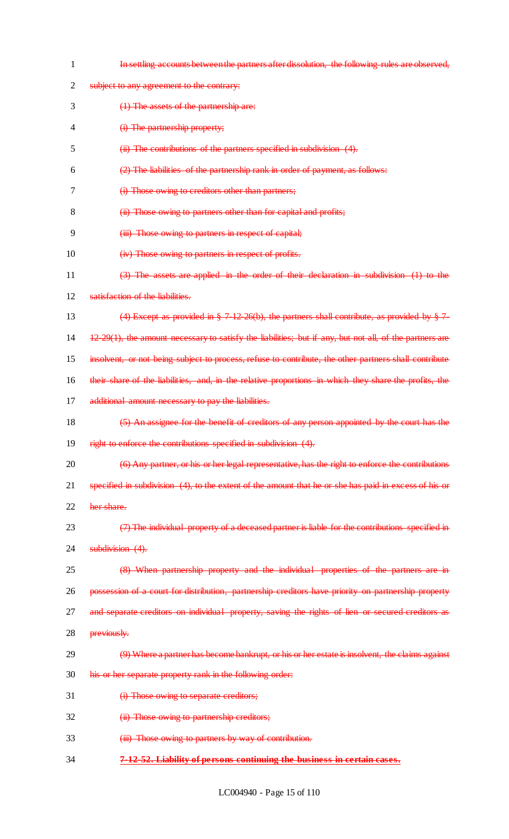| 1              | In settling accounts between the partners after dissolution, the following rules are observed,          |
|----------------|---------------------------------------------------------------------------------------------------------|
| $\overline{2}$ | subject to any agreement to the contrary:                                                               |
| 3              | (1) The assets of the partnership are:                                                                  |
| 4              | (i) The partnership property;                                                                           |
| 5              | (ii) The contributions of the partners specified in subdivision (4).                                    |
| 6              | (2) The liabilities of the partnership rank in order of payment, as follows:                            |
| 7              | (i) Those owing to creditors other than partners;                                                       |
| 8              | (ii) Those owing to partners other than for capital and profits;                                        |
| 9              | (iii) Those owing to partners in respect of capital;                                                    |
| 10             | (iv) Those owing to partners in respect of profits.                                                     |
| 11             | (3) The assets are applied in the order of their declaration in subdivision (1) to the                  |
| 12             | satisfaction of the liabilities.                                                                        |
| 13             | $(4)$ Except as provided in § 7-12-26(b), the partners shall contribute, as provided by § 7-            |
| 14             | 12-29(1), the amount necessary to satisfy the liabilities; but if any, but not all, of the partners are |
| 15             | insolvent, or not being subject to process, refuse to contribute, the other partners shall contribute   |
| 16             | their share of the liabilities, and, in the relative proportions in which they share the profits, the   |
| 17             | additional amount necessary to pay the liabilities.                                                     |
| 18             | (5) An assignee for the benefit of creditors of any person appointed by the court has the               |
| 19             | right to enforce the contributions specified in subdivision (4).                                        |
| 20             | (6) Any partner, or his or her legal representative, has the right to enforce the contributions         |
| 21             | specified in subdivision (4), to the extent of the amount that he or she has paid in excess of his or   |
| 22             | her share.                                                                                              |
| 23             | (7) The individual property of a deceased partner is liable for the contributions specified in          |
| 24             | subdivision (4).                                                                                        |
| 25             | (8) When partnership property and the individual properties of the partners are in                      |
| 26             | possession of a court for distribution, partnership creditors have priority on partnership property     |
| 27             | and separate creditors on individual property, saving the rights of lien or secured creditors as        |
| 28             | previously.                                                                                             |
| 29             | (9) Where a partner has become bankrupt, or his or her estate is insolvent, the claims against          |
| 30             | his or her separate property rank in the following order:                                               |
| 31             | (i) Those owing to separate creditors;                                                                  |
| 32             | (ii) Those owing to partnership creditors;                                                              |
| 33             | (iii) Those owing to partners by way of contribution.                                                   |
| 34             | 7-12-52. Liability of persons continuing the business in certain cases.                                 |

LC004940 - Page 15 of 110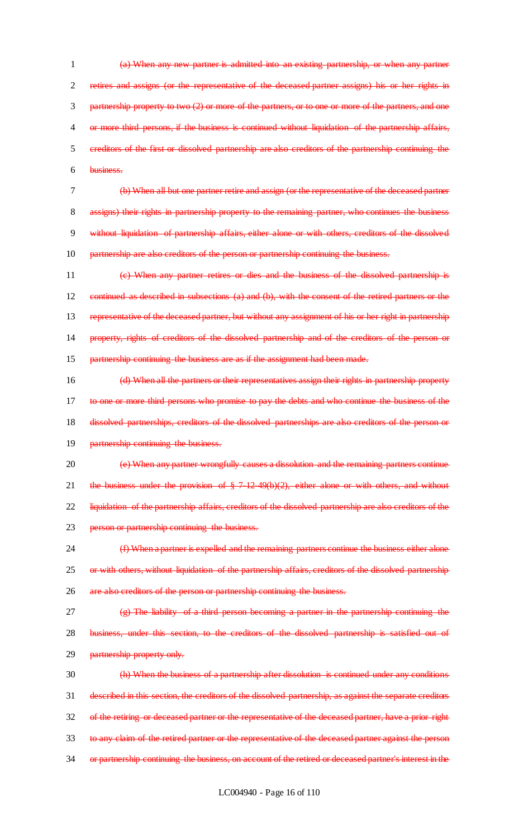(a) When any new partner is admitted into an existing partnership, or when any partner retires and assigns (or the representative of the deceased partner assigns) his or her rights in 3 partnership property to two (2) or more of the partners, or to one or more of the partners, and one 4 or more third persons, if the business is continued without liquidation of the partnership affairs, creditors of the first or dissolved partnership are also creditors of the partnership continuing the business.

7 (b) When all but one partner retire and assign (or the representative of the deceased partner 8 assigns) their rights in partnership property to the remaining partner, who continues the business 9 without liquidation of partnership affairs, either alone or with others, creditors of the dissolved 10 partnership are also creditors of the person or partnership continuing the business.

11 (c) When any partner retires or dies and the business of the dissolved partnership is 12 continued as described in subsections (a) and (b), with the consent of the retired partners or the 13 representative of the deceased partner, but without any assignment of his or her right in partnership 14 property, rights of creditors of the dissolved partnership and of the creditors of the person or 15 partnership continuing the business are as if the assignment had been made.

 (d) When all the partners or their representatives assign their rights in partnership property to one or more third persons who promise to pay the debts and who continue the business of the dissolved partnerships, creditors of the dissolved partnerships are also creditors of the person or 19 partnership continuing the business.

- 20 (e) When any partner wrongfully causes a dissolution and the remaining partners continue 21 the business under the provision of  $$ 7-12-49(b)(2)$ , either alone or with others, and without 22 liquidation of the partnership affairs, creditors of the dissolved partnership are also creditors of the
- 23 person or partnership continuing the business.

24 (f) When a partner is expelled and the remaining partners continue the business either alone 25 or with others, without liquidation of the partnership affairs, creditors of the dissolved partnership 26 are also creditors of the person or partnership continuing the business.

27  $\left(\frac{e}{c}\right)$  The liability of a third person becoming a partner in the partnership continuing the 28 business, under this section, to the creditors of the dissolved partnership is satisfied out of 29 **partnership property only.** 

30 (h) When the business of a partnership after dissolution is continued under any conditions 31 described in this section, the creditors of the dissolved partnership, as against the separate creditors 32 of the retiring or deceased partner or the representative of the deceased partner, have a prior right 33 to any claim of the retired partner or the representative of the deceased partner against the person 34 or partnership continuing the business, on account of the retired or deceased partner's interest in the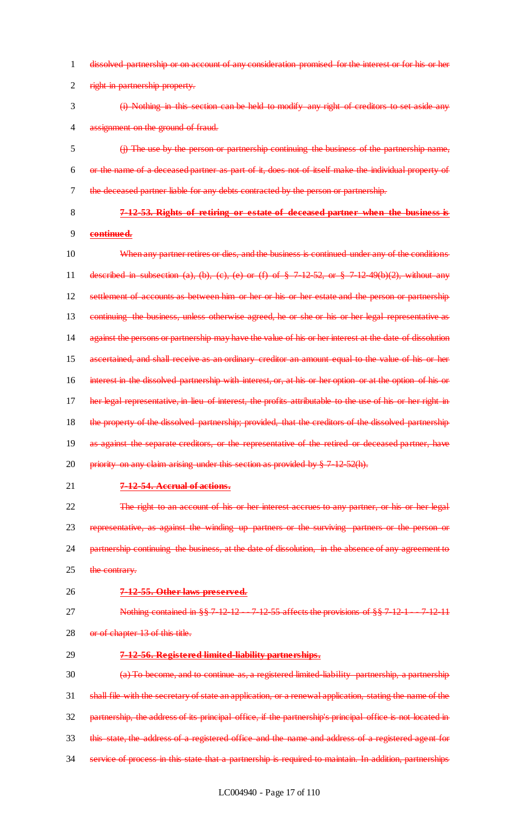- dissolved partnership or on account of any consideration promised for the interest or for his or her right in partnership property.
- (i) Nothing in this section can be held to modify any right of creditors to set aside any 4 assignment on the ground of fraud.
- (j) The use by the person or partnership continuing the business of the partnership name, or the name of a deceased partner as part of it, does not of itself make the individual property of the deceased partner liable for any debts contracted by the person or partnership.
- 

# **7-12-53. Rights of retiring or estate of deceased partner when the business is**

- **continued.**
- 10 When any partner retires or dies, and the business is continued under any of the conditions 11 described in subsection (a), (b), (c), (e) or (f) of  $\frac{8}{3}$  7-12-52, or  $\frac{8}{3}$  7-12-49(b)(2), without any settlement of accounts as between him or her or his or her estate and the person or partnership 13 continuing the business, unless otherwise agreed, he or she or his or her legal representative as 14 against the persons or partnership may have the value of his or her interest at the date of dissolution ascertained, and shall receive as an ordinary creditor an amount equal to the value of his or her 16 interest in the dissolved partnership with interest, or, at his or her option or at the option of his or 17 her legal representative, in lieu of interest, the profits attributable to the use of his or her right in 18 the property of the dissolved partnership; provided, that the creditors of the dissolved partnership as against the separate creditors, or the representative of the retired or deceased partner, have 20 priority on any claim arising under this section as provided by § 7-12-52(h).
- 

#### **7-12-54. Accrual of actions.**

 The right to an account of his or her interest accrues to any partner, or his or her legal representative, as against the winding up partners or the surviving partners or the person or partnership continuing the business, at the date of dissolution, in the absence of any agreement to

- 25 the contrary.
- 

# **7-12-55. Other laws preserved.**

27 Nothing contained in §§ 7-12-12 - 7-12-55 affects the provisions of §§ 7-12-1 - - 7-12-11 28 or of chapter 13 of this title.

- **7-12-56. Registered limited-liability partnerships.**
- (a) To become, and to continue as, a registered limited-liability partnership, a partnership shall file with the secretary of state an application, or a renewal application, stating the name of the partnership, the address of its principal office, if the partnership's principal office is not located in this state, the address of a registered office and the name and address of a registered agent for service of process in this state that a partnership is required to maintain. In addition, partnerships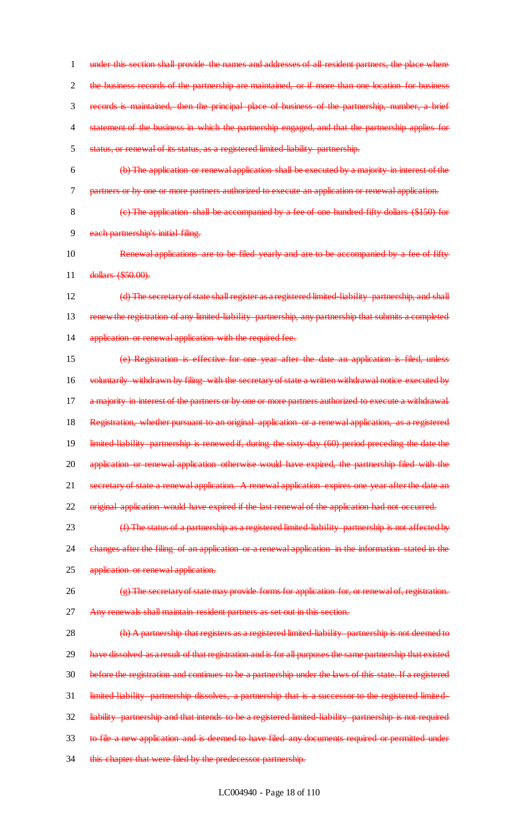1 under this section shall provide the names and addresses of all resident partners, the place where 2 the business records of the partnership are maintained, or if more than one location for business 3 records is maintained, then the principal place of business of the partnership, number, a brief 4 statement of the business in which the partnership engaged, and that the partnership applies for 5 status, or renewal of its status, as a registered limited-liability partnership.

 $6 \left( b \right)$  The application or renewal application shall be executed by a majority in interest of the 7 partners or by one or more partners authorized to execute an application or renewal application.

- 8 (c) The application shall be accompanied by a fee of one hundred fifty dollars (\$150) for 9 each partnership's initial filing.
- 10 Renewal applications are to be filed yearly and are to be accompanied by a fee of fifty 11 dollars (\$50.00).
- 12 (d) The secretary of state shall register as a registered limited-liability partnership, and shall 13 renew the registration of any limited-liability partnership, any partnership that submits a completed 14 application or renewal application with the required fee.
- 15 (e) Registration is effective for one year after the date an application is filed, unless 16 voluntarily withdrawn by filing with the secretary of state a written withdrawal notice executed by 17 a majority in interest of the partners or by one or more partners authorized to execute a withdrawal. 18 Registration, whether pursuant to an original application or a renewal application, as a registered 19 limited-liability partnership is renewed if, during the sixty-day (60) period preceding the date the 20 application or renewal application otherwise would have expired, the partnership filed with the 21 secretary of state a renewal application. A renewal application expires one year after the date an 22 original application would have expired if the last renewal of the application had not occurred.
- 23 (f) The status of a partnership as a registered limited-liability partnership is not affected by 24 changes after the filing of an application or a renewal application in the information stated in the 25 application or renewal application.
- 
- 26 (g) The secretary of state may provide forms for application for, or renewal of, registration. 27 Any renewals shall maintain resident partners as set out in this section.
- 28 (h) A partnership that registers as a registered limited-liability partnership is not deemed to 29 have dissolved as a result of that registration and is for all purposes the same partnership that existed 30 before the registration and continues to be a partnership under the laws of this state. If a registered 31 limited-liability partnership dissolves, a partnership that is a successor to the registered limited-32 liability partnership and that intends to be a registered limited liability partnership is not required 33 to file a new application and is deemed to have filed any documents required or permitted under 34 this chapter that were filed by the predecessor partnership.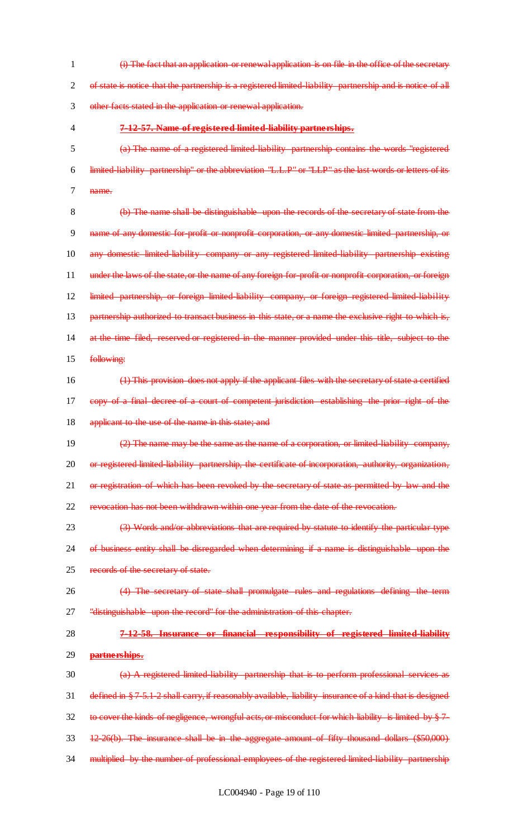(i) The fact that an application or renewal application is on file in the office of the secretary 2 of state is notice that the partnership is a registered limited-liability partnership and is notice of all other facts stated in the application or renewal application. **7-12-57. Name of registered limited-liability partnerships.** (a) The name of a registered limited-liability partnership contains the words "registered limited-liability partnership" or the abbreviation "L.L.P" or "LLP" as the last words or letters of its 7 <del>name.</del>

8 (b) The name shall be distinguishable upon the records of the secretary of state from the 9 name of any domestic for-profit or nonprofit corporation, or any domestic limited partnership, or 10 any domestic limited-liability company or any registered limited-liability partnership existing 11 under the laws of the state, or the name of any foreign for-profit or nonprofit corporation, or foreign 12 limited partnership, or foreign limited-liability company, or foreign registered limited-liability 13 partnership authorized to transact business in this state, or a name the exclusive right to which is, 14 at the time filed, reserved or registered in the manner provided under this title, subject to the 15 following:

16 (1) This provision does not apply if the applicant files with the secretary of state a certified 17 copy of a final decree of a court of competent jurisdiction establishing the prior right of the 18 applicant to the use of the name in this state; and

19 (2) The name may be the same as the name of a corporation, or limited-liability company, 20 or registered limited liability partnership, the certificate of incorporation, authority, organization, 21 or registration of which has been revoked by the secretary of state as permitted by law and the 22 revocation has not been withdrawn within one year from the date of the revocation.

23 (3) Words and/or abbreviations that are required by statute to identify the particular type 24 of business entity shall be disregarded when determining if a name is distinguishable upon the 25 records of the secretary of state.

- 26 (4) The secretary of state shall promulgate rules and regulations defining the term 27 "distinguishable upon the record" for the administration of this chapter.
	-

# 28 **7-12-58. Insurance or financial responsibility of registered limited-liability**  29 **partnerships.**

30 (a) A registered limited-liability partnership that is to perform professional services as 31 defined in § 7-5.1-2 shall carry, if reasonably available, liability insurance of a kind that is designed 32 to cover the kinds of negligence, wrongful acts, or misconduct for which liability is limited by § 7-33 12-26(b). The insurance shall be in the aggregate amount of fifty thousand dollars (\$50,000) 34 multiplied by the number of professional employees of the registered limited liability partnership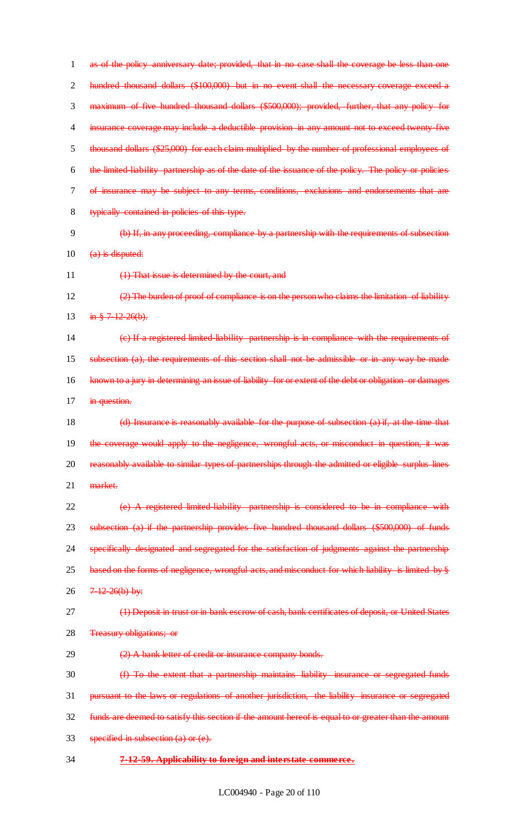as of the policy anniversary date; provided, that in no case shall the coverage be less than one 2 hundred thousand dollars (\$100,000) but in no event shall the necessary coverage exceed a maximum of five hundred thousand dollars (\$500,000); provided, further, that any policy for 4 insurance coverage may include a deductible provision in any amount not to exceed twenty five thousand dollars (\$25,000) for each claim multiplied by the number of professional employees of the limited-liability partnership as of the date of the issuance of the policy. The policy or policies of insurance may be subject to any terms, conditions, exclusions and endorsements that are typically contained in policies of this type. (b) If, in any proceeding, compliance by a partnership with the requirements of subsection (a) is disputed: 11 (1) That issue is determined by the court, and  $\left(2\right)$  The burden of proof of compliance is on the person who claims the limitation of liability 13 in  $\frac{6}{5}$  7 12 26(b). (c) If a registered limited-liability partnership is in compliance with the requirements of subsection (a), the requirements of this section shall not be admissible or in any way be made 16 known to a jury in determining an issue of liability for or extent of the debt or obligation or damages 17 in question. (d) Insurance is reasonably available for the purpose of subsection (a) if, at the time that the coverage would apply to the negligence, wrongful acts, or misconduct in question, it was 20 reasonably available to similar types of partnerships through the admitted or eligible surplus lines 21 market. (e) A registered limited-liability partnership is considered to be in compliance with subsection (a) if the partnership provides five hundred thousand dollars (\$500,000) of funds 24 specifically designated and segregated for the satisfaction of judgments against the partnership 25 based on the forms of negligence, wrongful acts, and misconduct for which liability is limited by §  $26 \frac{7-12-26(b) \text{ by:}}{}$ **(1) Deposit in trust or in bank escrow of cash, bank certificates of deposit, or United States** 28 Treasury obligations; or 29 (2) A bank letter of credit or insurance company bonds. (f) To the extent that a partnership maintains liability insurance or segregated funds pursuant to the laws or regulations of another jurisdiction, the liability insurance or segregated funds are deemed to satisfy this section if the amount hereof is equal to or greater than the amount specified in subsection (a) or (e).

34 **7-12-59. Applicability to foreign and interstate commerce.**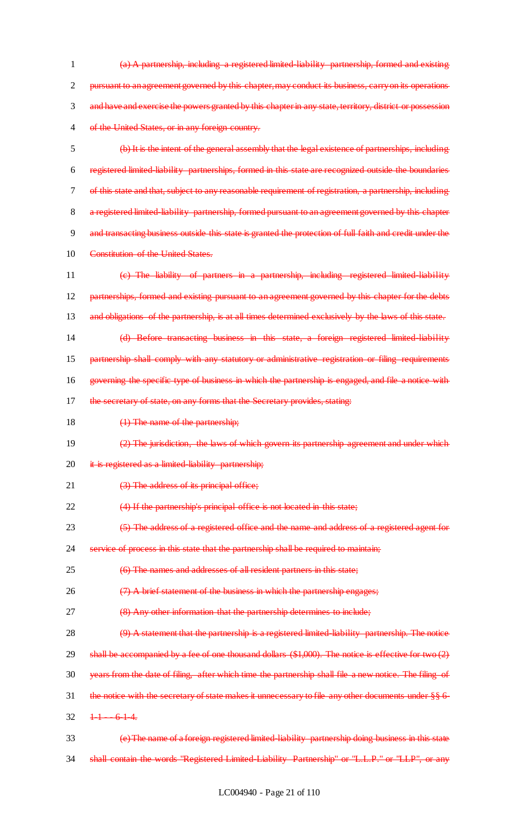1 (a) A partnership, including a registered limited-liability partnership, formed and existing 2 pursuant to an agreement governed by this chapter, may conduct its business, carry on its operations 3 and have and exercise the powers granted by this chapter in any state, territory, district or possession 4 of the United States, or in any foreign country.

5 (b) It is the intent of the general assembly that the legal existence of partnerships, including 6 registered limited-liability partnerships, formed in this state are recognized outside the boundaries 7 of this state and that, subject to any reasonable requirement of registration, a partnership, including 8 a registered limited-liability partnership, formed pursuant to an agreement governed by this chapter 9 and transacting business outside this state is granted the protection of full faith and credit under the 10 Constitution of the United States.

11 (c) The liability of partners in a partnership, including registered limited-liability 12 partnerships, formed and existing pursuant to an agreement governed by this chapter for the debts 13 and obligations of the partnership, is at all times determined exclusively by the laws of this state. 14 (d) Before transacting business in this state, a foreign registered limited-liability

15 partnership shall comply with any statutory or administrative registration or filing requirements 16 governing the specific type of business in which the partnership is engaged, and file a notice with

17 the secretary of state, on any forms that the Secretary provides, stating:

18 (1) The name of the partnership;

19 (2) The jurisdiction, the laws of which govern its partnership agreement and under which

20 it is registered as a limited-liability partnership;

21 (3) The address of its principal office;

22 (4) If the partnership's principal office is not located in this state;

23 (5) The address of a registered office and the name and address of a registered agent for

24 service of process in this state that the partnership shall be required to maintain;

25 (6) The names and addresses of all resident partners in this state;

26 (7) A brief statement of the business in which the partnership engages;

27 (8) Any other information that the partnership determines to include;

28 (9) A statement that the partnership is a registered limited-liability partnership. The notice

29 shall be accompanied by a fee of one thousand dollars (\$1,000). The notice is effective for two (2)

30 years from the date of filing, after which time the partnership shall file a new notice. The filing of

31 the notice with the secretary of state makes it unnecessary to file any other documents under §§ 6-

 $32 \quad 11 \quad 614.$ 

33 (e) The name of a foreign registered limited-liability partnership doing business in this state 34 shall contain the words "Registered Limited Liability Partnership" or "L.L.P." or "LLP", or any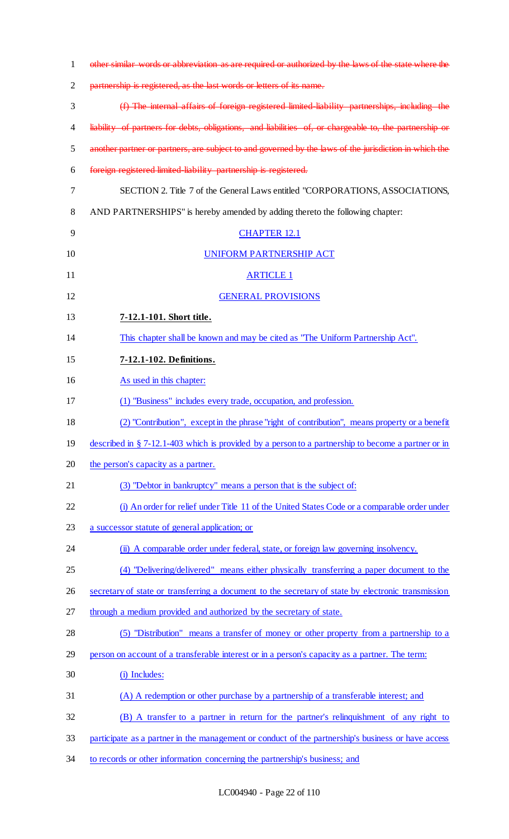| $\mathbf{1}$   | other similar words or abbreviation as are required or authorized by the laws of the state where the   |
|----------------|--------------------------------------------------------------------------------------------------------|
| $\overline{2}$ | partnership is registered, as the last words or letters of its name.                                   |
| 3              | (f) The internal affairs of foreign registered limited liability partnerships, including the           |
| 4              | liability of partners for debts, obligations, and liabilities of, or chargeable to, the partnership or |
| 5              | another partner or partners, are subject to and governed by the laws of the jurisdiction in which the  |
| 6              | foreign registered limited liability partnership is registered.                                        |
| 7              | SECTION 2. Title 7 of the General Laws entitled "CORPORATIONS, ASSOCIATIONS,                           |
| 8              | AND PARTNERSHIPS" is hereby amended by adding thereto the following chapter:                           |
| 9              | <b>CHAPTER 12.1</b>                                                                                    |
| 10             | <b>UNIFORM PARTNERSHIP ACT</b>                                                                         |
| 11             | <b>ARTICLE 1</b>                                                                                       |
| 12             | <b>GENERAL PROVISIONS</b>                                                                              |
| 13             | 7-12.1-101. Short title.                                                                               |
| 14             | This chapter shall be known and may be cited as "The Uniform Partnership Act".                         |
| 15             | 7-12.1-102. Definitions.                                                                               |
| 16             | As used in this chapter:                                                                               |
| 17             | (1) "Business" includes every trade, occupation, and profession.                                       |
| 18             | (2) "Contribution", except in the phrase "right of contribution", means property or a benefit          |
| 19             | described in § 7-12.1-403 which is provided by a person to a partnership to become a partner or in     |
| 20             | the person's capacity as a partner.                                                                    |
| 21             | (3) "Debtor in bankruptcy" means a person that is the subject of:                                      |
| 22             | (i) An order for relief under Title 11 of the United States Code or a comparable order under           |
| 23             | a successor statute of general application; or                                                         |
| 24             | (ii) A comparable order under federal, state, or foreign law governing insolvency.                     |
| 25             | (4) "Delivering/delivered" means either physically transferring a paper document to the                |
| 26             | secretary of state or transferring a document to the secretary of state by electronic transmission     |
| 27             | through a medium provided and authorized by the secretary of state.                                    |
| 28             | (5) "Distribution" means a transfer of money or other property from a partnership to a                 |
| 29             | person on account of a transferable interest or in a person's capacity as a partner. The term:         |
| 30             | (i) Includes:                                                                                          |
| 31             | (A) A redemption or other purchase by a partnership of a transferable interest; and                    |
| 32             | (B) A transfer to a partner in return for the partner's relinquishment of any right to                 |
| 33             | participate as a partner in the management or conduct of the partnership's business or have access     |
| 34             | to records or other information concerning the partnership's business; and                             |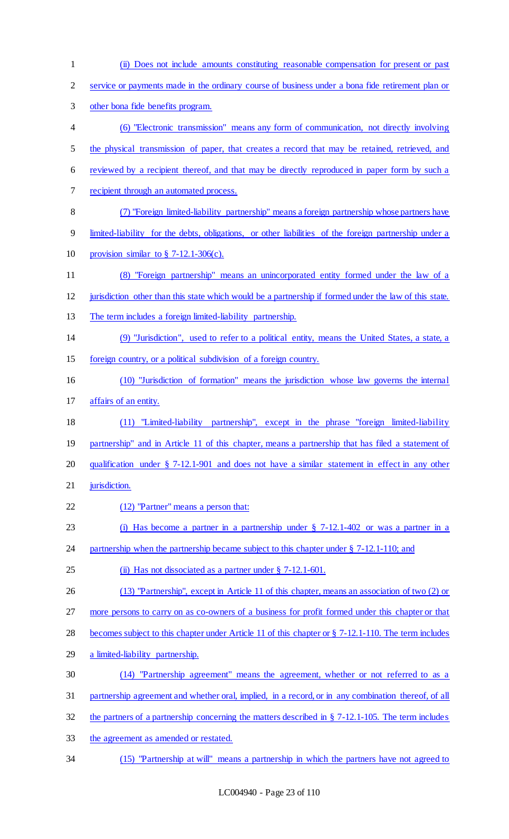- (ii) Does not include amounts constituting reasonable compensation for present or past service or payments made in the ordinary course of business under a bona fide retirement plan or other bona fide benefits program. (6) "Electronic transmission" means any form of communication, not directly involving 5 the physical transmission of paper, that creates a record that may be retained, retrieved, and 6 reviewed by a recipient thereof, and that may be directly reproduced in paper form by such a recipient through an automated process. (7) "Foreign limited-liability partnership" means a foreign partnership whose partners have limited-liability for the debts, obligations, or other liabilities of the foreign partnership under a provision similar to § 7-12.1-306(c). (8) "Foreign partnership" means an unincorporated entity formed under the law of a jurisdiction other than this state which would be a partnership if formed under the law of this state. The term includes a foreign limited-liability partnership. (9) "Jurisdiction", used to refer to a political entity, means the United States, a state, a foreign country, or a political subdivision of a foreign country. (10) "Jurisdiction of formation" means the jurisdiction whose law governs the internal affairs of an entity. (11) "Limited-liability partnership", except in the phrase "foreign limited-liability 19 partnership" and in Article 11 of this chapter, means a partnership that has filed a statement of qualification under § 7-12.1-901 and does not have a similar statement in effect in any other 21 jurisdiction. (12) "Partner" means a person that: (i) Has become a partner in a partnership under § 7-12.1-402 or was a partner in a 24 partnership when the partnership became subject to this chapter under § 7-12.1-110; and 25 (ii) Has not dissociated as a partner under § 7-12.1-601. (13) "Partnership", except in Article 11 of this chapter, means an association of two (2) or more persons to carry on as co-owners of a business for profit formed under this chapter or that 28 becomes subject to this chapter under Article 11 of this chapter or § 7-12.1-110. The term includes a limited-liability partnership. (14) "Partnership agreement" means the agreement, whether or not referred to as a partnership agreement and whether oral, implied, in a record, or in any combination thereof, of all 32 the partners of a partnership concerning the matters described in § 7-12.1-105. The term includes the agreement as amended or restated.
- (15) "Partnership at will" means a partnership in which the partners have not agreed to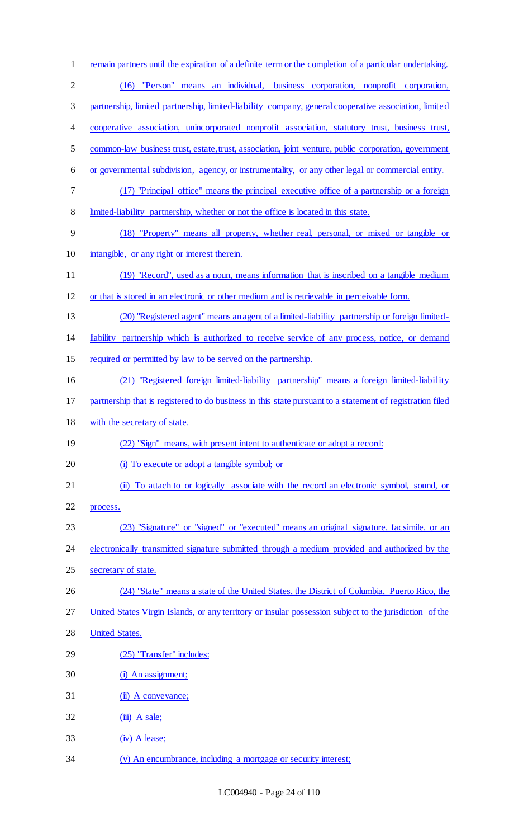| $\mathbf{1}$   | remain partners until the expiration of a definite term or the completion of a particular undertaking.    |
|----------------|-----------------------------------------------------------------------------------------------------------|
| $\overline{2}$ | (16) "Person" means an individual, business corporation, nonprofit corporation,                           |
| $\mathfrak{Z}$ | partnership, limited partnership, limited-liability company, general cooperative association, limited     |
| 4              | cooperative association, unincorporated nonprofit association, statutory trust, business trust,           |
| 5              | common-law business trust, estate, trust, association, joint venture, public corporation, government      |
| 6              | or governmental subdivision, agency, or instrumentality, or any other legal or commercial entity.         |
| 7              | (17) "Principal office" means the principal executive office of a partnership or a foreign                |
| 8              | limited-liability partnership, whether or not the office is located in this state.                        |
| 9              | (18) "Property" means all property, whether real, personal, or mixed or tangible or                       |
| 10             | intangible, or any right or interest therein.                                                             |
| 11             | (19) "Record", used as a noun, means information that is inscribed on a tangible medium                   |
| 12             | or that is stored in an electronic or other medium and is retrievable in perceivable form.                |
| 13             | (20) "Registered agent" means an agent of a limited-liability partnership or foreign limited-             |
| 14             | liability partnership which is authorized to receive service of any process, notice, or demand            |
| 15             | required or permitted by law to be served on the partnership.                                             |
| 16             | (21) "Registered foreign limited-liability partnership" means a foreign limited-liability                 |
| 17             | partnership that is registered to do business in this state pursuant to a statement of registration filed |
| 18             | with the secretary of state.                                                                              |
| 19             | (22) "Sign" means, with present intent to authenticate or adopt a record:                                 |
| 20             | (i) To execute or adopt a tangible symbol; or                                                             |
| 21             | (ii) To attach to or logically associate with the record an electronic symbol, sound, or                  |
| 22             | process.                                                                                                  |
| 23             | (23) "Signature" or "signed" or "executed" means an original signature, facsimile, or an                  |
| 24             | electronically transmitted signature submitted through a medium provided and authorized by the            |
| 25             | secretary of state.                                                                                       |
| 26             | (24) "State" means a state of the United States, the District of Columbia, Puerto Rico, the               |
| 27             | United States Virgin Islands, or any territory or insular possession subject to the jurisdiction of the   |
| 28             | <b>United States.</b>                                                                                     |
| 29             | (25) "Transfer" includes:                                                                                 |
| 30             | (i) An assignment;                                                                                        |
| 31             | (ii) A conveyance;                                                                                        |
| 32             | $(iii)$ A sale;                                                                                           |
|                |                                                                                                           |
| 33             | $(iv)$ A lease;                                                                                           |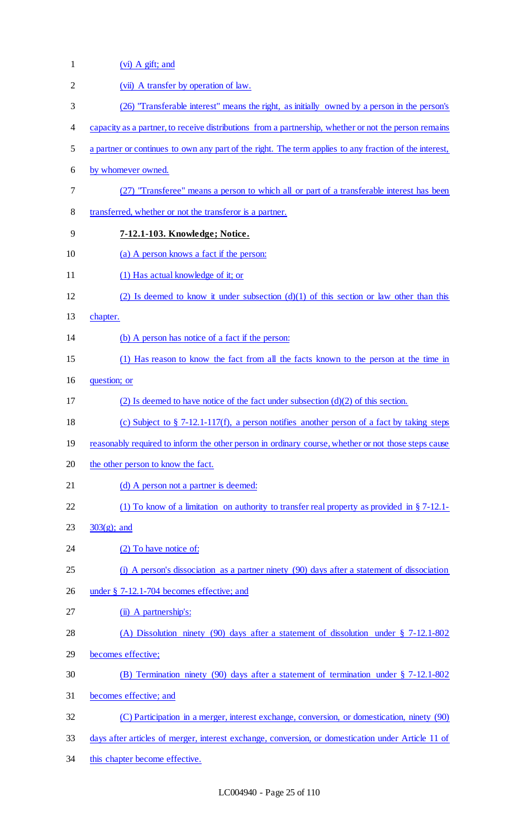| $\mathbf{1}$   | (vi) A gift; and                                                                                       |
|----------------|--------------------------------------------------------------------------------------------------------|
| $\overline{2}$ | (vii) A transfer by operation of law.                                                                  |
| 3              | (26) "Transferable interest" means the right, as initially owned by a person in the person's           |
| 4              | capacity as a partner, to receive distributions from a partnership, whether or not the person remains  |
| 5              | a partner or continues to own any part of the right. The term applies to any fraction of the interest, |
| 6              | by whomever owned.                                                                                     |
| 7              | (27) "Transferee" means a person to which all or part of a transferable interest has been              |
| 8              | transferred, whether or not the transferor is a partner.                                               |
| 9              | 7-12.1-103. Knowledge; Notice.                                                                         |
| 10             | (a) A person knows a fact if the person:                                                               |
| 11             | (1) Has actual knowledge of it; or                                                                     |
| 12             | (2) Is deemed to know it under subsection $(d)(1)$ of this section or law other than this              |
| 13             | chapter.                                                                                               |
| 14             | (b) A person has notice of a fact if the person:                                                       |
| 15             | (1) Has reason to know the fact from all the facts known to the person at the time in                  |
| 16             | question; or                                                                                           |
| 17             | (2) Is deemed to have notice of the fact under subsection $(d)(2)$ of this section.                    |
| 18             | (c) Subject to § 7-12.1-117(f), a person notifies another person of a fact by taking steps             |
| 19             | reasonably required to inform the other person in ordinary course, whether or not those steps cause    |
| 20             | the other person to know the fact.                                                                     |
| 21             | (d) A person not a partner is deemed:                                                                  |
| 22             | (1) To know of a limitation on authority to transfer real property as provided in $\S$ 7-12.1-         |
| 23             | $303(g)$ ; and                                                                                         |
| 24             | (2) To have notice of:                                                                                 |
| 25             | (i) A person's dissociation as a partner ninety (90) days after a statement of dissociation            |
| 26             | under § 7-12.1-704 becomes effective; and                                                              |
| 27             | $(ii)$ A partnership's:                                                                                |
| 28             | (A) Dissolution ninety (90) days after a statement of dissolution under § 7-12.1-802                   |
| 29             | becomes effective;                                                                                     |
| 30             | (B) Termination ninety (90) days after a statement of termination under $\S$ 7-12.1-802                |
| 31             | becomes effective; and                                                                                 |
| 32             | (C) Participation in a merger, interest exchange, conversion, or domestication, ninety (90)            |
| 33             | days after articles of merger, interest exchange, conversion, or domestication under Article 11 of     |
| 34             | this chapter become effective.                                                                         |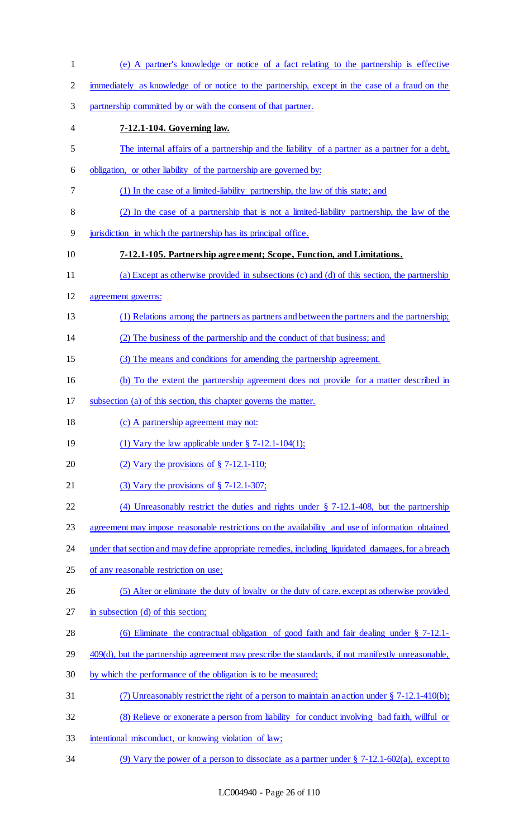| 1              | (e) A partner's knowledge or notice of a fact relating to the partnership is effective             |
|----------------|----------------------------------------------------------------------------------------------------|
| $\overline{2}$ | immediately as knowledge of or notice to the partnership, except in the case of a fraud on the     |
| 3              | partnership committed by or with the consent of that partner.                                      |
| 4              | 7-12.1-104. Governing law.                                                                         |
| 5              | The internal affairs of a partnership and the liability of a partner as a partner for a debt,      |
| 6              | obligation, or other liability of the partnership are governed by:                                 |
| 7              | (1) In the case of a limited-liability partnership, the law of this state; and                     |
| 8              | (2) In the case of a partnership that is not a limited-liability partnership, the law of the       |
| 9              | jurisdiction in which the partnership has its principal office.                                    |
| 10             | 7-12.1-105. Partnership agreement; Scope, Function, and Limitations.                               |
| 11             | (a) Except as otherwise provided in subsections (c) and (d) of this section, the partnership       |
| 12             | agreement governs:                                                                                 |
| 13             | (1) Relations among the partners as partners and between the partners and the partnership;         |
| 14             | (2) The business of the partnership and the conduct of that business; and                          |
| 15             | (3) The means and conditions for amending the partnership agreement.                               |
| 16             | (b) To the extent the partnership agreement does not provide for a matter described in             |
| 17             | subsection (a) of this section, this chapter governs the matter.                                   |
| 18             | (c) A partnership agreement may not:                                                               |
| 19             | (1) Vary the law applicable under $\S$ 7-12.1-104(1);                                              |
| 20             | (2) Vary the provisions of $\S$ 7-12.1-110;                                                        |
| 21             | (3) Vary the provisions of $\S$ 7-12.1-307;                                                        |
| 22             | (4) Unreasonably restrict the duties and rights under $\S$ 7-12.1-408, but the partnership         |
| 23             | agreement may impose reasonable restrictions on the availability and use of information obtained   |
| 24             | under that section and may define appropriate remedies, including liquidated damages, for a breach |
| 25             | of any reasonable restriction on use;                                                              |
| 26             | (5) Alter or eliminate the duty of loyalty or the duty of care, except as otherwise provided       |
| 27             | in subsection (d) of this section;                                                                 |
| 28             | (6) Eliminate the contractual obligation of good faith and fair dealing under $\S$ 7-12.1-         |
| 29             | 409(d), but the partnership agreement may prescribe the standards, if not manifestly unreasonable, |
| 30             | by which the performance of the obligation is to be measured;                                      |
| 31             | (7) Unreasonably restrict the right of a person to maintain an action under $\S$ 7-12.1-410(b);    |
| 32             | (8) Relieve or exonerate a person from liability for conduct involving bad faith, willful or       |
| 33             | intentional misconduct, or knowing violation of law;                                               |
| 34             | (9) Vary the power of a person to dissociate as a partner under $\S$ 7-12.1-602(a), except to      |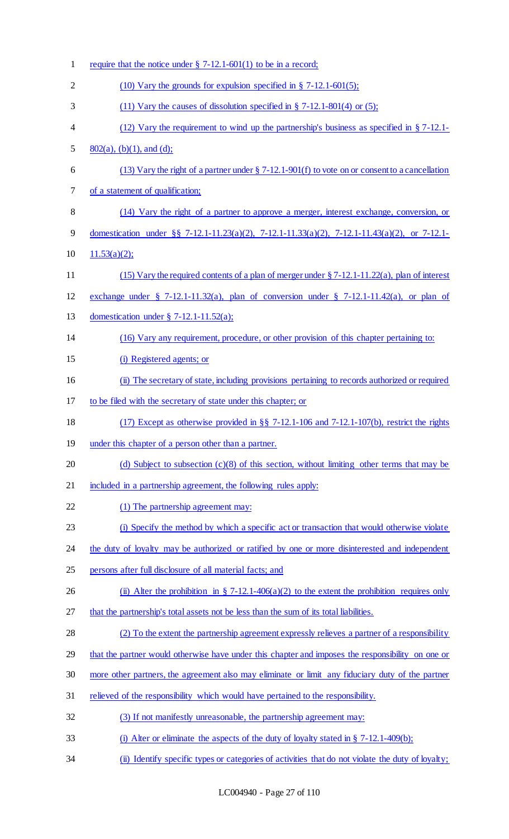| $\mathbf{1}$   | require that the notice under $\S$ 7-12.1-601(1) to be in a record;                               |
|----------------|---------------------------------------------------------------------------------------------------|
| $\overline{2}$ | (10) Vary the grounds for expulsion specified in $\S$ 7-12.1-601(5);                              |
| 3              | (11) Vary the causes of dissolution specified in $\S$ 7-12.1-801(4) or (5);                       |
| 4              | (12) Vary the requirement to wind up the partnership's business as specified in $\S$ 7-12.1-      |
| 5              | $802(a)$ , (b)(1), and (d);                                                                       |
| 6              | (13) Vary the right of a partner under $\S$ 7-12.1-901(f) to vote on or consent to a cancellation |
| $\tau$         | of a statement of qualification;                                                                  |
| 8              | (14) Vary the right of a partner to approve a merger, interest exchange, conversion, or           |
| 9              | domestication under §§ 7-12.1-11.23(a)(2), 7-12.1-11.33(a)(2), 7-12.1-11.43(a)(2), or 7-12.1-     |
| 10             | 11.53(a)(2);                                                                                      |
| 11             | (15) Vary the required contents of a plan of merger under $\S$ 7-12.1-11.22(a), plan of interest  |
| 12             | exchange under § 7-12.1-11.32(a), plan of conversion under § 7-12.1-11.42(a), or plan of          |
| 13             | domestication under $\S$ 7-12.1-11.52(a);                                                         |
| 14             | (16) Vary any requirement, procedure, or other provision of this chapter pertaining to:           |
| 15             | (i) Registered agents; or                                                                         |
| 16             | (ii) The secretary of state, including provisions pertaining to records authorized or required    |
| 17             | to be filed with the secretary of state under this chapter; or                                    |
| 18             | (17) Except as otherwise provided in §§ 7-12.1-106 and 7-12.1-107(b), restrict the rights         |
| 19             | under this chapter of a person other than a partner.                                              |
| 20             | (d) Subject to subsection $(c)(8)$ of this section, without limiting other terms that may be      |
| 21             | included in a partnership agreement, the following rules apply:                                   |
| 22             | (1) The partnership agreement may:                                                                |
| 23             | (i) Specify the method by which a specific act or transaction that would otherwise violate        |
| 24             | the duty of loyalty may be authorized or ratified by one or more disinterested and independent    |
| 25             | persons after full disclosure of all material facts; and                                          |
| 26             | (ii) Alter the prohibition in § 7-12.1-406(a)(2) to the extent the prohibition requires only      |
| 27             | that the partnership's total assets not be less than the sum of its total liabilities.            |
| 28             | (2) To the extent the partnership agreement expressly relieves a partner of a responsibility      |
| 29             | that the partner would otherwise have under this chapter and imposes the responsibility on one or |
| 30             | more other partners, the agreement also may eliminate or limit any fiduciary duty of the partner  |
| 31             | relieved of the responsibility which would have pertained to the responsibility.                  |
| 32             | (3) If not manifestly unreasonable, the partnership agreement may:                                |
| 33             | (i) Alter or eliminate the aspects of the duty of loyalty stated in $\S$ 7-12.1-409(b);           |
| 34             | (ii) Identify specific types or categories of activities that do not violate the duty of loyalty; |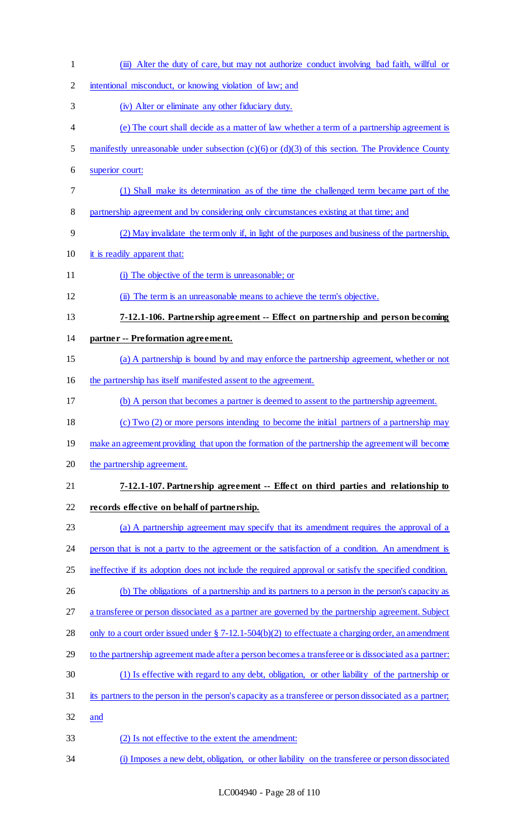(iii) Alter the duty of care, but may not authorize conduct involving bad faith, willful or intentional misconduct, or knowing violation of law; and (iv) Alter or eliminate any other fiduciary duty. (e) The court shall decide as a matter of law whether a term of a partnership agreement is 5 manifestly unreasonable under subsection (c)(6) or (d)(3) of this section. The Providence County superior court: (1) Shall make its determination as of the time the challenged term became part of the partnership agreement and by considering only circumstances existing at that time; and (2) May invalidate the term only if, in light of the purposes and business of the partnership, it is readily apparent that: (i) The objective of the term is unreasonable; or (ii) The term is an unreasonable means to achieve the term's objective. **7-12.1-106. Partnership agreement -- Effect on partnership and person becoming partner -- Preformation agreement.**  (a) A partnership is bound by and may enforce the partnership agreement, whether or not the partnership has itself manifested assent to the agreement. (b) A person that becomes a partner is deemed to assent to the partnership agreement. (c) Two (2) or more persons intending to become the initial partners of a partnership may 19 make an agreement providing that upon the formation of the partnership the agreement will become 20 the partnership agreement. **7-12.1-107. Partnership agreement -- Effect on third parties and relationship to records effective on behalf of partnership.**  23 (a) A partnership agreement may specify that its amendment requires the approval of a 24 person that is not a party to the agreement or the satisfaction of a condition. An amendment is ineffective if its adoption does not include the required approval or satisfy the specified condition. (b) The obligations of a partnership and its partners to a person in the person's capacity as a transferee or person dissociated as a partner are governed by the partnership agreement. Subject 28 only to a court order issued under § 7-12.1-504(b)(2) to effectuate a charging order, an amendment to the partnership agreement made after a person becomes a transferee or is dissociated as a partner: (1) Is effective with regard to any debt, obligation, or other liability of the partnership or its partners to the person in the person's capacity as a transferee or person dissociated as a partner; and (2) Is not effective to the extent the amendment: (i) Imposes a new debt, obligation, or other liability on the transferee or person dissociated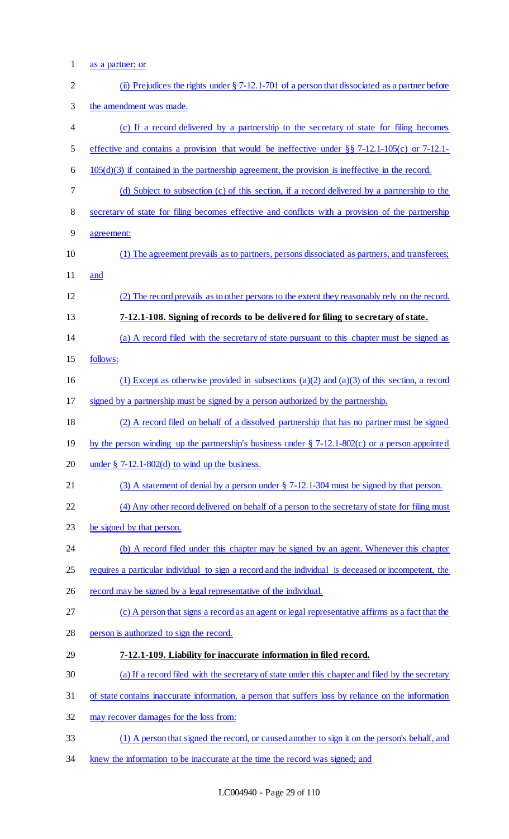1 as a partner; or

| $\mathbf{2}$ | (ii) Prejudices the rights under $\S$ 7-12.1-701 of a person that dissociated as a partner before     |
|--------------|-------------------------------------------------------------------------------------------------------|
| 3            | the amendment was made.                                                                               |
| 4            | (c) If a record delivered by a partnership to the secretary of state for filing becomes               |
| 5            | effective and contains a provision that would be ineffective under $\S$ $\S$ 7-12.1-105(c) or 7-12.1- |
| 6            | $105(d)(3)$ if contained in the partnership agreement, the provision is ineffective in the record.    |
| 7            | (d) Subject to subsection (c) of this section, if a record delivered by a partnership to the          |
| $8\,$        | secretary of state for filing becomes effective and conflicts with a provision of the partnership     |
| 9            | agreement:                                                                                            |
| 10           | (1) The agreement prevails as to partners, persons dissociated as partners, and transferees;          |
| 11           | and                                                                                                   |
| 12           | (2) The record prevails as to other persons to the extent they reasonably rely on the record.         |
| 13           | 7-12.1-108. Signing of records to be delivered for filing to secretary of state.                      |
| 14           | (a) A record filed with the secretary of state pursuant to this chapter must be signed as             |
| 15           | follows:                                                                                              |
| 16           | (1) Except as otherwise provided in subsections $(a)(2)$ and $(a)(3)$ of this section, a record       |
| 17           | signed by a partnership must be signed by a person authorized by the partnership.                     |
| 18           | (2) A record filed on behalf of a dissolved partnership that has no partner must be signed            |
| 19           | by the person winding up the partnership's business under $\S$ 7-12.1-802(c) or a person appointed    |
| 20           | under $\S$ 7-12.1-802(d) to wind up the business.                                                     |
| 21           | (3) A statement of denial by a person under $\S$ 7-12.1-304 must be signed by that person.            |
| 22           | (4) Any other record delivered on behalf of a person to the secretary of state for filing must        |
| 23           | be signed by that person.                                                                             |
| 24           | (b) A record filed under this chapter may be signed by an agent. Whenever this chapter                |
| 25           | requires a particular individual to sign a record and the individual is deceased or incompetent, the  |
| 26           | record may be signed by a legal representative of the individual.                                     |
| 27           | (c) A person that signs a record as an agent or legal representative affirms as a fact that the       |
| 28           | person is authorized to sign the record.                                                              |
| 29           | 7-12.1-109. Liability for inaccurate information in filed record.                                     |
| 30           | (a) If a record filed with the secretary of state under this chapter and filed by the secretary       |
| 31           | of state contains inaccurate information, a person that suffers loss by reliance on the information   |
| 32           | may recover damages for the loss from:                                                                |
| 33           | (1) A person that signed the record, or caused another to sign it on the person's behalf, and         |
|              |                                                                                                       |

34 knew the information to be inaccurate at the time the record was signed; and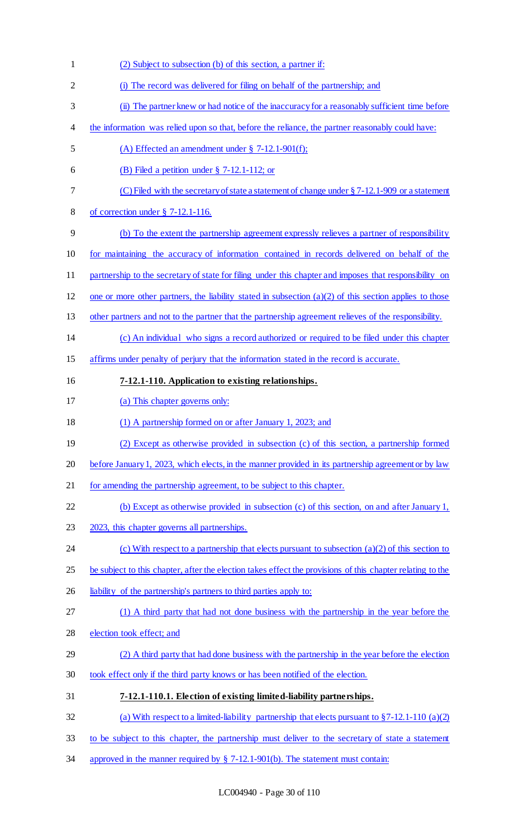| $\mathbf{1}$   | (2) Subject to subsection (b) of this section, a partner if:                                               |
|----------------|------------------------------------------------------------------------------------------------------------|
| $\overline{2}$ | (i) The record was delivered for filing on behalf of the partnership; and                                  |
| 3              | (ii) The partner knew or had notice of the inaccuracy for a reasonably sufficient time before              |
| 4              | the information was relied upon so that, before the reliance, the partner reasonably could have:           |
| 5              | (A) Effected an amendment under $\S$ 7-12.1-901(f);                                                        |
| 6              | (B) Filed a petition under $\S$ 7-12.1-112; or                                                             |
| 7              | (C) Filed with the secretary of state a statement of change under § 7-12.1-909 or a statement              |
| 8              | of correction under $\S$ 7-12.1-116.                                                                       |
| 9              | (b) To the extent the partnership agreement expressly relieves a partner of responsibility                 |
| 10             | for maintaining the accuracy of information contained in records delivered on behalf of the                |
| 11             | partnership to the secretary of state for filing under this chapter and imposes that responsibility on     |
| 12             | one or more other partners, the liability stated in subsection $(a)(2)$ of this section applies to those   |
| 13             | other partners and not to the partner that the partnership agreement relieves of the responsibility.       |
| 14             | (c) An individual who signs a record authorized or required to be filed under this chapter                 |
| 15             | affirms under penalty of perjury that the information stated in the record is accurate.                    |
| 16             | 7-12.1-110. Application to existing relationships.                                                         |
| 17             | (a) This chapter governs only:                                                                             |
| 18             | (1) A partnership formed on or after January 1, 2023; and                                                  |
| 19             | (2) Except as otherwise provided in subsection (c) of this section, a partnership formed                   |
| 20             | before January 1, 2023, which elects, in the manner provided in its partnership agreement or by law        |
| 21             | for amending the partnership agreement, to be subject to this chapter.                                     |
| 22             | (b) Except as otherwise provided in subsection (c) of this section, on and after January 1,                |
| 23             | 2023, this chapter governs all partnerships.                                                               |
| 24             | (c) With respect to a partnership that elects pursuant to subsection $(a)(2)$ of this section to           |
| 25             | be subject to this chapter, after the election takes effect the provisions of this chapter relating to the |
| 26             | liability of the partnership's partners to third parties apply to:                                         |
| 27             | (1) A third party that had not done business with the partnership in the year before the                   |
| 28             | election took effect; and                                                                                  |
| 29             | (2) A third party that had done business with the partnership in the year before the election              |
| 30             | took effect only if the third party knows or has been notified of the election.                            |
| 31             | 7-12.1-110.1. Election of existing limited-liability partnerships.                                         |
| 32             | (a) With respect to a limited-liability partnership that elects pursuant to $\S$ 7-12.1-110 (a)(2)         |
| 33             | to be subject to this chapter, the partnership must deliver to the secretary of state a statement          |
| 34             | approved in the manner required by $\S$ 7-12.1-901(b). The statement must contain:                         |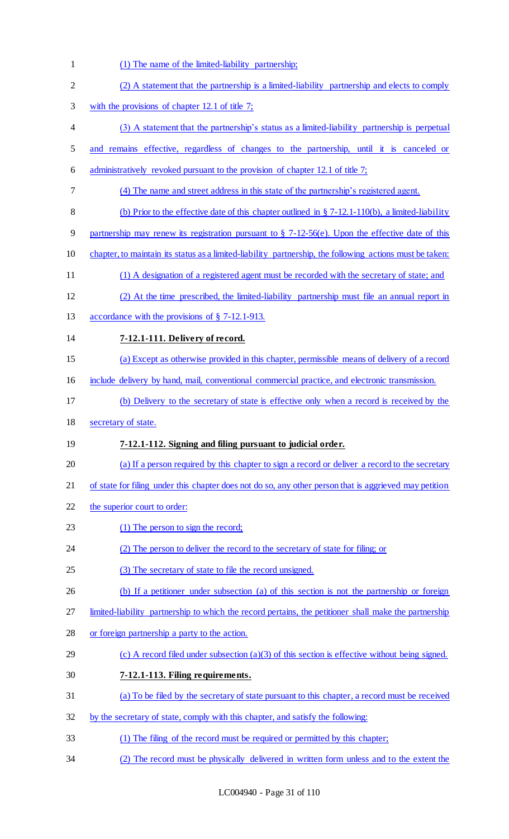- (1) The name of the limited-liability partnership; (2) A statement that the partnership is a limited-liability partnership and elects to comply with the provisions of chapter 12.1 of title 7; (3) A statement that the partnership's status as a limited-liability partnership is perpetual and remains effective, regardless of changes to the partnership, until it is canceled or 6 administratively revoked pursuant to the provision of chapter 12.1 of title 7; (4) The name and street address in this state of the partnership's registered agent. (b) Prior to the effective date of this chapter outlined in § 7-12.1-110(b), a limited-liability partnership may renew its registration pursuant to § 7-12-56(e). Upon the effective date of this chapter, to maintain its status as a limited-liability partnership, the following actions must be taken: (1) A designation of a registered agent must be recorded with the secretary of state; and (2) At the time prescribed, the limited-liability partnership must file an annual report in accordance with the provisions of § 7-12.1-913. **7-12.1-111. Delivery of record.**  (a) Except as otherwise provided in this chapter, permissible means of delivery of a record include delivery by hand, mail, conventional commercial practice, and electronic transmission. (b) Delivery to the secretary of state is effective only when a record is received by the secretary of state. **7-12.1-112. Signing and filing pursuant to judicial order.**  (a) If a person required by this chapter to sign a record or deliver a record to the secretary 21 of state for filing under this chapter does not do so, any other person that is aggrieved may petition 22 the superior court to order: 23 (1) The person to sign the record; (2) The person to deliver the record to the secretary of state for filing; or (3) The secretary of state to file the record unsigned. (b) If a petitioner under subsection (a) of this section is not the partnership or foreign limited-liability partnership to which the record pertains, the petitioner shall make the partnership or foreign partnership a party to the action. (c) A record filed under subsection (a)(3) of this section is effective without being signed. **7-12.1-113. Filing requirements.**  (a) To be filed by the secretary of state pursuant to this chapter, a record must be received by the secretary of state, comply with this chapter, and satisfy the following: (1) The filing of the record must be required or permitted by this chapter;
- (2) The record must be physically delivered in written form unless and to the extent the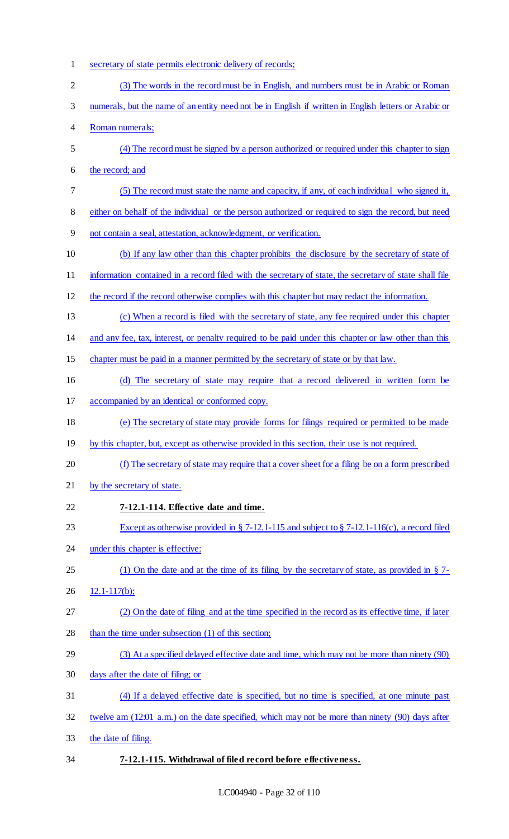- secretary of state permits electronic delivery of records;
- (3) The words in the record must be in English, and numbers must be in Arabic or Roman numerals, but the name of an entity need not be in English if written in English letters or Arabic or Roman numerals; (4) The record must be signed by a person authorized or required under this chapter to sign the record; and (5) The record must state the name and capacity, if any, of each individual who signed it, either on behalf of the individual or the person authorized or required to sign the record, but need not contain a seal, attestation, acknowledgment, or verification. (b) If any law other than this chapter prohibits the disclosure by the secretary of state of 11 information contained in a record filed with the secretary of state, the secretary of state shall file the record if the record otherwise complies with this chapter but may redact the information. (c) When a record is filed with the secretary of state, any fee required under this chapter and any fee, tax, interest, or penalty required to be paid under this chapter or law other than this chapter must be paid in a manner permitted by the secretary of state or by that law. (d) The secretary of state may require that a record delivered in written form be accompanied by an identical or conformed copy. (e) The secretary of state may provide forms for filings required or permitted to be made 19 by this chapter, but, except as otherwise provided in this section, their use is not required. (f) The secretary of state may require that a cover sheet for a filing be on a form prescribed 21 by the secretary of state. **7-12.1-114. Effective date and time.**  Except as otherwise provided in § 7-12.1-115 and subject to § 7-12.1-116(c), a record filed 24 under this chapter is effective: 25 (1) On the date and at the time of its filing by the secretary of state, as provided in  $\S$  7- $26 \frac{12.1 - 117(b)}{5}$  (2) On the date of filing and at the time specified in the record as its effective time, if later 28 than the time under subsection (1) of this section; (3) At a specified delayed effective date and time, which may not be more than ninety (90) days after the date of filing; or (4) If a delayed effective date is specified, but no time is specified, at one minute past twelve am (12:01 a.m.) on the date specified, which may not be more than ninety (90) days after the date of filing.
- **7-12.1-115. Withdrawal of filed record before effectiveness.**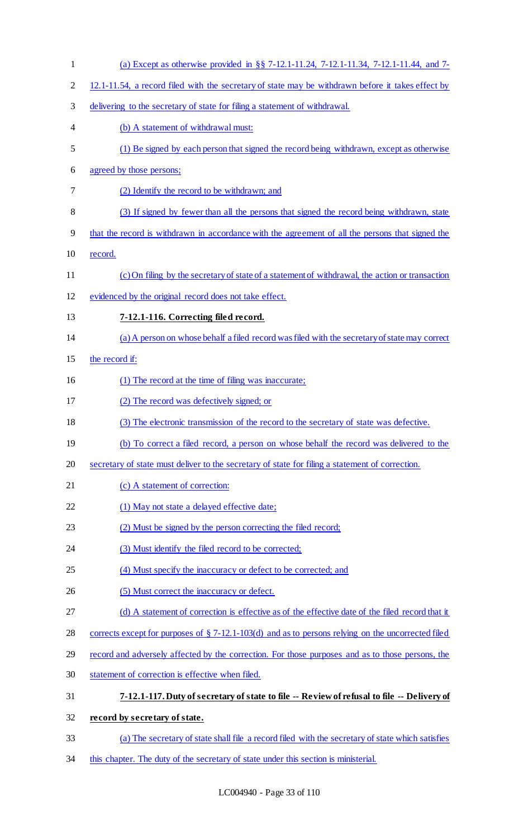- (a) Except as otherwise provided in §§ 7-12.1-11.24, 7-12.1-11.34, 7-12.1-11.44, and 7- 2 12.1-11.54, a record filed with the secretary of state may be withdrawn before it takes effect by delivering to the secretary of state for filing a statement of withdrawal. (b) A statement of withdrawal must: (1) Be signed by each person that signed the record being withdrawn, except as otherwise agreed by those persons; (2) Identify the record to be withdrawn; and (3) If signed by fewer than all the persons that signed the record being withdrawn, state that the record is withdrawn in accordance with the agreement of all the persons that signed the record. (c) On filing by the secretary of state of a statement of withdrawal, the action or transaction evidenced by the original record does not take effect. **7-12.1-116. Correcting filed record.**  (a) A person on whose behalf a filed record was filed with the secretary of state may correct the record if: (1) The record at the time of filing was inaccurate; (2) The record was defectively signed; or (3) The electronic transmission of the record to the secretary of state was defective. (b) To correct a filed record, a person on whose behalf the record was delivered to the secretary of state must deliver to the secretary of state for filing a statement of correction. 21 (c) A statement of correction: 22 (1) May not state a delayed effective date; 23 (2) Must be signed by the person correcting the filed record; 24 (3) Must identify the filed record to be corrected; (4) Must specify the inaccuracy or defect to be corrected; and 26 (5) Must correct the inaccuracy or defect. (d) A statement of correction is effective as of the effective date of the filed record that it corrects except for purposes of § 7-12.1-103(d) and as to persons relying on the uncorrected filed record and adversely affected by the correction. For those purposes and as to those persons, the statement of correction is effective when filed. **7-12.1-117. Duty of secretary of state to file -- Review of refusal to file -- Delivery of record by secretary of state.**  (a) The secretary of state shall file a record filed with the secretary of state which satisfies
- this chapter. The duty of the secretary of state under this section is ministerial.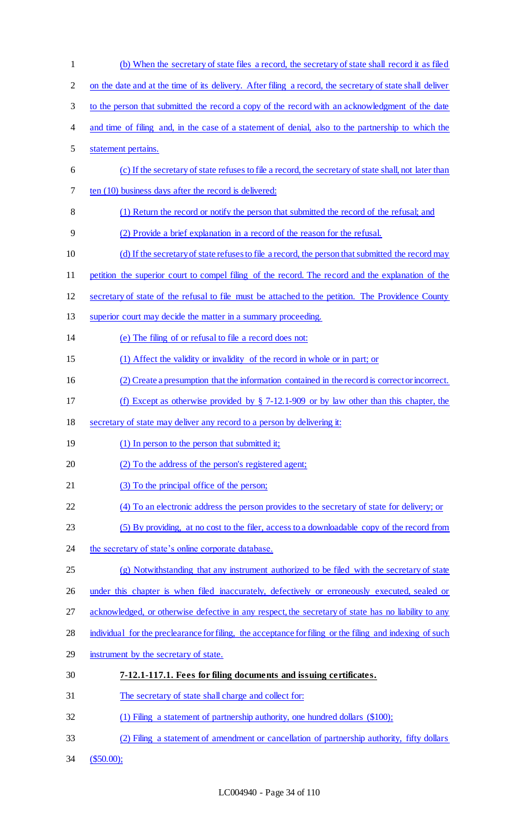| $\mathbf{1}$   | (b) When the secretary of state files a record, the secretary of state shall record it as filed          |
|----------------|----------------------------------------------------------------------------------------------------------|
| $\overline{2}$ | on the date and at the time of its delivery. After filing a record, the secretary of state shall deliver |
| 3              | to the person that submitted the record a copy of the record with an acknowledgment of the date          |
| 4              | and time of filing and, in the case of a statement of denial, also to the partnership to which the       |
| 5              | statement pertains.                                                                                      |
| 6              | (c) If the secretary of state refuses to file a record, the secretary of state shall, not later than     |
| $\tau$         | ten (10) business days after the record is delivered:                                                    |
| 8              | (1) Return the record or notify the person that submitted the record of the refusal; and                 |
| 9              | (2) Provide a brief explanation in a record of the reason for the refusal.                               |
| 10             | (d) If the secretary of state refuses to file a record, the person that submitted the record may         |
| 11             | petition the superior court to compel filing of the record. The record and the explanation of the        |
| 12             | secretary of state of the refusal to file must be attached to the petition. The Providence County        |
| 13             | superior court may decide the matter in a summary proceeding.                                            |
| 14             | (e) The filing of or refusal to file a record does not:                                                  |
| 15             | (1) Affect the validity or invalidity of the record in whole or in part; or                              |
| 16             | (2) Create a presumption that the information contained in the record is correct or incorrect.           |
| 17             | (f) Except as otherwise provided by $\S$ 7-12.1-909 or by law other than this chapter, the               |
| 18             | secretary of state may deliver any record to a person by delivering it:                                  |
| 19             | (1) In person to the person that submitted it;                                                           |
| 20             | (2) To the address of the person's registered agent;                                                     |
| 21             | (3) To the principal office of the person;                                                               |
| 22             | (4) To an electronic address the person provides to the secretary of state for delivery; or              |
| 23             | (5) By providing, at no cost to the filer, access to a downloadable copy of the record from              |
| 24             | the secretary of state's online corporate database.                                                      |
| 25             | (g) Notwithstanding that any instrument authorized to be filed with the secretary of state               |
| 26             | under this chapter is when filed inaccurately, defectively or erroneously executed, sealed or            |
| 27             | acknowledged, or otherwise defective in any respect, the secretary of state has no liability to any      |
| 28             | individual for the preclearance for filing, the acceptance for filing or the filing and indexing of such |
| 29             | instrument by the secretary of state.                                                                    |
| 30             | 7-12.1-117.1. Fees for filing documents and issuing certificates.                                        |
| 31             | The secretary of state shall charge and collect for:                                                     |
| 32             | (1) Filing a statement of partnership authority, one hundred dollars (\$100);                            |
| 33             | (2) Filing a statement of amendment or cancellation of partnership authority, fifty dollars              |
| 34             | (\$50.00);                                                                                               |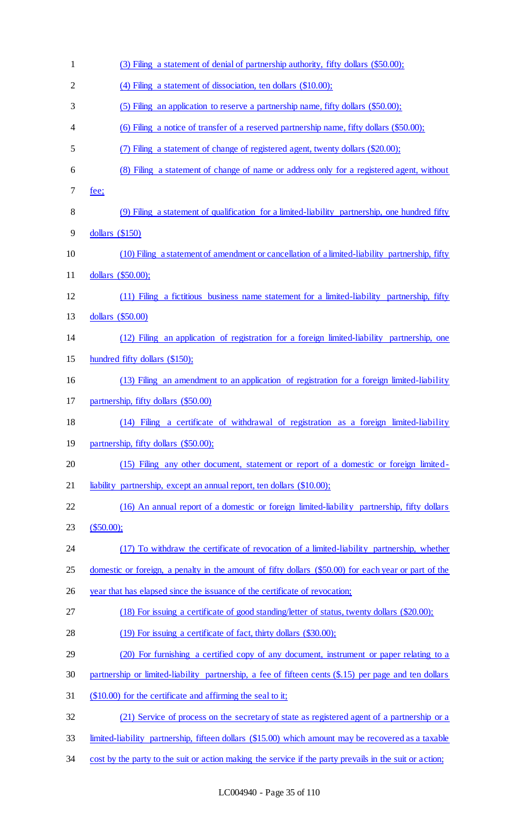| $\mathbf{1}$   | (3) Filing a statement of denial of partnership authority, fifty dollars (\$50.00);                     |
|----------------|---------------------------------------------------------------------------------------------------------|
| $\overline{2}$ | (4) Filing a statement of dissociation, ten dollars (\$10.00);                                          |
| 3              | (5) Filing an application to reserve a partnership name, fifty dollars (\$50.00);                       |
| 4              | (6) Filing a notice of transfer of a reserved partnership name, fifty dollars (\$50.00);                |
| 5              | (7) Filing a statement of change of registered agent, twenty dollars (\$20.00);                         |
| 6              | (8) Filing a statement of change of name or address only for a registered agent, without                |
| $\tau$         | fee;                                                                                                    |
| 8              | (9) Filing a statement of qualification for a limited-liability partnership, one hundred fifty          |
| 9              | dollars $(\$150)$                                                                                       |
| 10             | (10) Filing a statement of amendment or cancellation of a limited-liability partnership, fifty          |
| 11             | dollars (\$50.00);                                                                                      |
| 12             | (11) Filing a fictitious business name statement for a limited-liability partnership, fifty             |
| 13             | dollars (\$50.00)                                                                                       |
| 14             | (12) Filing an application of registration for a foreign limited-liability partnership, one             |
| 15             | hundred fifty dollars (\$150);                                                                          |
| 16             | (13) Filing an amendment to an application of registration for a foreign limited-liability              |
| 17             | partnership, fifty dollars (\$50.00)                                                                    |
| 18             | (14) Filing a certificate of withdrawal of registration as a foreign limited-liability                  |
| 19             | partnership, fifty dollars (\$50.00);                                                                   |
| 20             | (15) Filing any other document, statement or report of a domestic or foreign limited-                   |
| 21             | liability partnership, except an annual report, ten dollars (\$10.00);                                  |
| 22             | (16) An annual report of a domestic or foreign limited-liability partnership, fifty dollars             |
| 23             | $(\$50.00);$                                                                                            |
| 24             | (17) To withdraw the certificate of revocation of a limited-liability partnership, whether              |
| 25             | domestic or foreign, a penalty in the amount of fifty dollars (\$50.00) for each year or part of the    |
| 26             | year that has elapsed since the issuance of the certificate of revocation;                              |
| 27             | (18) For issuing a certificate of good standing/letter of status, twenty dollars (\$20.00);             |
| 28             | (19) For issuing a certificate of fact, thirty dollars (\$30.00);                                       |
| 29             | (20) For furnishing a certified copy of any document, instrument or paper relating to a                 |
| 30             | partnership or limited-liability partnership, a fee of fifteen cents (\$.15) per page and ten dollars   |
| 31             | $($10.00)$ for the certificate and affirming the seal to it;                                            |
| 32             | (21) Service of process on the secretary of state as registered agent of a partnership or a             |
| 33             | limited-liability partnership, fifteen dollars (\$15.00) which amount may be recovered as a taxable     |
| 34             | cost by the party to the suit or action making the service if the party prevails in the suit or action; |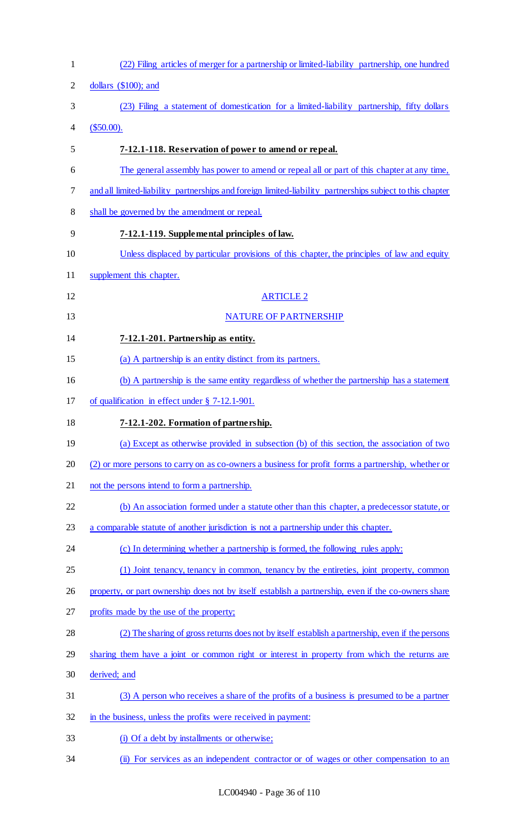| $\mathbf{1}$   | (22) Filing articles of merger for a partnership or limited-liability partnership, one hundred            |
|----------------|-----------------------------------------------------------------------------------------------------------|
| $\overline{2}$ | dollars (\$100); and                                                                                      |
| 3              | (23) Filing a statement of domestication for a limited-liability partnership, fifty dollars               |
| 4              | $(\$50.00).$                                                                                              |
| 5              | 7-12.1-118. Reservation of power to amend or repeal.                                                      |
| 6              | The general assembly has power to amend or repeal all or part of this chapter at any time,                |
| 7              | and all limited-liability partnerships and foreign limited-liability partnerships subject to this chapter |
| 8              | shall be governed by the amendment or repeal.                                                             |
| 9              | 7-12.1-119. Supplemental principles of law.                                                               |
| 10             | Unless displaced by particular provisions of this chapter, the principles of law and equity               |
| 11             | supplement this chapter.                                                                                  |
| 12             | <b>ARTICLE 2</b>                                                                                          |
| 13             | <b>NATURE OF PARTNERSHIP</b>                                                                              |
| 14             | 7-12.1-201. Partnership as entity.                                                                        |
| 15             | (a) A partnership is an entity distinct from its partners.                                                |
| 16             | (b) A partnership is the same entity regardless of whether the partnership has a statement                |
| 17             | of qualification in effect under $\S$ 7-12.1-901.                                                         |
| 18             | 7-12.1-202. Formation of partnership.                                                                     |
| 19             | (a) Except as otherwise provided in subsection (b) of this section, the association of two                |
| 20             | (2) or more persons to carry on as co-owners a business for profit forms a partnership, whether or        |
| 21             | not the persons intend to form a partnership.                                                             |
| 22             | (b) An association formed under a statute other than this chapter, a predecessor statute, or              |
| 23             | a comparable statute of another jurisdiction is not a partnership under this chapter.                     |
| 24             | (c) In determining whether a partnership is formed, the following rules apply:                            |
| 25             | (1) Joint tenancy, tenancy in common, tenancy by the entireties, joint property, common                   |
| 26             | property, or part ownership does not by itself establish a partnership, even if the co-owners share       |
| 27             | profits made by the use of the property;                                                                  |
| 28             | (2) The sharing of gross returns does not by itself establish a partnership, even if the persons          |
| 29             | sharing them have a joint or common right or interest in property from which the returns are              |
| 30             | derived; and                                                                                              |
| 31             | (3) A person who receives a share of the profits of a business is presumed to be a partner                |
| 32             | in the business, unless the profits were received in payment:                                             |
| 33             | (i) Of a debt by installments or otherwise;                                                               |
| 34             | (ii) For services as an independent contractor or of wages or other compensation to an                    |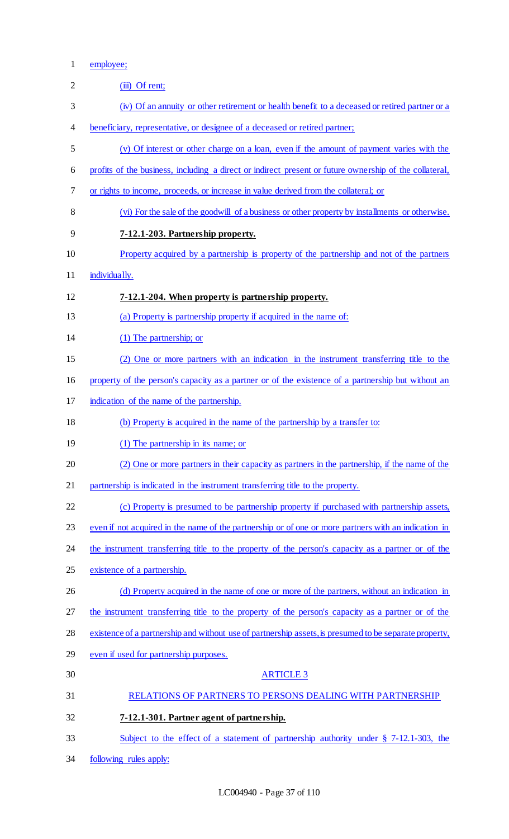employee;

| $\overline{2}$ | (iii) Of rent;                                                                                         |
|----------------|--------------------------------------------------------------------------------------------------------|
| 3              | (iv) Of an annuity or other retirement or health benefit to a deceased or retired partner or a         |
| 4              | beneficiary, representative, or designee of a deceased or retired partner;                             |
| 5              | (v) Of interest or other charge on a loan, even if the amount of payment varies with the               |
| 6              | profits of the business, including a direct or indirect present or future ownership of the collateral, |
| 7              | or rights to income, proceeds, or increase in value derived from the collateral; or                    |
| 8              | (vi) For the sale of the goodwill of a business or other property by installments or otherwise.        |
| 9              | 7-12.1-203. Partnership property.                                                                      |
| 10             | Property acquired by a partnership is property of the partnership and not of the partners              |
| 11             | individually.                                                                                          |
| 12             | 7-12.1-204. When property is partnership property.                                                     |
| 13             | (a) Property is partnership property if acquired in the name of:                                       |
| 14             | (1) The partnership; or                                                                                |
| 15             | (2) One or more partners with an indication in the instrument transferring title to the                |
| 16             | property of the person's capacity as a partner or of the existence of a partnership but without an     |
| 17             | indication of the name of the partnership.                                                             |
| 18             | (b) Property is acquired in the name of the partnership by a transfer to:                              |
| 19             | $(1)$ The partnership in its name; or                                                                  |
| 20             | (2) One or more partners in their capacity as partners in the partnership, if the name of the          |
| 21             | partnership is indicated in the instrument transferring title to the property.                         |
| 22             | (c) Property is presumed to be partnership property if purchased with partnership assets,              |
| 23             | even if not acquired in the name of the partnership or of one or more partners with an indication in   |
| 24             | the instrument transferring title to the property of the person's capacity as a partner or of the      |
| 25             | existence of a partnership.                                                                            |
| 26             | (d) Property acquired in the name of one or more of the partners, without an indication in             |
| 27             | the instrument transferring title to the property of the person's capacity as a partner or of the      |
| 28             | existence of a partnership and without use of partnership assets, is presumed to be separate property, |
| 29             | even if used for partnership purposes.                                                                 |
| 30             | <b>ARTICLE 3</b>                                                                                       |
| 31             | RELATIONS OF PARTNERS TO PERSONS DEALING WITH PARTNERSHIP                                              |
| 32             | 7-12.1-301. Partner agent of partnership.                                                              |
| 33             | Subject to the effect of a statement of partnership authority under $\S$ 7-12.1-303, the               |
| 34             | following rules apply:                                                                                 |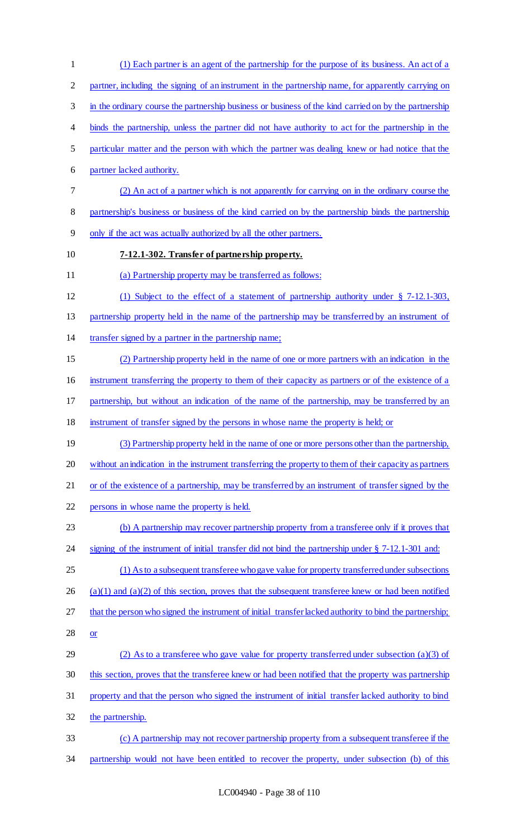(1) Each partner is an agent of the partnership for the purpose of its business. An act of a 2 partner, including the signing of an instrument in the partnership name, for apparently carrying on 3 in the ordinary course the partnership business or business of the kind carried on by the partnership 4 binds the partnership, unless the partner did not have authority to act for the partnership in the particular matter and the person with which the partner was dealing knew or had notice that the partner lacked authority. (2) An act of a partner which is not apparently for carrying on in the ordinary course the partnership's business or business of the kind carried on by the partnership binds the partnership only if the act was actually authorized by all the other partners. **7-12.1-302. Transfer of partnership property.**  (a) Partnership property may be transferred as follows: (1) Subject to the effect of a statement of partnership authority under § 7-12.1-303, partnership property held in the name of the partnership may be transferred by an instrument of transfer signed by a partner in the partnership name; (2) Partnership property held in the name of one or more partners with an indication in the instrument transferring the property to them of their capacity as partners or of the existence of a partnership, but without an indication of the name of the partnership, may be transferred by an instrument of transfer signed by the persons in whose name the property is held; or (3) Partnership property held in the name of one or more persons other than the partnership, without an indication in the instrument transferring the property to them of their capacity as partners 21 or of the existence of a partnership, may be transferred by an instrument of transfer signed by the persons in whose name the property is held. (b) A partnership may recover partnership property from a transferee only if it proves that 24 signing of the instrument of initial transfer did not bind the partnership under § 7-12.1-301 and: (1) As to a subsequent transferee who gave value for property transferred under subsections (a)(1) and (a)(2) of this section, proves that the subsequent transferee knew or had been notified that the person who signed the instrument of initial transfer lacked authority to bind the partnership; or (2) As to a transferee who gave value for property transferred under subsection (a)(3) of this section, proves that the transferee knew or had been notified that the property was partnership property and that the person who signed the instrument of initial transfer lacked authority to bind the partnership. (c) A partnership may not recover partnership property from a subsequent transferee if the partnership would not have been entitled to recover the property, under subsection (b) of this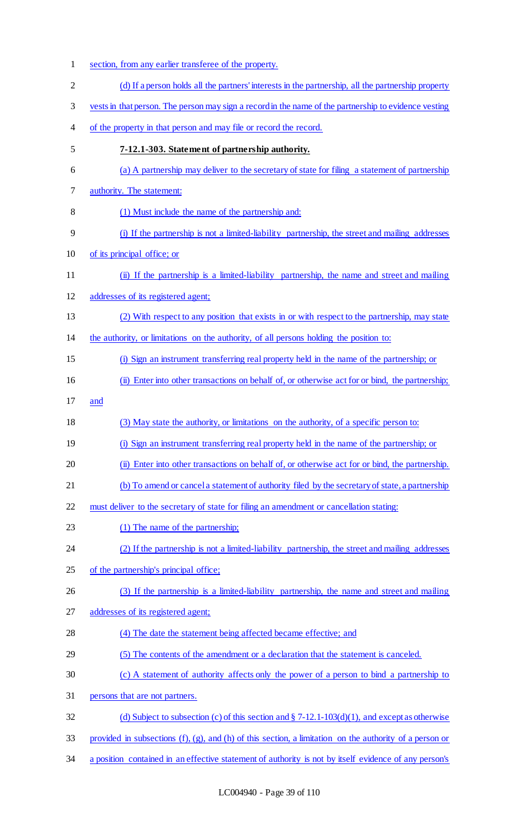section, from any earlier transferee of the property. (d) If a person holds all the partners' interests in the partnership, all the partnership property vests in that person. The person may sign a record in the name of the partnership to evidence vesting of the property in that person and may file or record the record. **7-12.1-303. Statement of partnership authority.**  (a) A partnership may deliver to the secretary of state for filing a statement of partnership authority. The statement: (1) Must include the name of the partnership and: (i) If the partnership is not a limited-liability partnership, the street and mailing addresses 10 of its principal office; or (ii) If the partnership is a limited-liability partnership, the name and street and mailing addresses of its registered agent; (2) With respect to any position that exists in or with respect to the partnership, may state the authority, or limitations on the authority, of all persons holding the position to: (i) Sign an instrument transferring real property held in the name of the partnership; or (ii) Enter into other transactions on behalf of, or otherwise act for or bind, the partnership; and (3) May state the authority, or limitations on the authority, of a specific person to: (i) Sign an instrument transferring real property held in the name of the partnership; or (ii) Enter into other transactions on behalf of, or otherwise act for or bind, the partnership. 21 (b) To amend or cancel a statement of authority filed by the secretary of state, a partnership must deliver to the secretary of state for filing an amendment or cancellation stating: 23 (1) The name of the partnership; (2) If the partnership is not a limited-liability partnership, the street and mailing addresses of the partnership's principal office; (3) If the partnership is a limited-liability partnership, the name and street and mailing addresses of its registered agent; (4) The date the statement being affected became effective; and (5) The contents of the amendment or a declaration that the statement is canceled. (c) A statement of authority affects only the power of a person to bind a partnership to persons that are not partners. 32 (d) Subject to subsection (c) of this section and § 7-12.1-103(d)(1), and except as otherwise provided in subsections (f), (g), and (h) of this section, a limitation on the authority of a person or a position contained in an effective statement of authority is not by itself evidence of any person's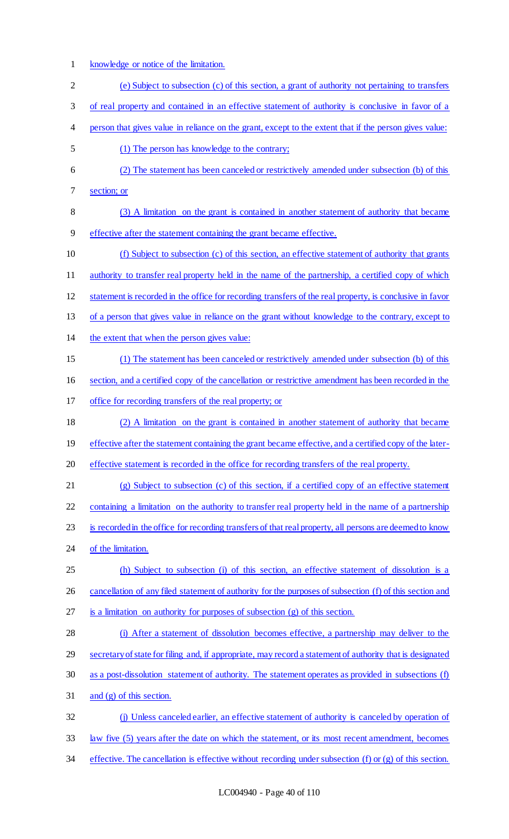- knowledge or notice of the limitation.
- (e) Subject to subsection (c) of this section, a grant of authority not pertaining to transfers of real property and contained in an effective statement of authority is conclusive in favor of a person that gives value in reliance on the grant, except to the extent that if the person gives value: (1) The person has knowledge to the contrary; (2) The statement has been canceled or restrictively amended under subsection (b) of this section; or (3) A limitation on the grant is contained in another statement of authority that became effective after the statement containing the grant became effective. (f) Subject to subsection (c) of this section, an effective statement of authority that grants authority to transfer real property held in the name of the partnership, a certified copy of which statement is recorded in the office for recording transfers of the real property, is conclusive in favor of a person that gives value in reliance on the grant without knowledge to the contrary, except to the extent that when the person gives value: (1) The statement has been canceled or restrictively amended under subsection (b) of this section, and a certified copy of the cancellation or restrictive amendment has been recorded in the office for recording transfers of the real property; or (2) A limitation on the grant is contained in another statement of authority that became 19 effective after the statement containing the grant became effective, and a certified copy of the later- effective statement is recorded in the office for recording transfers of the real property. (g) Subject to subsection (c) of this section, if a certified copy of an effective statement containing a limitation on the authority to transfer real property held in the name of a partnership 23 is recorded in the office for recording transfers of that real property, all persons are deemed to know 24 of the limitation. (h) Subject to subsection (i) of this section, an effective statement of dissolution is a 26 cancellation of any filed statement of authority for the purposes of subsection (f) of this section and is a limitation on authority for purposes of subsection (g) of this section. (i) After a statement of dissolution becomes effective, a partnership may deliver to the secretary of state for filing and, if appropriate, may record a statement of authority that is designated as a post-dissolution statement of authority. The statement operates as provided in subsections (f) and (g) of this section. (j) Unless canceled earlier, an effective statement of authority is canceled by operation of law five (5) years after the date on which the statement, or its most recent amendment, becomes effective. The cancellation is effective without recording under subsection (f) or (g) of this section.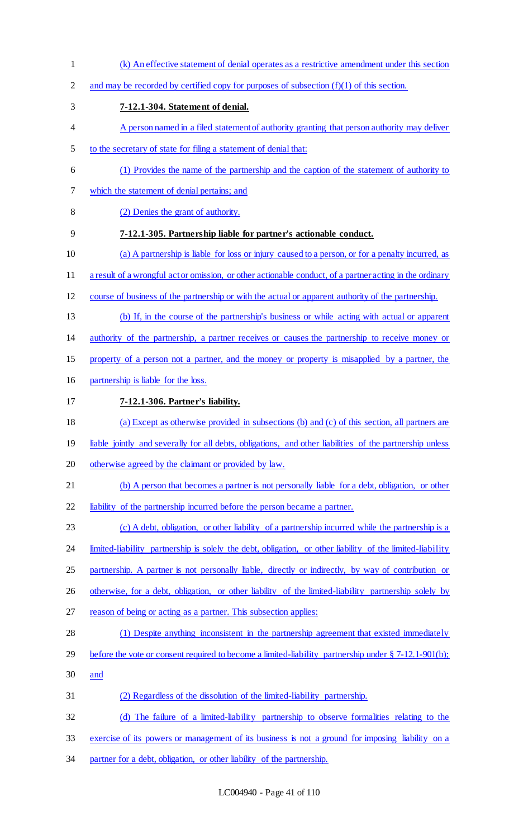(k) An effective statement of denial operates as a restrictive amendment under this section 2 and may be recorded by certified copy for purposes of subsection (f)(1) of this section. **7-12.1-304. Statement of denial.**  A person named in a filed statement of authority granting that person authority may deliver to the secretary of state for filing a statement of denial that: (1) Provides the name of the partnership and the caption of the statement of authority to which the statement of denial pertains; and (2) Denies the grant of authority. **7-12.1-305. Partnership liable for partner's actionable conduct.**  (a) A partnership is liable for loss or injury caused to a person, or for a penalty incurred, as 11 a result of a wrongful act or omission, or other actionable conduct, of a partner acting in the ordinary course of business of the partnership or with the actual or apparent authority of the partnership. (b) If, in the course of the partnership's business or while acting with actual or apparent authority of the partnership, a partner receives or causes the partnership to receive money or property of a person not a partner, and the money or property is misapplied by a partner, the partnership is liable for the loss. **7-12.1-306. Partner's liability.**  (a) Except as otherwise provided in subsections (b) and (c) of this section, all partners are 19 liable jointly and severally for all debts, obligations, and other liabilities of the partnership unless otherwise agreed by the claimant or provided by law. 21 (b) A person that becomes a partner is not personally liable for a debt, obligation, or other 22 liability of the partnership incurred before the person became a partner. (c) A debt, obligation, or other liability of a partnership incurred while the partnership is a 24 limited-liability partnership is solely the debt, obligation, or other liability of the limited-liability partnership. A partner is not personally liable, directly or indirectly, by way of contribution or otherwise, for a debt, obligation, or other liability of the limited-liability partnership solely by 27 reason of being or acting as a partner. This subsection applies: 28 (1) Despite anything inconsistent in the partnership agreement that existed immediately before the vote or consent required to become a limited-liability partnership under § 7-12.1-901(b); and (2) Regardless of the dissolution of the limited-liability partnership. (d) The failure of a limited-liability partnership to observe formalities relating to the exercise of its powers or management of its business is not a ground for imposing liability on a partner for a debt, obligation, or other liability of the partnership.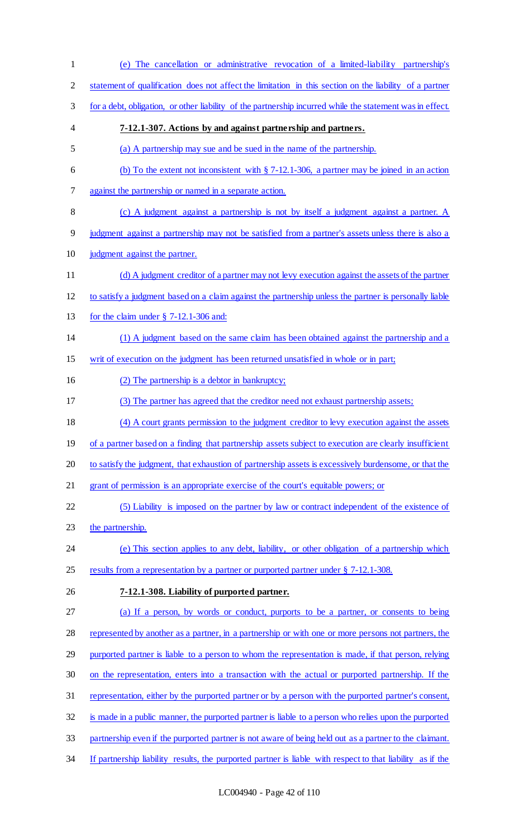| $\mathbf{1}$   | (e) The cancellation or administrative revocation of a limited-liability partnership's                     |
|----------------|------------------------------------------------------------------------------------------------------------|
| $\overline{2}$ | statement of qualification does not affect the limitation in this section on the liability of a partner    |
| 3              | for a debt, obligation, or other liability of the partnership incurred while the statement was in effect.  |
| 4              | 7-12.1-307. Actions by and against partnership and partners.                                               |
| 5              | (a) A partnership may sue and be sued in the name of the partnership.                                      |
| 6              | (b) To the extent not inconsistent with $\S$ 7-12.1-306, a partner may be joined in an action              |
| 7              | against the partnership or named in a separate action.                                                     |
| 8              | (c) A judgment against a partnership is not by itself a judgment against a partner. A                      |
| 9              | judgment against a partnership may not be satisfied from a partner's assets unless there is also a         |
| 10             | judgment against the partner.                                                                              |
| 11             | (d) A judgment creditor of a partner may not levy execution against the assets of the partner              |
| 12             | to satisfy a judgment based on a claim against the partnership unless the partner is personally liable     |
| 13             | for the claim under $\S$ 7-12.1-306 and:                                                                   |
| 14             | (1) A judgment based on the same claim has been obtained against the partnership and a                     |
| 15             | writ of execution on the judgment has been returned unsatisfied in whole or in part;                       |
| 16             | (2) The partnership is a debtor in bankruptcy;                                                             |
| 17             | (3) The partner has agreed that the creditor need not exhaust partnership assets;                          |
| 18             | (4) A court grants permission to the judgment creditor to levy execution against the assets                |
| 19             | of a partner based on a finding that partnership assets subject to execution are clearly insufficient      |
| 20             | to satisfy the judgment, that exhaustion of partnership assets is excessively burdensome, or that the      |
| 21             | grant of permission is an appropriate exercise of the court's equitable powers; or                         |
| 22             | (5) Liability is imposed on the partner by law or contract independent of the existence of                 |
| 23             | the partnership.                                                                                           |
| 24             | (e) This section applies to any debt, liability, or other obligation of a partnership which                |
| 25             | results from a representation by a partner or purported partner under § 7-12.1-308.                        |
| 26             | 7-12.1-308. Liability of purported partner.                                                                |
| 27             | (a) If a person, by words or conduct, purports to be a partner, or consents to being                       |
| 28             | represented by another as a partner, in a partnership or with one or more persons not partners, the        |
| 29             | purported partner is liable to a person to whom the representation is made, if that person, relying        |
| 30             | on the representation, enters into a transaction with the actual or purported partnership. If the          |
| 31             | representation, either by the purported partner or by a person with the purported partner's consent,       |
| 32             | is made in a public manner, the purported partner is liable to a person who relies upon the purported      |
| 33             | partnership even if the purported partner is not aware of being held out as a partner to the claimant.     |
| 34             | If partnership liability results, the purported partner is liable with respect to that liability as if the |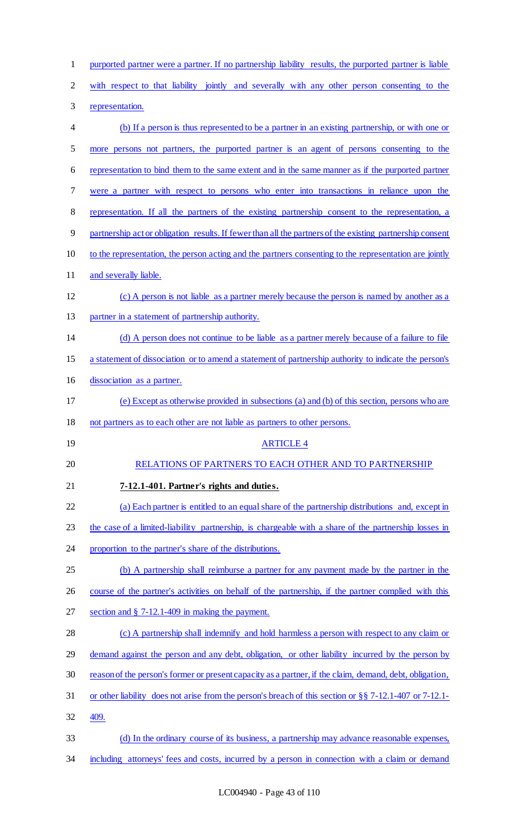| $\mathbf 1$    | purported partner were a partner. If no partnership liability results, the purported partner is liable                 |
|----------------|------------------------------------------------------------------------------------------------------------------------|
| $\overline{2}$ | with respect to that liability jointly and severally with any other person consenting to the                           |
| 3              | representation.                                                                                                        |
| 4              | (b) If a person is thus represented to be a partner in an existing partnership, or with one or                         |
| 5              | more persons not partners, the purported partner is an agent of persons consenting to the                              |
| 6              | representation to bind them to the same extent and in the same manner as if the purported partner                      |
| 7              | were a partner with respect to persons who enter into transactions in reliance upon the                                |
| 8              | representation. If all the partners of the existing partnership consent to the representation, a                       |
| 9              | partnership act or obligation results. If fewer than all the partners of the existing partnership consent              |
| 10             | to the representation, the person acting and the partners consenting to the representation are jointly                 |
| 11             | and severally liable.                                                                                                  |
| 12             | (c) A person is not liable as a partner merely because the person is named by another as a                             |
| 13             | partner in a statement of partnership authority.                                                                       |
| 14             | (d) A person does not continue to be liable as a partner merely because of a failure to file                           |
| 15             | a statement of dissociation or to amend a statement of partnership authority to indicate the person's                  |
| 16             | dissociation as a partner.                                                                                             |
| 17             | (e) Except as otherwise provided in subsections (a) and (b) of this section, persons who are                           |
| 18             | not partners as to each other are not liable as partners to other persons.                                             |
| 19             | <b>ARTICLE 4</b>                                                                                                       |
| 20             | RELATIONS OF PARTNERS TO EACH OTHER AND TO PARTNERSHIP                                                                 |
| 21             | 7-12.1-401. Partner's rights and duties.                                                                               |
| 22             | (a) Each partner is entitled to an equal share of the partnership distributions and, except in                         |
| 23             | the case of a limited-liability partnership, is chargeable with a share of the partnership losses in                   |
| 24             | proportion to the partner's share of the distributions.                                                                |
| 25             | (b) A partnership shall reimburse a partner for any payment made by the partner in the                                 |
| 26             | course of the partner's activities on behalf of the partnership, if the partner complied with this                     |
| 27             | section and $\S$ 7-12.1-409 in making the payment.                                                                     |
| 28             | (c) A partnership shall indemnify and hold harmless a person with respect to any claim or                              |
| 29             | demand against the person and any debt, obligation, or other liability incurred by the person by                       |
| 30             | reason of the person's former or present capacity as a partner, if the claim, demand, debt, obligation,                |
| 31             | or other liability does not arise from the person's breach of this section or $\S$ $\frac{8}{3}$ 7-12.1-407 or 7-12.1- |
| 32             |                                                                                                                        |
|                | 409.                                                                                                                   |
| 33             | (d) In the ordinary course of its business, a partnership may advance reasonable expenses,                             |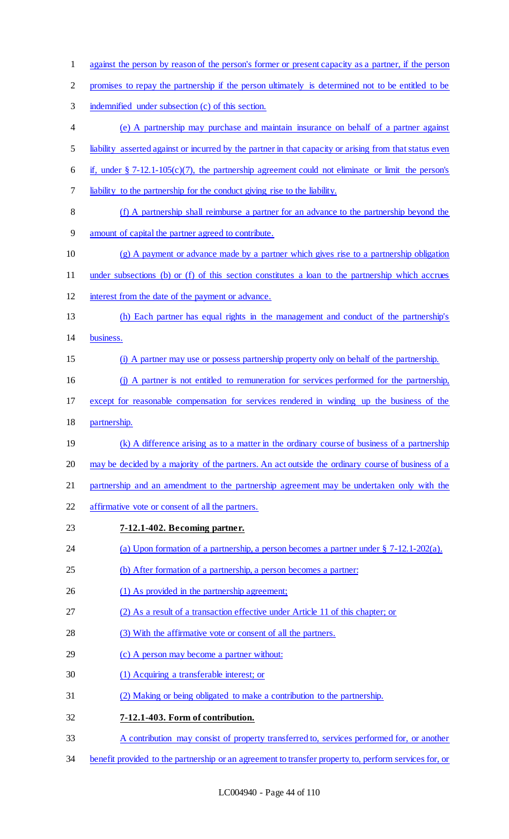- against the person by reason of the person's former or present capacity as a partner, if the person promises to repay the partnership if the person ultimately is determined not to be entitled to be indemnified under subsection (c) of this section. (e) A partnership may purchase and maintain insurance on behalf of a partner against liability asserted against or incurred by the partner in that capacity or arising from that status even 6 if, under  $\S$  7-12.1-105(c)(7), the partnership agreement could not eliminate or limit the person's liability to the partnership for the conduct giving rise to the liability. (f) A partnership shall reimburse a partner for an advance to the partnership beyond the amount of capital the partner agreed to contribute. (g) A payment or advance made by a partner which gives rise to a partnership obligation under subsections (b) or (f) of this section constitutes a loan to the partnership which accrues interest from the date of the payment or advance. (h) Each partner has equal rights in the management and conduct of the partnership's business. (i) A partner may use or possess partnership property only on behalf of the partnership. (j) A partner is not entitled to remuneration for services performed for the partnership, except for reasonable compensation for services rendered in winding up the business of the partnership. 19 (k) A difference arising as to a matter in the ordinary course of business of a partnership may be decided by a majority of the partners. An act outside the ordinary course of business of a partnership and an amendment to the partnership agreement may be undertaken only with the affirmative vote or consent of all the partners. **7-12.1-402. Becoming partner.**  24 (a) Upon formation of a partnership, a person becomes a partner under § 7-12.1-202(a). (b) After formation of a partnership, a person becomes a partner: 26 (1) As provided in the partnership agreement; (2) As a result of a transaction effective under Article 11 of this chapter; or (3) With the affirmative vote or consent of all the partners. (c) A person may become a partner without: (1) Acquiring a transferable interest; or (2) Making or being obligated to make a contribution to the partnership. **7-12.1-403. Form of contribution.**  A contribution may consist of property transferred to, services performed for, or another
- benefit provided to the partnership or an agreement to transfer property to, perform services for, or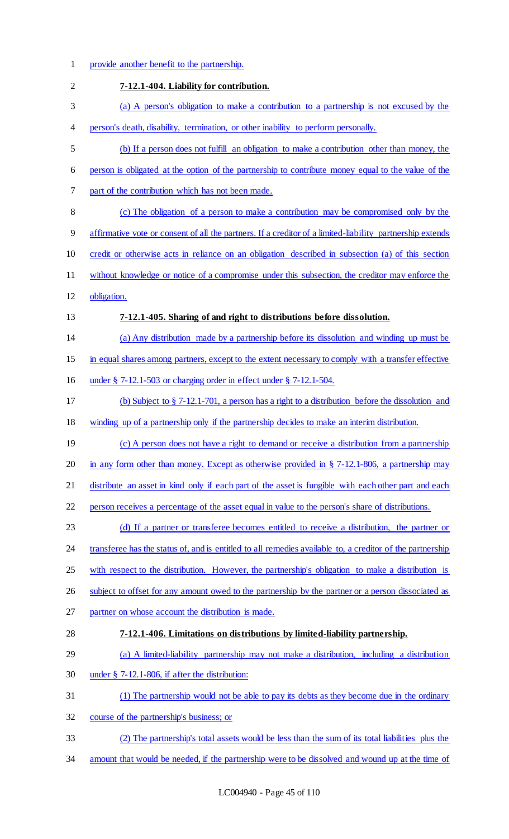1 provide another benefit to the partnership.

| $\overline{2}$ | 7-12.1-404. Liability for contribution.                                                                   |
|----------------|-----------------------------------------------------------------------------------------------------------|
| 3              | (a) A person's obligation to make a contribution to a partnership is not excused by the                   |
| 4              | person's death, disability, termination, or other inability to perform personally.                        |
| 5              | (b) If a person does not fulfill an obligation to make a contribution other than money, the               |
| 6              | person is obligated at the option of the partnership to contribute money equal to the value of the        |
| 7              | part of the contribution which has not been made.                                                         |
| $8\,$          | (c) The obligation of a person to make a contribution may be compromised only by the                      |
| $\overline{9}$ | affirmative vote or consent of all the partners. If a creditor of a limited-liability partnership extends |
| 10             | credit or otherwise acts in reliance on an obligation described in subsection (a) of this section         |
| 11             | without knowledge or notice of a compromise under this subsection, the creditor may enforce the           |
| 12             | obligation.                                                                                               |
| 13             | 7-12.1-405. Sharing of and right to distributions before dissolution.                                     |
| 14             | (a) Any distribution made by a partnership before its dissolution and winding up must be                  |
| 15             | in equal shares among partners, except to the extent necessary to comply with a transfer effective        |
| 16             | under $\S$ 7-12.1-503 or charging order in effect under $\S$ 7-12.1-504.                                  |
| 17             | (b) Subject to $\S$ 7-12.1-701, a person has a right to a distribution before the dissolution and         |
| 18             | winding up of a partnership only if the partnership decides to make an interim distribution.              |
| 19             | (c) A person does not have a right to demand or receive a distribution from a partnership                 |
| 20             | in any form other than money. Except as otherwise provided in $\S$ 7-12.1-806, a partnership may          |
| 21             | distribute an asset in kind only if each part of the asset is fungible with each other part and each      |
| 22             | person receives a percentage of the asset equal in value to the person's share of distributions.          |
| 23             | (d) If a partner or transferee becomes entitled to receive a distribution, the partner or                 |
| 24             | transferee has the status of, and is entitled to all remedies available to, a creditor of the partnership |
| 25             | with respect to the distribution. However, the partnership's obligation to make a distribution is         |
| 26             | subject to offset for any amount owed to the partnership by the partner or a person dissociated as        |
| 27             | partner on whose account the distribution is made.                                                        |
| 28             | 7-12.1-406. Limitations on distributions by limited-liability partnership.                                |
| 29             | (a) A limited-liability partnership may not make a distribution, including a distribution                 |
| 30             | under $\S$ 7-12.1-806, if after the distribution:                                                         |
| 31             | (1) The partnership would not be able to pay its debts as they become due in the ordinary                 |
| 32             | course of the partnership's business; or                                                                  |
| 33             | (2) The partnership's total assets would be less than the sum of its total liabilities plus the           |
| 34             | amount that would be needed, if the partnership were to be dissolved and wound up at the time of          |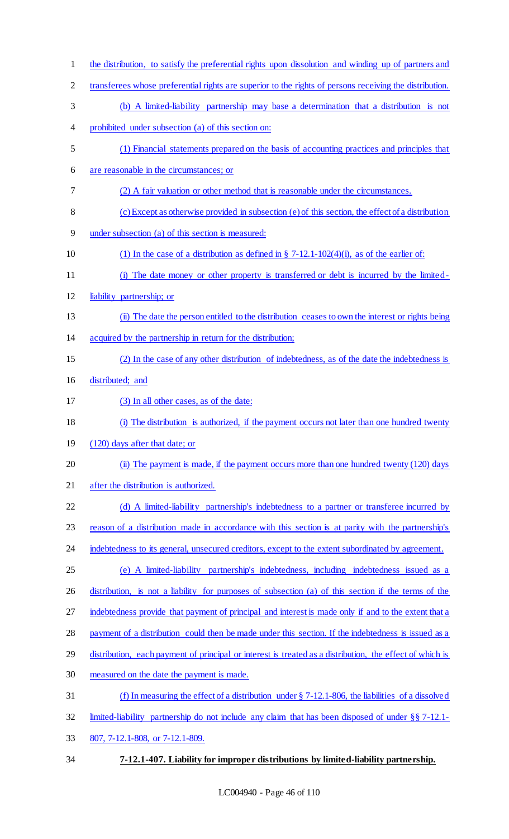the distribution, to satisfy the preferential rights upon dissolution and winding up of partners and transferees whose preferential rights are superior to the rights of persons receiving the distribution. (b) A limited-liability partnership may base a determination that a distribution is not prohibited under subsection (a) of this section on: (1) Financial statements prepared on the basis of accounting practices and principles that are reasonable in the circumstances; or (2) A fair valuation or other method that is reasonable under the circumstances. (c) Except as otherwise provided in subsection (e) of this section, the effect of a distribution under subsection (a) of this section is measured: 10 (1) In the case of a distribution as defined in  $\S$  7-12.1-102(4)(i), as of the earlier of: (i) The date money or other property is transferred or debt is incurred by the limited- liability partnership; or (ii) The date the person entitled to the distribution ceases to own the interest or rights being acquired by the partnership in return for the distribution; (2) In the case of any other distribution of indebtedness, as of the date the indebtedness is distributed; and 17 (3) In all other cases, as of the date: (i) The distribution is authorized, if the payment occurs not later than one hundred twenty (120) days after that date; or 20 (ii) The payment is made, if the payment occurs more than one hundred twenty (120) days after the distribution is authorized. 22 (d) A limited-liability partnership's indebtedness to a partner or transferee incurred by 23 reason of a distribution made in accordance with this section is at parity with the partnership's 24 indebtedness to its general, unsecured creditors, except to the extent subordinated by agreement. (e) A limited-liability partnership's indebtedness, including indebtedness issued as a distribution, is not a liability for purposes of subsection (a) of this section if the terms of the indebtedness provide that payment of principal and interest is made only if and to the extent that a payment of a distribution could then be made under this section. If the indebtedness is issued as a distribution, each payment of principal or interest is treated as a distribution, the effect of which is measured on the date the payment is made. (f) In measuring the effect of a distribution under § 7-12.1-806, the liabilities of a dissolved limited-liability partnership do not include any claim that has been disposed of under §§ 7-12.1- 807, 7-12.1-808, or 7-12.1-809. **7-12.1-407. Liability for improper distributions by limited-liability partnership.**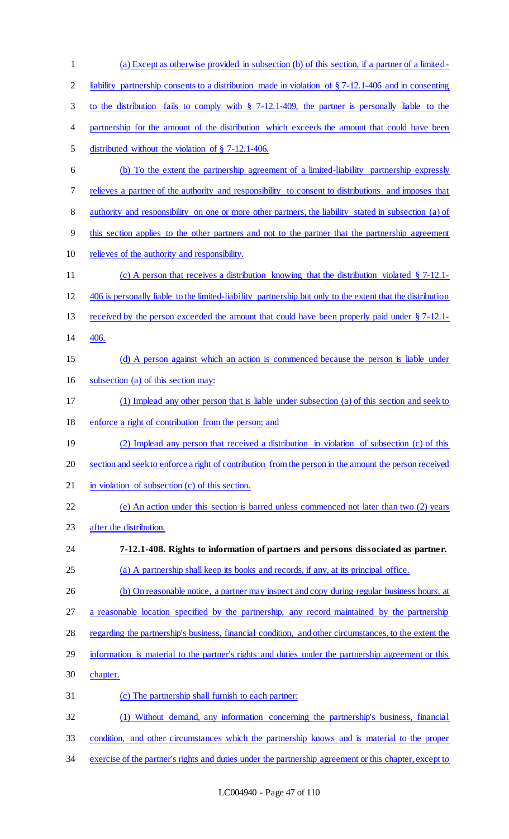| $\mathbf{1}$   | (a) Except as otherwise provided in subsection (b) of this section, if a partner of a limited-             |
|----------------|------------------------------------------------------------------------------------------------------------|
| $\overline{c}$ | liability partnership consents to a distribution made in violation of $\S$ 7-12.1-406 and in consenting    |
| 3              | to the distribution fails to comply with $\S$ 7-12.1-409, the partner is personally liable to the          |
| 4              | partnership for the amount of the distribution which exceeds the amount that could have been               |
| 5              | distributed without the violation of $\S$ 7-12.1-406.                                                      |
| 6              | (b) To the extent the partnership agreement of a limited-liability partnership expressly                   |
| 7              | relieves a partner of the authority and responsibility to consent to distributions and imposes that        |
| 8              | authority and responsibility on one or more other partners, the liability stated in subsection (a) of      |
| 9              | this section applies to the other partners and not to the partner that the partnership agreement           |
| 10             | relieves of the authority and responsibility.                                                              |
| 11             | (c) A person that receives a distribution knowing that the distribution violated $\S$ 7-12.1-              |
| 12             | 406 is personally liable to the limited-liability partnership but only to the extent that the distribution |
| 13             | received by the person exceeded the amount that could have been properly paid under $\S$ 7-12.1-           |
| 14             | 406.                                                                                                       |
| 15             | (d) A person against which an action is commenced because the person is liable under                       |
| 16             | subsection (a) of this section may:                                                                        |
| 17             | (1) Implead any other person that is liable under subsection (a) of this section and seek to               |
| 18             | enforce a right of contribution from the person; and                                                       |
| 19             | (2) Implead any person that received a distribution in violation of subsection (c) of this                 |
| 20             | section and seek to enforce a right of contribution from the person in the amount the person received      |
| 21             | in violation of subsection (c) of this section.                                                            |
| 22             | (e) An action under this section is barred unless commenced not later than two (2) years                   |
| 23             | after the distribution.                                                                                    |
| 24             | 7-12.1-408. Rights to information of partners and persons dissociated as partner.                          |
| 25             | (a) A partnership shall keep its books and records, if any, at its principal office.                       |
| 26             | (b) On reasonable notice, a partner may inspect and copy during regular business hours, at                 |
| 27             | a reasonable location specified by the partnership, any record maintained by the partnership               |
| 28             | regarding the partnership's business, financial condition, and other circumstances, to the extent the      |
| 29             | information is material to the partner's rights and duties under the partnership agreement or this         |
| 30             | chapter.                                                                                                   |
| 31             | (c) The partnership shall furnish to each partner:                                                         |
| 32             | (1) Without demand, any information concerning the partnership's business, financial                       |
| 33             | condition, and other circumstances which the partnership knows and is material to the proper               |
| 34             | exercise of the partner's rights and duties under the partnership agreement or this chapter, except to     |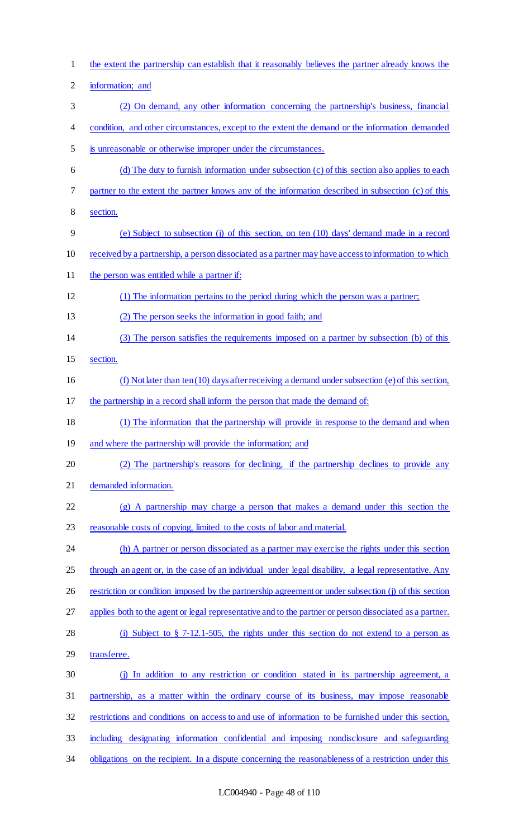the extent the partnership can establish that it reasonably believes the partner already knows the information; and (2) On demand, any other information concerning the partnership's business, financial condition, and other circumstances, except to the extent the demand or the information demanded is unreasonable or otherwise improper under the circumstances. (d) The duty to furnish information under subsection (c) of this section also applies to each partner to the extent the partner knows any of the information described in subsection (c) of this section. (e) Subject to subsection (j) of this section, on ten (10) days' demand made in a record received by a partnership, a person dissociated as a partner may have access to information to which 11 the person was entitled while a partner if: (1) The information pertains to the period during which the person was a partner; (2) The person seeks the information in good faith; and (3) The person satisfies the requirements imposed on a partner by subsection (b) of this section. (f) Not later than ten (10) days after receiving a demand under subsection (e) of this section, 17 the partnership in a record shall inform the person that made the demand of: (1) The information that the partnership will provide in response to the demand and when 19 and where the partnership will provide the information; and (2) The partnership's reasons for declining, if the partnership declines to provide any demanded information. (g) A partnership may charge a person that makes a demand under this section the 23 reasonable costs of copying, limited to the costs of labor and material. 24 (h) A partner or person dissociated as a partner may exercise the rights under this section 25 through an agent or, in the case of an individual under legal disability, a legal representative. Any 26 restriction or condition imposed by the partnership agreement or under subsection (j) of this section applies both to the agent or legal representative and to the partner or person dissociated as a partner. (i) Subject to § 7-12.1-505, the rights under this section do not extend to a person as transferee. (j) In addition to any restriction or condition stated in its partnership agreement, a partnership, as a matter within the ordinary course of its business, may impose reasonable restrictions and conditions on access to and use of information to be furnished under this section, including designating information confidential and imposing nondisclosure and safeguarding obligations on the recipient. In a dispute concerning the reasonableness of a restriction under this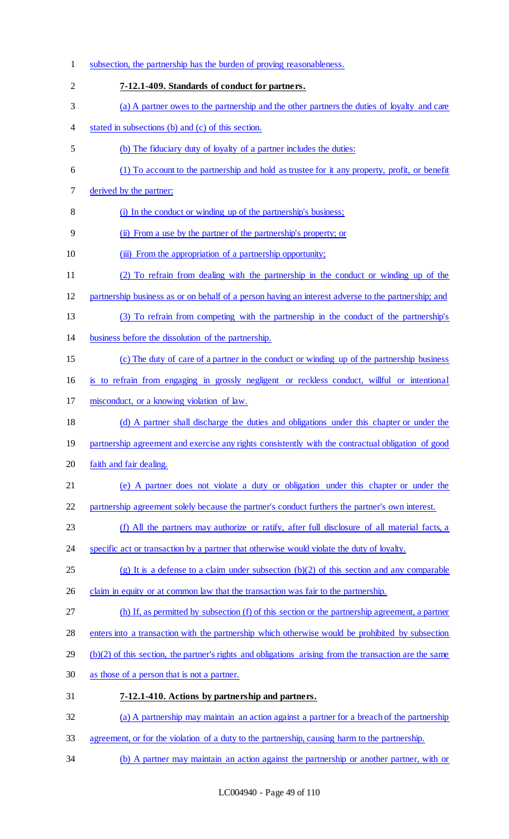| $\mathbf{1}$   | subsection, the partnership has the burden of proving reasonableness.                                  |
|----------------|--------------------------------------------------------------------------------------------------------|
| $\overline{2}$ | 7-12.1-409. Standards of conduct for partners.                                                         |
| 3              | (a) A partner owes to the partnership and the other partners the duties of loyalty and care            |
| 4              | stated in subsections (b) and (c) of this section.                                                     |
| 5              | (b) The fiduciary duty of loyalty of a partner includes the duties:                                    |
| 6              | (1) To account to the partnership and hold as trustee for it any property, profit, or benefit          |
| 7              | derived by the partner:                                                                                |
| 8              | (i) In the conduct or winding up of the partnership's business;                                        |
| 9              | (ii) From a use by the partner of the partnership's property; or                                       |
| 10             | (iii) From the appropriation of a partnership opportunity;                                             |
| 11             | (2) To refrain from dealing with the partnership in the conduct or winding up of the                   |
| 12             | partnership business as or on behalf of a person having an interest adverse to the partnership; and    |
| 13             | (3) To refrain from competing with the partnership in the conduct of the partnership's                 |
| 14             | business before the dissolution of the partnership.                                                    |
| 15             | (c) The duty of care of a partner in the conduct or winding up of the partnership business             |
| 16             | is to refrain from engaging in grossly negligent or reckless conduct, willful or intentional           |
| 17             | misconduct, or a knowing violation of law.                                                             |
| 18             | (d) A partner shall discharge the duties and obligations under this chapter or under the               |
| 19             | partnership agreement and exercise any rights consistently with the contractual obligation of good     |
| 20             | faith and fair dealing.                                                                                |
| 21             | (e) A partner does not violate a duty or obligation under this chapter or under the                    |
| 22             | partnership agreement solely because the partner's conduct furthers the partner's own interest.        |
| 23             | (f) All the partners may authorize or ratify, after full disclosure of all material facts, a           |
| 24             | specific act or transaction by a partner that otherwise would violate the duty of loyalty.             |
| 25             | $(g)$ It is a defense to a claim under subsection (b)(2) of this section and any comparable            |
| 26             | claim in equity or at common law that the transaction was fair to the partnership.                     |
| 27             | (h) If, as permitted by subsection (f) of this section or the partnership agreement, a partner         |
| 28             | enters into a transaction with the partnership which otherwise would be prohibited by subsection       |
| 29             | (b)(2) of this section, the partner's rights and obligations arising from the transaction are the same |
| 30             | as those of a person that is not a partner.                                                            |
| 31             | 7-12.1-410. Actions by partnership and partners.                                                       |
| 32             | (a) A partnership may maintain an action against a partner for a breach of the partnership             |
| 33             | agreement, or for the violation of a duty to the partnership, causing harm to the partnership.         |
| 34             | (b) A partner may maintain an action against the partnership or another partner, with or               |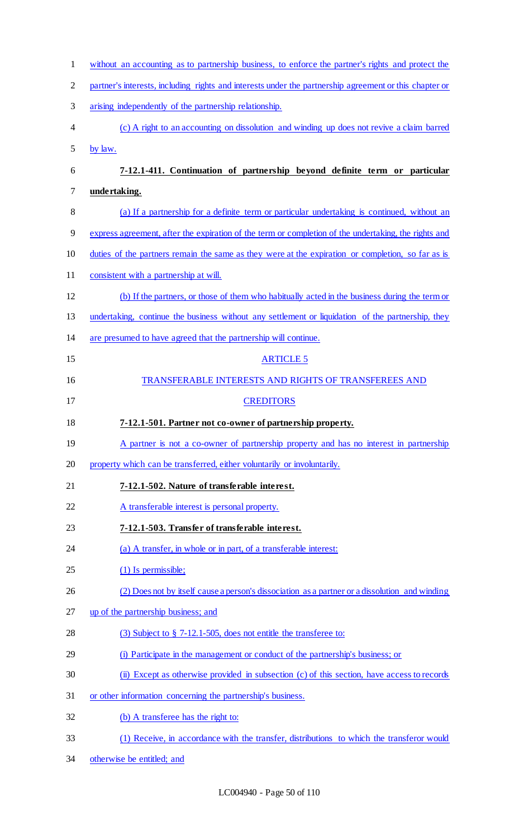| $\mathbf{1}$   | without an accounting as to partnership business, to enforce the partner's rights and protect the      |
|----------------|--------------------------------------------------------------------------------------------------------|
| $\overline{c}$ | partner's interests, including rights and interests under the partnership agreement or this chapter or |
| 3              | arising independently of the partnership relationship.                                                 |
| 4              | (c) A right to an accounting on dissolution and winding up does not revive a claim barred              |
| 5              | by law.                                                                                                |
| 6              | 7-12.1-411. Continuation of partnership beyond definite term or particular                             |
| 7              | undertaking.                                                                                           |
| 8              | (a) If a partnership for a definite term or particular undertaking is continued, without an            |
| 9              | express agreement, after the expiration of the term or completion of the undertaking, the rights and   |
| 10             | duties of the partners remain the same as they were at the expiration or completion, so far as is      |
| 11             | consistent with a partnership at will.                                                                 |
| 12             | (b) If the partners, or those of them who habitually acted in the business during the term or          |
| 13             | undertaking, continue the business without any settlement or liquidation of the partnership, they      |
| 14             | are presumed to have agreed that the partnership will continue.                                        |
| 15             | <b>ARTICLE 5</b>                                                                                       |
| 16             | TRANSFERABLE INTERESTS AND RIGHTS OF TRANSFEREES AND                                                   |
| 17             | <b>CREDITORS</b>                                                                                       |
|                |                                                                                                        |
| 18             | 7-12.1-501. Partner not co-owner of partnership property.                                              |
| 19             | A partner is not a co-owner of partnership property and has no interest in partnership                 |
| 20             | property which can be transferred, either voluntarily or involuntarily.                                |
| 21             | 7-12.1-502. Nature of transferable interest.                                                           |
| 22             | A transferable interest is personal property.                                                          |
| 23             | 7-12.1-503. Transfer of transferable interest.                                                         |
| 24             | (a) A transfer, in whole or in part, of a transferable interest:                                       |
| 25             | $(1)$ Is permissible;                                                                                  |
| 26             | (2) Does not by itself cause a person's dissociation as a partner or a dissolution and winding         |
| 27             | up of the partnership business; and                                                                    |
| 28             | (3) Subject to $\S$ 7-12.1-505, does not entitle the transferee to:                                    |
| 29             | (i) Participate in the management or conduct of the partnership's business; or                         |
| 30             | (ii) Except as otherwise provided in subsection (c) of this section, have access to records            |
| 31             | or other information concerning the partnership's business.                                            |
| 32             | (b) A transferee has the right to:                                                                     |
| 33             | (1) Receive, in accordance with the transfer, distributions to which the transferor would              |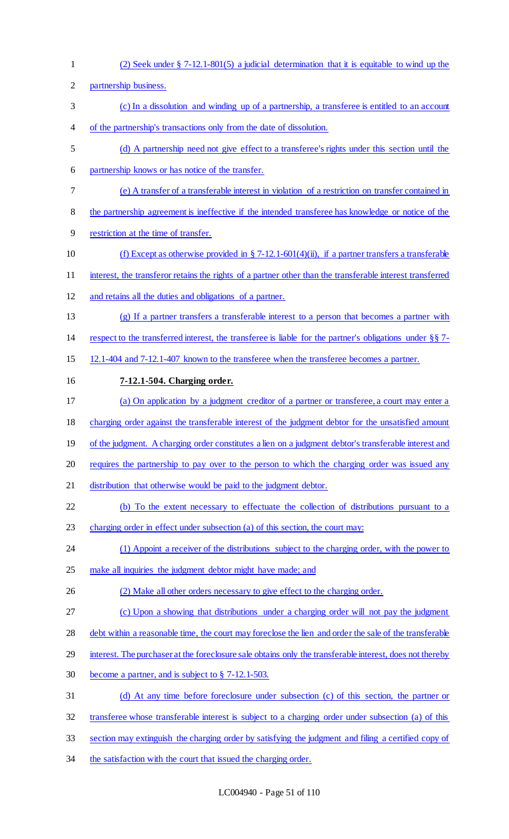- (2) Seek under § 7-12.1-801(5) a judicial determination that it is equitable to wind up the
- partnership business.
- (c) In a dissolution and winding up of a partnership, a transferee is entitled to an account
- of the partnership's transactions only from the date of dissolution.
- (d) A partnership need not give effect to a transferee's rights under this section until the partnership knows or has notice of the transfer.
- (e) A transfer of a transferable interest in violation of a restriction on transfer contained in
- the partnership agreement is ineffective if the intended transferee has knowledge or notice of the
- restriction at the time of transfer.
- (f) Except as otherwise provided in § 7-12.1-601(4)(ii), if a partner transfers a transferable
- 11 interest, the transferor retains the rights of a partner other than the transferable interest transferred
- and retains all the duties and obligations of a partner.
- (g) If a partner transfers a transferable interest to a person that becomes a partner with
- respect to the transferred interest, the transferee is liable for the partner's obligations under §§ 7-
- 12.1-404 and 7-12.1-407 known to the transferee when the transferee becomes a partner.
- **7-12.1-504. Charging order.**
- 17 (a) On application by a judgment creditor of a partner or transferee, a court may enter a
- charging order against the transferable interest of the judgment debtor for the unsatisfied amount
- 19 of the judgment. A charging order constitutes a lien on a judgment debtor's transferable interest and
- requires the partnership to pay over to the person to which the charging order was issued any
- 21 distribution that otherwise would be paid to the judgment debtor.
- (b) To the extent necessary to effectuate the collection of distributions pursuant to a
- 23 charging order in effect under subsection (a) of this section, the court may:
- 24 (1) Appoint a receiver of the distributions subject to the charging order, with the power to
- 25 make all inquiries the judgment debtor might have made; and
- (2) Make all other orders necessary to give effect to the charging order.
- (c) Upon a showing that distributions under a charging order will not pay the judgment
- 28 debt within a reasonable time, the court may foreclose the lien and order the sale of the transferable
- interest. The purchaser at the foreclosure sale obtains only the transferable interest, does not thereby
- become a partner, and is subject to § 7-12.1-503.
- (d) At any time before foreclosure under subsection (c) of this section, the partner or
- transferee whose transferable interest is subject to a charging order under subsection (a) of this
- section may extinguish the charging order by satisfying the judgment and filing a certified copy of
- 34 the satisfaction with the court that issued the charging order.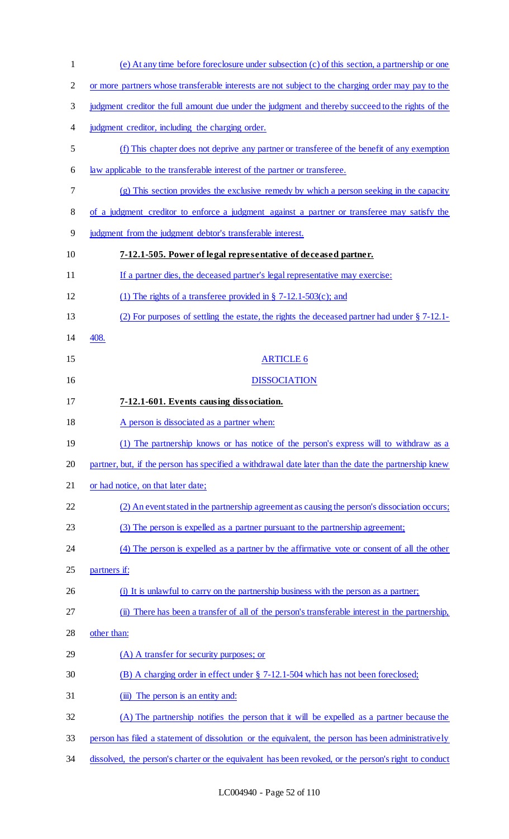| $\mathbf{1}$   | (e) At any time before foreclosure under subsection (c) of this section, a partnership or one        |
|----------------|------------------------------------------------------------------------------------------------------|
| $\overline{c}$ | or more partners whose transferable interests are not subject to the charging order may pay to the   |
| 3              | judgment creditor the full amount due under the judgment and thereby succeed to the rights of the    |
| 4              | judgment creditor, including the charging order.                                                     |
| 5              | (f) This chapter does not deprive any partner or transferee of the benefit of any exemption          |
| 6              | law applicable to the transferable interest of the partner or transferee.                            |
| 7              | (g) This section provides the exclusive remedy by which a person seeking in the capacity             |
| 8              | of a judgment creditor to enforce a judgment against a partner or transferee may satisfy the         |
| 9              | judgment from the judgment debtor's transferable interest.                                           |
| 10             | 7-12.1-505. Power of legal representative of deceased partner.                                       |
| 11             | If a partner dies, the deceased partner's legal representative may exercise:                         |
| 12             | (1) The rights of a transferee provided in § 7-12.1-503(c); and                                      |
| 13             | (2) For purposes of settling the estate, the rights the deceased partner had under $\S$ 7-12.1-      |
| 14             | 408.                                                                                                 |
| 15             | <b>ARTICLE 6</b>                                                                                     |
| 16             | <b>DISSOCIATION</b>                                                                                  |
| 17             | 7-12.1-601. Events causing dissociation.                                                             |
| 18             | A person is dissociated as a partner when:                                                           |
| 19             | (1) The partnership knows or has notice of the person's express will to withdraw as a                |
| 20             | partner, but, if the person has specified a withdrawal date later than the date the partnership knew |
| 21             | or had notice, on that later date;                                                                   |
| 22             | (2) An event stated in the partnership agreement as causing the person's dissociation occurs;        |
| 23             | (3) The person is expelled as a partner pursuant to the partnership agreement;                       |
| 24             | (4) The person is expelled as a partner by the affirmative vote or consent of all the other          |
| 25             | partners if:                                                                                         |
| 26             | (i) It is unlawful to carry on the partnership business with the person as a partner;                |
| 27             | (ii) There has been a transfer of all of the person's transferable interest in the partnership,      |
| 28             | other than:                                                                                          |
| 29             | (A) A transfer for security purposes; or                                                             |
| 30             | (B) A charging order in effect under § 7-12.1-504 which has not been foreclosed;                     |
| 31             | (iii) The person is an entity and:                                                                   |
| 32             | (A) The partnership notifies the person that it will be expelled as a partner because the            |
| 33             | person has filed a statement of dissolution or the equivalent, the person has been administratively  |
| 34             | dissolved, the person's charter or the equivalent has been revoked, or the person's right to conduct |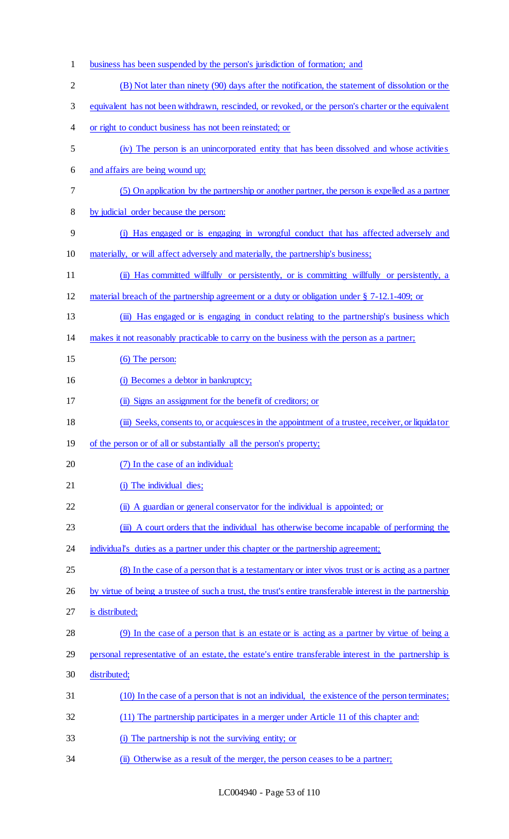| $\mathbf{1}$   | business has been suspended by the person's jurisdiction of formation; and                                |
|----------------|-----------------------------------------------------------------------------------------------------------|
| $\overline{2}$ | (B) Not later than ninety (90) days after the notification, the statement of dissolution or the           |
| 3              | equivalent has not been withdrawn, rescinded, or revoked, or the person's charter or the equivalent       |
| 4              | or right to conduct business has not been reinstated; or                                                  |
| 5              | (iv) The person is an unincorporated entity that has been dissolved and whose activities                  |
| 6              | and affairs are being wound up;                                                                           |
| 7              | (5) On application by the partnership or another partner, the person is expelled as a partner             |
| 8              | by judicial order because the person:                                                                     |
| 9              | (i) Has engaged or is engaging in wrongful conduct that has affected adversely and                        |
| 10             | materially, or will affect adversely and materially, the partnership's business;                          |
| 11             | (ii) Has committed willfully or persistently, or is committing willfully or persistently, a               |
| 12             | material breach of the partnership agreement or a duty or obligation under $\S$ 7-12.1-409; or            |
| 13             | (iii) Has engaged or is engaging in conduct relating to the partnership's business which                  |
| 14             | makes it not reasonably practicable to carry on the business with the person as a partner;                |
| 15             | (6) The person:                                                                                           |
| 16             | (i) Becomes a debtor in bankruptcy;                                                                       |
| 17             | (ii) Signs an assignment for the benefit of creditors; or                                                 |
| 18             | (iii) Seeks, consents to, or acquiesces in the appointment of a trustee, receiver, or liquidator          |
| 19             | of the person or of all or substantially all the person's property;                                       |
| 20             | (7) In the case of an individual:                                                                         |
| 21             | (i) The individual dies;                                                                                  |
| 22             | (ii) A guardian or general conservator for the individual is appointed; or                                |
| 23             | (iii) A court orders that the individual has otherwise become incapable of performing the                 |
| 24             | individual's duties as a partner under this chapter or the partnership agreement;                         |
| 25             | (8) In the case of a person that is a testamentary or intervivos trust or is acting as a partner          |
| 26             | by virtue of being a trustee of such a trust, the trust's entire transferable interest in the partnership |
| 27             | is distributed;                                                                                           |
| 28             | (9) In the case of a person that is an estate or is acting as a partner by virtue of being a              |
| 29             | personal representative of an estate, the estate's entire transferable interest in the partnership is     |
| 30             | distributed;                                                                                              |
| 31             | (10) In the case of a person that is not an individual, the existence of the person terminates;           |
| 32             | (11) The partnership participates in a merger under Article 11 of this chapter and:                       |
| 33             | (i) The partnership is not the surviving entity; or                                                       |

34 (ii) Otherwise as a result of the merger, the person ceases to be a partner;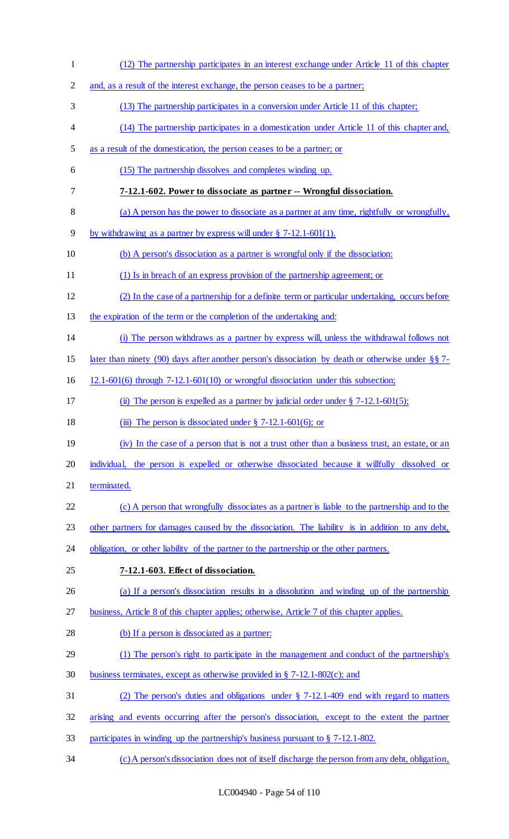| $\mathbf{1}$   | (12) The partnership participates in an interest exchange under Article 11 of this chapter          |
|----------------|-----------------------------------------------------------------------------------------------------|
| $\overline{2}$ | and, as a result of the interest exchange, the person ceases to be a partner;                       |
| 3              | (13) The partnership participates in a conversion under Article 11 of this chapter;                 |
| 4              | (14) The partnership participates in a domestication under Article 11 of this chapter and,          |
| 5              | as a result of the domestication, the person ceases to be a partner; or                             |
| 6              | (15) The partnership dissolves and completes winding up.                                            |
| $\tau$         | 7-12.1-602. Power to dissociate as partner -- Wrongful dissociation.                                |
| 8              | (a) A person has the power to dissociate as a partner at any time, rightfully or wrongfully,        |
| 9              | by withdrawing as a partner by express will under $\S$ 7-12.1-601(1).                               |
| 10             | (b) A person's dissociation as a partner is wrongful only if the dissociation:                      |
| 11             | (1) Is in breach of an express provision of the partnership agreement; or                           |
| 12             | (2) In the case of a partnership for a definite term or particular undertaking, occurs before       |
| 13             | the expiration of the term or the completion of the undertaking and:                                |
| 14             | (i) The person withdraws as a partner by express will, unless the withdrawal follows not            |
| 15             | later than ninety (90) days after another person's dissociation by death or otherwise under $\S$ 7- |
| 16             | $12.1 - 601(6)$ through 7-12.1-601(10) or wrongful dissociation under this subsection;              |
| 17             | (ii) The person is expelled as a partner by judicial order under $\S$ 7-12.1-601(5);                |
| 18             | (iii) The person is dissociated under $\S$ 7-12.1-601(6); or                                        |
| 19             | (iv) In the case of a person that is not a trust other than a business trust, an estate, or an      |
| 20             | individual, the person is expelled or otherwise dissociated because it willfully dissolved or       |
| 21             | terminated.                                                                                         |
| 22             | (c) A person that wrongfully dissociates as a partner is liable to the partnership and to the       |
| 23             | other partners for damages caused by the dissociation. The liability is in addition to any debt,    |
| 24             | obligation, or other liability of the partner to the partnership or the other partners.             |
| 25             | 7-12.1-603. Effect of dissociation.                                                                 |
| 26             | (a) If a person's dissociation results in a dissolution and winding up of the partnership           |
| 27             | business, Article 8 of this chapter applies; otherwise, Article 7 of this chapter applies.          |
| 28             | (b) If a person is dissociated as a partner:                                                        |
| 29             | (1) The person's right to participate in the management and conduct of the partnership's            |
| 30             | business terminates, except as otherwise provided in $\S$ 7-12.1-802(c); and                        |
| 31             | The person's duties and obligations under $\S$ 7-12.1-409 end with regard to matters                |
| 32             | arising and events occurring after the person's dissociation, except to the extent the partner      |
| 33             | participates in winding up the partnership's business pursuant to $\S$ 7-12.1-802.                  |
| 34             | (c) A person's dissociation does not of itself discharge the person from any debt, obligation,      |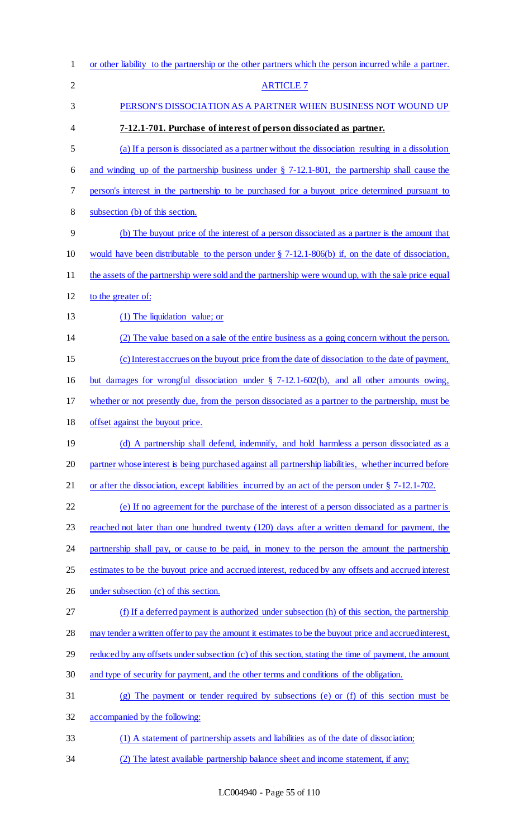| $\mathbf{1}$   | or other liability to the partnership or the other partners which the person incurred while a partner. |
|----------------|--------------------------------------------------------------------------------------------------------|
| $\overline{2}$ | <b>ARTICLE 7</b>                                                                                       |
| 3              | PERSON'S DISSOCIATION AS A PARTNER WHEN BUSINESS NOT WOUND UP                                          |
| 4              | 7-12.1-701. Purchase of interest of person dissociated as partner.                                     |
| 5              | (a) If a person is dissociated as a partner without the dissociation resulting in a dissolution        |
| 6              | and winding up of the partnership business under $\S$ 7-12.1-801, the partnership shall cause the      |
| 7              | person's interest in the partnership to be purchased for a buyout price determined pursuant to         |
| 8              | subsection (b) of this section.                                                                        |
| 9              | (b) The buyout price of the interest of a person dissociated as a partner is the amount that           |
| 10             | would have been distributable to the person under $\S$ 7-12.1-806(b) if, on the date of dissociation,  |
| 11             | the assets of the partnership were sold and the partnership were wound up, with the sale price equal   |
| 12             | to the greater of:                                                                                     |
| 13             | (1) The liquidation value; or                                                                          |
| 14             | (2) The value based on a sale of the entire business as a going concern without the person.            |
| 15             | (c) Interest accrues on the buyout price from the date of dissociation to the date of payment,         |
| 16             | but damages for wrongful dissociation under $\S$ 7-12.1-602(b), and all other amounts owing,           |
| 17             | whether or not presently due, from the person dissociated as a partner to the partnership, must be     |
| 18             | offset against the buyout price.                                                                       |
| 19             | (d) A partnership shall defend, indemnify, and hold harmless a person dissociated as a                 |
| 20             | partner whose interest is being purchased against all partnership liabilities, whether incurred before |
| 21             | or after the dissociation, except liabilities incurred by an act of the person under $\S$ 7-12.1-702.  |
| 22             | (e) If no agreement for the purchase of the interest of a person dissociated as a partner is           |
| 23             | reached not later than one hundred twenty (120) days after a written demand for payment, the           |
| 24             | partnership shall pay, or cause to be paid, in money to the person the amount the partnership          |
| 25             | estimates to be the buyout price and accrued interest, reduced by any offsets and accrued interest     |
| 26             | under subsection (c) of this section.                                                                  |
| 27             | (f) If a deferred payment is authorized under subsection (h) of this section, the partnership          |
| 28             | may tender a written offer to pay the amount it estimates to be the buyout price and accrued interest, |
| 29             | reduced by any offsets under subsection (c) of this section, stating the time of payment, the amount   |
| 30             | and type of security for payment, and the other terms and conditions of the obligation.                |
| 31             | (g) The payment or tender required by subsections (e) or (f) of this section must be                   |
| 32             | accompanied by the following:                                                                          |
| 33             | (1) A statement of partnership assets and liabilities as of the date of dissociation;                  |
| 34             | (2) The latest available partnership balance sheet and income statement, if any;                       |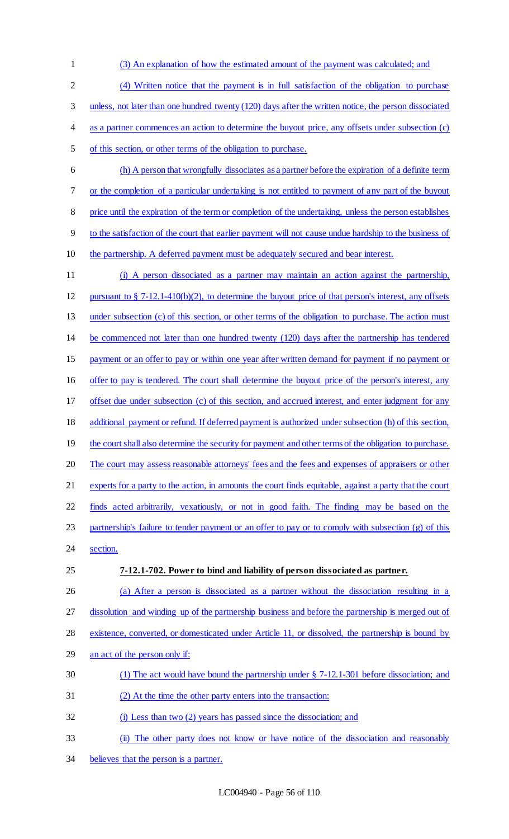- (3) An explanation of how the estimated amount of the payment was calculated; and (4) Written notice that the payment is in full satisfaction of the obligation to purchase unless, not later than one hundred twenty (120) days after the written notice, the person dissociated 4 as a partner commences an action to determine the buyout price, any offsets under subsection (c) of this section, or other terms of the obligation to purchase. (h) A person that wrongfully dissociates as a partner before the expiration of a definite term or the completion of a particular undertaking is not entitled to payment of any part of the buyout price until the expiration of the term or completion of the undertaking, unless the person establishes to the satisfaction of the court that earlier payment will not cause undue hardship to the business of the partnership. A deferred payment must be adequately secured and bear interest. (i) A person dissociated as a partner may maintain an action against the partnership, pursuant to § 7-12.1-410(b)(2), to determine the buyout price of that person's interest, any offsets 13 under subsection (c) of this section, or other terms of the obligation to purchase. The action must be commenced not later than one hundred twenty (120) days after the partnership has tendered payment or an offer to pay or within one year after written demand for payment if no payment or offer to pay is tendered. The court shall determine the buyout price of the person's interest, any 17 offset due under subsection (c) of this section, and accrued interest, and enter judgment for any 18 additional payment or refund. If deferred payment is authorized under subsection (h) of this section, 19 the court shall also determine the security for payment and other terms of the obligation to purchase. The court may assess reasonable attorneys' fees and the fees and expenses of appraisers or other 21 experts for a party to the action, in amounts the court finds equitable, against a party that the court finds acted arbitrarily, vexatiously, or not in good faith. The finding may be based on the 23 partnership's failure to tender payment or an offer to pay or to comply with subsection (g) of this 24 section. **7-12.1-702. Power to bind and liability of person dissociated as partner.**  (a) After a person is dissociated as a partner without the dissociation resulting in a dissolution and winding up of the partnership business and before the partnership is merged out of 28 existence, converted, or domesticated under Article 11, or dissolved, the partnership is bound by an act of the person only if: (1) The act would have bound the partnership under § 7-12.1-301 before dissociation; and (2) At the time the other party enters into the transaction: (i) Less than two (2) years has passed since the dissociation; and (ii) The other party does not know or have notice of the dissociation and reasonably
- 34 believes that the person is a partner.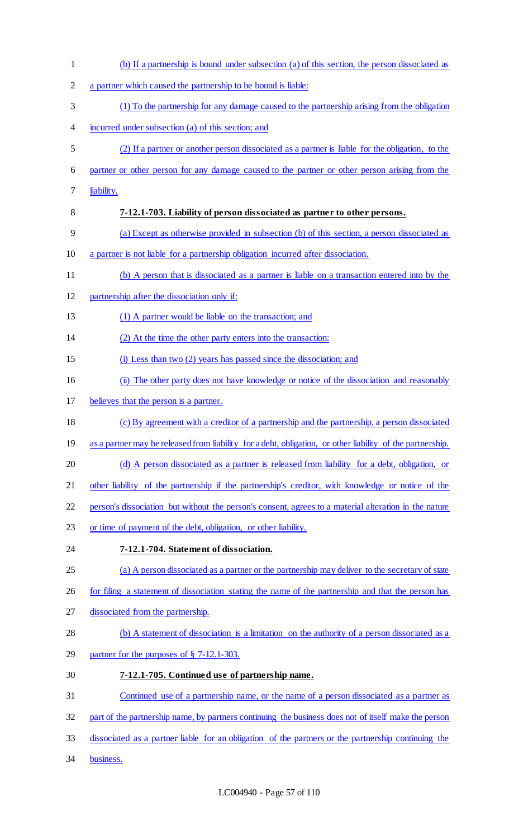(b) If a partnership is bound under subsection (a) of this section, the person dissociated as a partner which caused the partnership to be bound is liable: (1) To the partnership for any damage caused to the partnership arising from the obligation incurred under subsection (a) of this section; and (2) If a partner or another person dissociated as a partner is liable for the obligation, to the partner or other person for any damage caused to the partner or other person arising from the liability. **7-12.1-703. Liability of person dissociated as partner to other persons.**  (a) Except as otherwise provided in subsection (b) of this section, a person dissociated as a partner is not liable for a partnership obligation incurred after dissociation. (b) A person that is dissociated as a partner is liable on a transaction entered into by the partnership after the dissociation only if: (1) A partner would be liable on the transaction; and (2) At the time the other party enters into the transaction: (i) Less than two (2) years has passed since the dissociation; and (ii) The other party does not have knowledge or notice of the dissociation and reasonably believes that the person is a partner. (c) By agreement with a creditor of a partnership and the partnership, a person dissociated as a partner may be released from liability for a debt, obligation, or other liability of the partnership. 20 (d) A person dissociated as a partner is released from liability for a debt, obligation, or other liability of the partnership if the partnership's creditor, with knowledge or notice of the person's dissociation but without the person's consent, agrees to a material alteration in the nature or time of payment of the debt, obligation, or other liability. **7-12.1-704. Statement of dissociation.**  (a) A person dissociated as a partner or the partnership may deliver to the secretary of state 26 for filing a statement of dissociation stating the name of the partnership and that the person has dissociated from the partnership. (b) A statement of dissociation is a limitation on the authority of a person dissociated as a partner for the purposes of § 7-12.1-303. **7-12.1-705. Continued use of partnership name.**  Continued use of a partnership name, or the name of a person dissociated as a partner as part of the partnership name, by partners continuing the business does not of itself make the person dissociated as a partner liable for an obligation of the partners or the partnership continuing the business.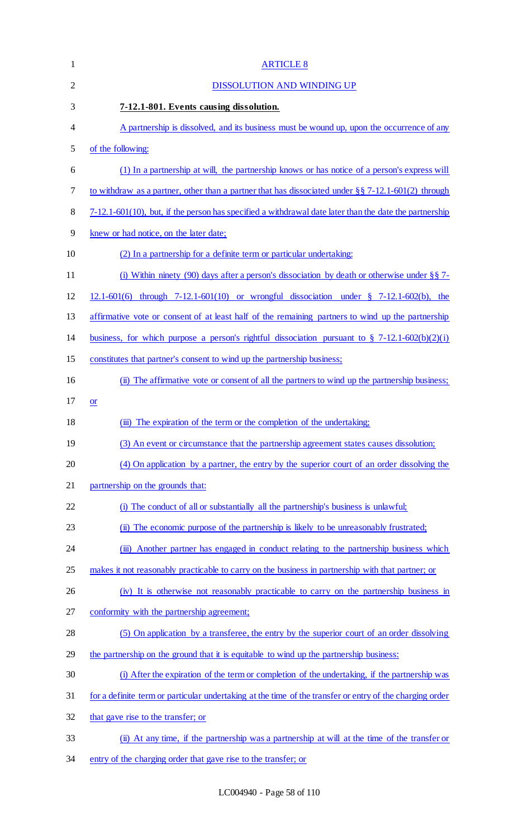| $\mathbf{1}$   | <b>ARTICLE 8</b>                                                                                          |
|----------------|-----------------------------------------------------------------------------------------------------------|
| $\overline{c}$ | <b>DISSOLUTION AND WINDING UP</b>                                                                         |
| 3              | 7-12.1-801. Events causing dissolution.                                                                   |
| 4              | A partnership is dissolved, and its business must be wound up, upon the occurrence of any                 |
| 5              | of the following:                                                                                         |
| 6              | (1) In a partnership at will, the partnership knows or has notice of a person's express will              |
| 7              | to withdraw as a partner, other than a partner that has dissociated under §§ 7-12.1-601(2) through        |
| $8\,$          | $7-12.1-601(10)$ , but, if the person has specified a withdrawal date later than the date the partnership |
| 9              | knew or had notice, on the later date;                                                                    |
| 10             | (2) In a partnership for a definite term or particular undertaking:                                       |
| 11             | (i) Within ninety (90) days after a person's dissociation by death or otherwise under $\S$ 7-             |
| 12             | through $7-12.1-601(10)$ or wrongful dissociation under § $7-12.1-602(b)$ , the<br>$12.1 - 601(6)$        |
| 13             | affirmative vote or consent of at least half of the remaining partners to wind up the partnership         |
| 14             | business, for which purpose a person's rightful dissociation pursuant to $\S$ 7-12.1-602(b)(2)(i)         |
| 15             | constitutes that partner's consent to wind up the partnership business;                                   |
| 16             | (ii) The affirmative vote or consent of all the partners to wind up the partnership business;             |
| 17             | or                                                                                                        |
| 18             | (iii) The expiration of the term or the completion of the undertaking;                                    |
| 19             | (3) An event or circumstance that the partnership agreement states causes dissolution;                    |
| 20             | (4) On application by a partner, the entry by the superior court of an order dissolving the               |
| 21             | partnership on the grounds that:                                                                          |
| 22             | (i) The conduct of all or substantially all the partnership's business is unlawful;                       |
| 23             | (ii) The economic purpose of the partnership is likely to be unreasonably frustrated;                     |
| 24             | (iii) Another partner has engaged in conduct relating to the partnership business which                   |
| 25             | makes it not reasonably practicable to carry on the business in partnership with that partner; or         |
| 26             | (iv) It is otherwise not reasonably practicable to carry on the partnership business in                   |
| 27             | conformity with the partnership agreement;                                                                |
| 28             | (5) On application by a transferee, the entry by the superior court of an order dissolving                |
| 29             | the partnership on the ground that it is equitable to wind up the partnership business:                   |
| 30             | (i) After the expiration of the term or completion of the undertaking, if the partnership was             |
| 31             | for a definite term or particular undertaking at the time of the transfer or entry of the charging order  |
| 32             | that gave rise to the transfer; or                                                                        |
| 33             | (ii) At any time, if the partnership was a partnership at will at the time of the transfer or             |
| 34             | entry of the charging order that gave rise to the transfer; or                                            |

LC004940 - Page 58 of 110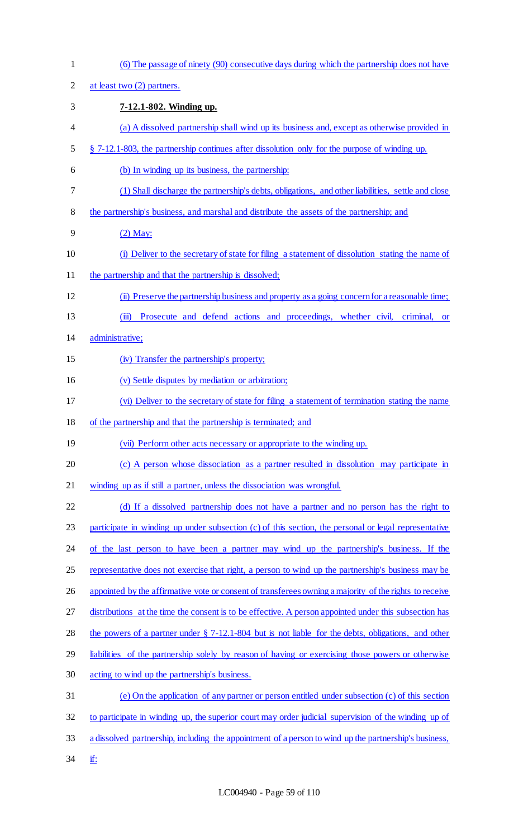| $\mathbf{1}$   | (6) The passage of ninety (90) consecutive days during which the partnership does not have             |
|----------------|--------------------------------------------------------------------------------------------------------|
| $\mathbf{2}$   | at least two $(2)$ partners.                                                                           |
| 3              | 7-12.1-802. Winding up.                                                                                |
| $\overline{4}$ | (a) A dissolved partnership shall wind up its business and, except as otherwise provided in            |
| 5              | § 7-12.1-803, the partnership continues after dissolution only for the purpose of winding up.          |
| 6              | (b) In winding up its business, the partnership:                                                       |
| 7              | (1) Shall discharge the partnership's debts, obligations, and other liabilities, settle and close      |
| $8\,$          | the partnership's business, and marshal and distribute the assets of the partnership; and              |
| 9              | $(2)$ May:                                                                                             |
| 10             | (i) Deliver to the secretary of state for filing a statement of dissolution stating the name of        |
| 11             | the partnership and that the partnership is dissolved;                                                 |
| 12             | (ii) Preserve the partnership business and property as a going concern for a reasonable time;          |
| 13             | (iii)<br>Prosecute and defend actions and proceedings, whether civil,<br>criminal,<br><b>or</b>        |
| 14             | administrative;                                                                                        |
| 15             | (iv) Transfer the partnership's property;                                                              |
| 16             | (v) Settle disputes by mediation or arbitration;                                                       |
| 17             | (vi) Deliver to the secretary of state for filing a statement of termination stating the name          |
| 18             | of the partnership and that the partnership is terminated; and                                         |
| 19             | (vii) Perform other acts necessary or appropriate to the winding up.                                   |
| 20             | (c) A person whose dissociation as a partner resulted in dissolution may participate in                |
| 21             | winding up as if still a partner, unless the dissociation was wrongful.                                |
| 22             | (d) If a dissolved partnership does not have a partner and no person has the right to                  |
| 23             | participate in winding up under subsection (c) of this section, the personal or legal representative   |
| 24             | of the last person to have been a partner may wind up the partnership's business. If the               |
| 25             | representative does not exercise that right, a person to wind up the partnership's business may be     |
| 26             | appointed by the affirmative vote or consent of transferees owning a majority of the rights to receive |
| 27             | distributions at the time the consent is to be effective. A person appointed under this subsection has |
| 28             | the powers of a partner under $\S$ 7-12.1-804 but is not liable for the debts, obligations, and other  |
| 29             | liabilities of the partnership solely by reason of having or exercising those powers or otherwise      |
| 30             | acting to wind up the partnership's business.                                                          |
| 31             | (e) On the application of any partner or person entitled under subsection (c) of this section          |
| 32             | to participate in winding up, the superior court may order judicial supervision of the winding up of   |
| 33             | a dissolved partnership, including the appointment of a person to wind up the partnership's business,  |
| 34             | <u>if:</u>                                                                                             |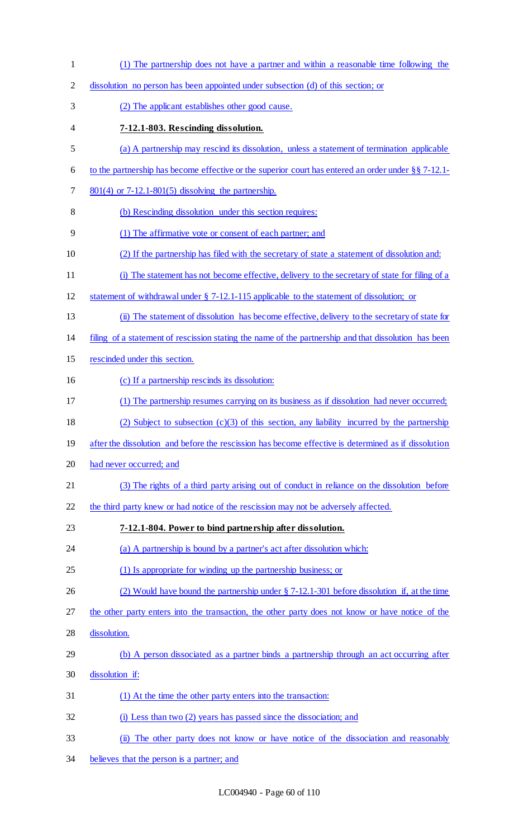| $\mathbf{1}$   | (1) The partnership does not have a partner and within a reasonable time following the                |
|----------------|-------------------------------------------------------------------------------------------------------|
| $\overline{2}$ | dissolution no person has been appointed under subsection (d) of this section; or                     |
| 3              | (2) The applicant establishes other good cause.                                                       |
| 4              | 7-12.1-803. Rescinding dissolution.                                                                   |
| 5              | (a) A partnership may rescind its dissolution, unless a statement of termination applicable           |
| 6              | to the partnership has become effective or the superior court has entered an order under $\S$ 7-12.1- |
| 7              | $801(4)$ or $7-12.1-801(5)$ dissolving the partnership.                                               |
| 8              | (b) Rescinding dissolution under this section requires:                                               |
| 9              | (1) The affirmative vote or consent of each partner; and                                              |
| 10             | (2) If the partnership has filed with the secretary of state a statement of dissolution and:          |
| 11             | (i) The statement has not become effective, delivery to the secretary of state for filing of a        |
| 12             | statement of withdrawal under $\S$ 7-12.1-115 applicable to the statement of dissolution; or          |
| 13             | (ii) The statement of dissolution has become effective, delivery to the secretary of state for        |
| 14             | filing of a statement of rescission stating the name of the partnership and that dissolution has been |
| 15             | rescinded under this section.                                                                         |
| 16             | (c) If a partnership rescinds its dissolution:                                                        |
| 17             | (1) The partnership resumes carrying on its business as if dissolution had never occurred;            |
| 18             | (2) Subject to subsection $(c)(3)$ of this section, any liability incurred by the partnership         |
| 19             | after the dissolution and before the rescission has become effective is determined as if dissolution  |
| 20             | had never occurred; and                                                                               |
| 21             | (3) The rights of a third party arising out of conduct in reliance on the dissolution before          |
| 22             | the third party knew or had notice of the rescission may not be adversely affected.                   |
| 23             | 7-12.1-804. Power to bind partnership after dissolution.                                              |
| 24             | (a) A partnership is bound by a partner's act after dissolution which:                                |
| 25             | (1) Is appropriate for winding up the partnership business; or                                        |
| 26             | (2) Would have bound the partnership under $\S$ 7-12.1-301 before dissolution if, at the time         |
| 27             | the other party enters into the transaction, the other party does not know or have notice of the      |
| 28             | dissolution.                                                                                          |
| 29             | (b) A person dissociated as a partner binds a partnership through an act occurring after              |
| 30             | dissolution if:                                                                                       |
| 31             | (1) At the time the other party enters into the transaction:                                          |
| 32             | (i) Less than two (2) years has passed since the dissociation; and                                    |
| 33             | (ii) The other party does not know or have notice of the dissociation and reasonably                  |
|                |                                                                                                       |

believes that the person is a partner; and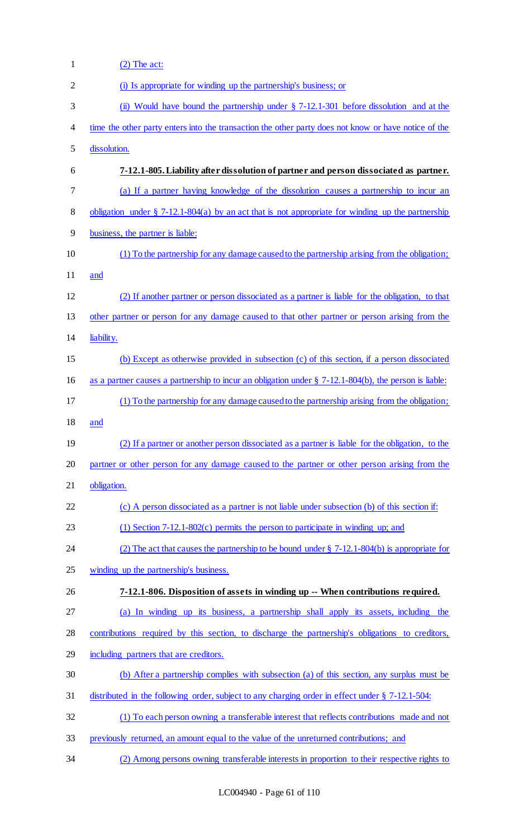| 1              | $(2)$ The act:                                                                                           |
|----------------|----------------------------------------------------------------------------------------------------------|
| $\overline{c}$ | (i) Is appropriate for winding up the partnership's business; or                                         |
| 3              | (ii) Would have bound the partnership under $\S$ 7-12.1-301 before dissolution and at the                |
| 4              | time the other party enters into the transaction the other party does not know or have notice of the     |
| 5              | dissolution.                                                                                             |
| 6              | 7-12.1-805. Liability after dissolution of partner and person dissociated as partner.                    |
| 7              | (a) If a partner having knowledge of the dissolution causes a partnership to incur an                    |
| 8              | obligation under $\S$ 7-12.1-804(a) by an act that is not appropriate for winding up the partnership     |
| 9              | business, the partner is liable:                                                                         |
| 10             | (1) To the partnership for any damage caused to the partnership arising from the obligation;             |
| 11             | and                                                                                                      |
| 12             | (2) If another partner or person dissociated as a partner is liable for the obligation, to that          |
| 13             | other partner or person for any damage caused to that other partner or person arising from the           |
| 14             | liability.                                                                                               |
| 15             | (b) Except as otherwise provided in subsection (c) of this section, if a person dissociated              |
| 16             | as a partner causes a partnership to incur an obligation under $\S$ 7-12.1-804(b), the person is liable: |
| 17             | (1) To the partnership for any damage caused to the partnership arising from the obligation;             |
| 18             | and                                                                                                      |
| 19             | (2) If a partner or another person dissociated as a partner is liable for the obligation, to the         |
| 20             | partner or other person for any damage caused to the partner or other person arising from the            |
| 21             | obligation.                                                                                              |
| 22             | (c) A person dissociated as a partner is not liable under subsection (b) of this section if:             |
| 23             | (1) Section 7-12.1-802(c) permits the person to participate in winding up; and                           |
| 24             | (2) The act that causes the partnership to be bound under $\S$ 7-12.1-804(b) is appropriate for          |
| 25             | winding up the partnership's business.                                                                   |
| 26             | 7-12.1-806. Disposition of assets in winding up -- When contributions required.                          |
| 27             | (a) In winding up its business, a partnership shall apply its assets, including the                      |
| 28             | contributions required by this section, to discharge the partnership's obligations to creditors,         |
| 29             | including partners that are creditors.                                                                   |
| 30             | (b) After a partnership complies with subsection (a) of this section, any surplus must be                |
| 31             | distributed in the following order, subject to any charging order in effect under § 7-12.1-504:          |
| 32             | (1) To each person owning a transferable interest that reflects contributions made and not               |
| 33             | previously returned, an amount equal to the value of the unreturned contributions; and                   |
| 34             | (2) Among persons owning transferable interests in proportion to their respective rights to              |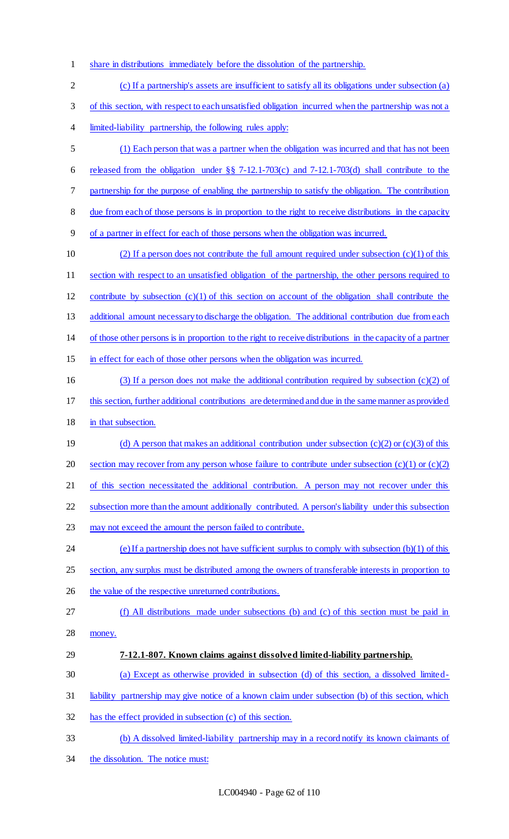- share in distributions immediately before the dissolution of the partnership. 2 (c) If a partnership's assets are insufficient to satisfy all its obligations under subsection (a) of this section, with respect to each unsatisfied obligation incurred when the partnership was not a limited-liability partnership, the following rules apply: (1) Each person that was a partner when the obligation was incurred and that has not been released from the obligation under §§ 7-12.1-703(c) and 7-12.1-703(d) shall contribute to the partnership for the purpose of enabling the partnership to satisfy the obligation. The contribution due from each of those persons is in proportion to the right to receive distributions in the capacity of a partner in effect for each of those persons when the obligation was incurred. 10 (2) If a person does not contribute the full amount required under subsection  $(c)(1)$  of this section with respect to an unsatisfied obligation of the partnership, the other persons required to contribute by subsection (c)(1) of this section on account of the obligation shall contribute the 13 additional amount necessary to discharge the obligation. The additional contribution due from each of those other persons is in proportion to the right to receive distributions in the capacity of a partner in effect for each of those other persons when the obligation was incurred. (3) If a person does not make the additional contribution required by subsection (c)(2) of this section, further additional contributions are determined and due in the same manner as provided in that subsection. 19 (d) A person that makes an additional contribution under subsection  $(c)(2)$  or  $(c)(3)$  of this 20 section may recover from any person whose failure to contribute under subsection  $(c)(1)$  or  $(c)(2)$ 21 of this section necessitated the additional contribution. A person may not recover under this subsection more than the amount additionally contributed. A person's liability under this subsection 23 may not exceed the amount the person failed to contribute. (e) If a partnership does not have sufficient surplus to comply with subsection (b)(1) of this section, any surplus must be distributed among the owners of transferable interests in proportion to 26 the value of the respective unreturned contributions. (f) All distributions made under subsections (b) and (c) of this section must be paid in money. **7-12.1-807. Known claims against dissolved limited-liability partnership.**
- (a) Except as otherwise provided in subsection (d) of this section, a dissolved limited-
- 31 liability partnership may give notice of a known claim under subsection (b) of this section, which
- has the effect provided in subsection (c) of this section.
- (b) A dissolved limited-liability partnership may in a record notify its known claimants of
- the dissolution. The notice must: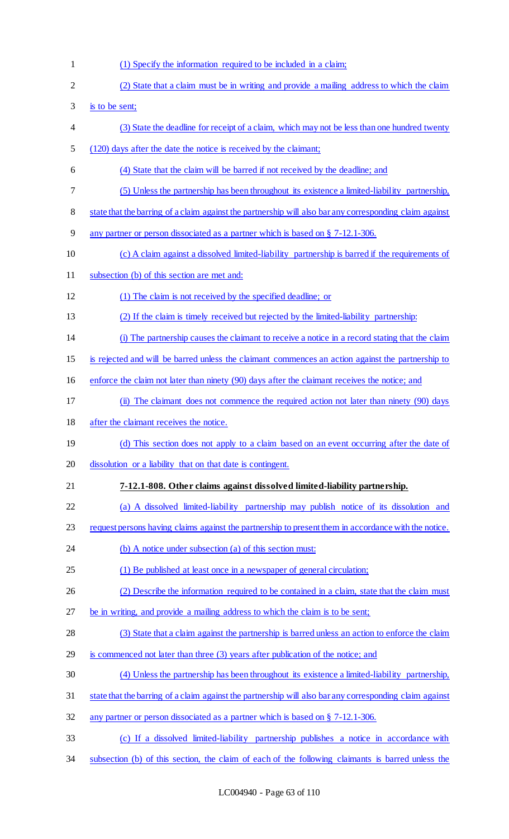- (1) Specify the information required to be included in a claim; (2) State that a claim must be in writing and provide a mailing address to which the claim is to be sent; (3) State the deadline for receipt of a claim, which may not be less than one hundred twenty (120) days after the date the notice is received by the claimant; (4) State that the claim will be barred if not received by the deadline; and (5) Unless the partnership has been throughout its existence a limited-liability partnership, state that the barring of a claim against the partnership will also bar any corresponding claim against any partner or person dissociated as a partner which is based on § 7-12.1-306. (c) A claim against a dissolved limited-liability partnership is barred if the requirements of subsection (b) of this section are met and: 12 (1) The claim is not received by the specified deadline; or (2) If the claim is timely received but rejected by the limited-liability partnership: (i) The partnership causes the claimant to receive a notice in a record stating that the claim is rejected and will be barred unless the claimant commences an action against the partnership to enforce the claim not later than ninety (90) days after the claimant receives the notice; and (ii) The claimant does not commence the required action not later than ninety (90) days after the claimant receives the notice. 19 (d) This section does not apply to a claim based on an event occurring after the date of dissolution or a liability that on that date is contingent. **7-12.1-808. Other claims against dissolved limited-liability partnership.**  (a) A dissolved limited-liability partnership may publish notice of its dissolution and 23 request persons having claims against the partnership to present them in accordance with the notice. 24 (b) A notice under subsection (a) of this section must: (1) Be published at least once in a newspaper of general circulation; 26 (2) Describe the information required to be contained in a claim, state that the claim must be in writing, and provide a mailing address to which the claim is to be sent; (3) State that a claim against the partnership is barred unless an action to enforce the claim is commenced not later than three (3) years after publication of the notice; and (4) Unless the partnership has been throughout its existence a limited-liability partnership, state that the barring of a claim against the partnership will also bar any corresponding claim against any partner or person dissociated as a partner which is based on § 7-12.1-306. (c) If a dissolved limited-liability partnership publishes a notice in accordance with
- subsection (b) of this section, the claim of each of the following claimants is barred unless the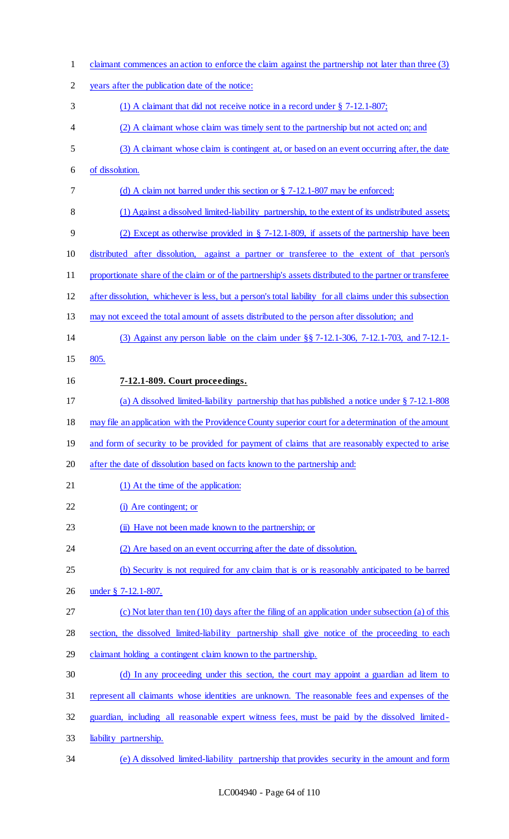| $\mathbf{1}$   | claimant commences an action to enforce the claim against the partnership not later than three (3)        |
|----------------|-----------------------------------------------------------------------------------------------------------|
| $\overline{2}$ | years after the publication date of the notice:                                                           |
| 3              | (1) A claimant that did not receive notice in a record under $\S$ 7-12.1-807;                             |
| $\overline{4}$ | (2) A claimant whose claim was timely sent to the partnership but not acted on; and                       |
| 5              | (3) A claimant whose claim is contingent at, or based on an event occurring after, the date               |
| 6              | of dissolution.                                                                                           |
| 7              | (d) A claim not barred under this section or $\S$ 7-12.1-807 may be enforced:                             |
| 8              | (1) Against a dissolved limited-liability partnership, to the extent of its undistributed assets;         |
| 9              | (2) Except as otherwise provided in $\S$ 7-12.1-809, if assets of the partnership have been               |
| 10             | distributed after dissolution, against a partner or transferee to the extent of that person's             |
| 11             | proportionate share of the claim or of the partnership's assets distributed to the partner or transferee  |
| 12             | after dissolution, whichever is less, but a person's total liability for all claims under this subsection |
| 13             | may not exceed the total amount of assets distributed to the person after dissolution; and                |
| 14             | (3) Against any person liable on the claim under $\S$ § 7-12.1-306, 7-12.1-703, and 7-12.1-               |
| 15             | 805.                                                                                                      |
| 16             | 7-12.1-809. Court proceedings.                                                                            |
| 17             | (a) A dissolved limited-liability partnership that has published a notice under § 7-12.1-808              |
| 18             | may file an application with the Providence County superior court for a determination of the amount       |
| 19             | and form of security to be provided for payment of claims that are reasonably expected to arise           |
| 20             | after the date of dissolution based on facts known to the partnership and:                                |
| 21             | $(1)$ At the time of the application:                                                                     |
| 22             | (i) Are contingent; or                                                                                    |
| 23             | (ii) Have not been made known to the partnership; or                                                      |
| 24             | (2) Are based on an event occurring after the date of dissolution.                                        |
| 25             | (b) Security is not required for any claim that is or is reasonably anticipated to be barred              |
| 26             | under $\frac{8}{9}$ 7-12.1-807.                                                                           |
| 27             | (c) Not later than ten (10) days after the filing of an application under subsection (a) of this          |
| 28             | section, the dissolved limited-liability partnership shall give notice of the proceeding to each          |
| 29             | claimant holding a contingent claim known to the partnership.                                             |
| 30             | (d) In any proceeding under this section, the court may appoint a guardian ad litem to                    |
| 31             | represent all claimants whose identities are unknown. The reasonable fees and expenses of the             |
| 32             | guardian, including all reasonable expert witness fees, must be paid by the dissolved limited-            |
| 33             | liability partnership.                                                                                    |
| 34             | (e) A dissolved limited-liability partnership that provides security in the amount and form               |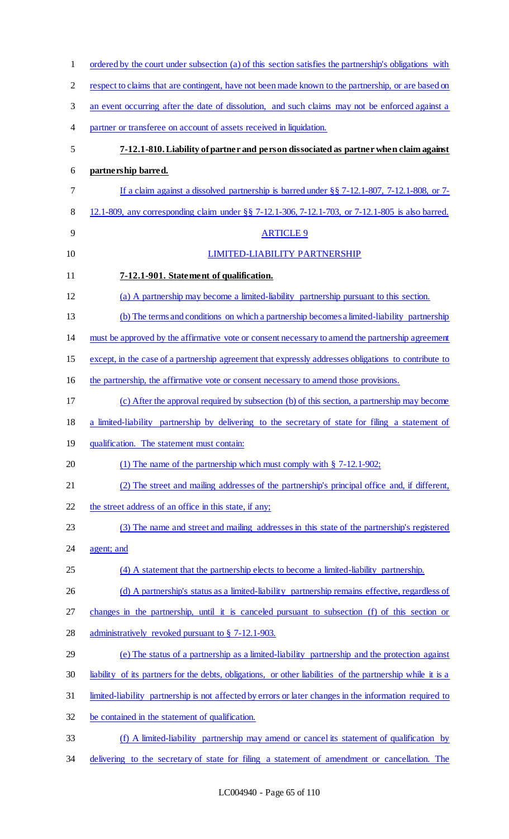| $\mathbf{1}$   | ordered by the court under subsection (a) of this section satisfies the partnership's obligations with      |
|----------------|-------------------------------------------------------------------------------------------------------------|
| $\mathbf{2}$   | respect to claims that are contingent, have not been made known to the partnership, or are based on         |
| 3              | an event occurring after the date of dissolution, and such claims may not be enforced against a             |
| $\overline{4}$ | partner or transferee on account of assets received in liquidation.                                         |
| 5              | 7-12.1-810. Liability of partner and person dissociated as partner when claim against                       |
| 6              | partnership barred.                                                                                         |
| 7              | If a claim against a dissolved partnership is barred under $\S$ $\frac{8}{3}$ 7-12.1-807, 7-12.1-808, or 7- |
| 8              | 12.1-809, any corresponding claim under §§ 7-12.1-306, 7-12.1-703, or 7-12.1-805 is also barred.            |
| 9              | <b>ARTICLE 9</b>                                                                                            |
| 10             | LIMITED-LIABILITY PARTNERSHIP                                                                               |
| 11             | 7-12.1-901. Statement of qualification.                                                                     |
| 12             | (a) A partnership may become a limited-liability partnership pursuant to this section.                      |
| 13             | (b) The terms and conditions on which a partnership becomes a limited-liability partnership                 |
| 14             | must be approved by the affirmative vote or consent necessary to amend the partnership agreement            |
| 15             | except, in the case of a partnership agreement that expressly addresses obligations to contribute to        |
| 16             | the partnership, the affirmative vote or consent necessary to amend those provisions.                       |
| 17             | (c) After the approval required by subsection (b) of this section, a partnership may become                 |
| 18             | a limited-liability partnership by delivering to the secretary of state for filing a statement of           |
| 19             | qualification. The statement must contain:                                                                  |
| 20             | (1) The name of the partnership which must comply with $\S$ 7-12.1-902;                                     |
| 21             | (2) The street and mailing addresses of the partnership's principal office and, if different,               |
| 22             | the street address of an office in this state, if any;                                                      |
| 23             | (3) The name and street and mailing addresses in this state of the partnership's registered                 |
| 24             | agent; and                                                                                                  |
| 25             | (4) A statement that the partnership elects to become a limited-liability partnership.                      |
| 26             | (d) A partnership's status as a limited-liability partnership remains effective, regardless of              |
| 27             | changes in the partnership, until it is canceled pursuant to subsection (f) of this section or              |
| 28             | administratively revoked pursuant to $\S$ 7-12.1-903.                                                       |
| 29             | (e) The status of a partnership as a limited-liability partnership and the protection against               |
| 30             | liability of its partners for the debts, obligations, or other liabilities of the partnership while it is a |
| 31             | limited-liability partnership is not affected by errors or later changes in the information required to     |
| 32             | be contained in the statement of qualification.                                                             |
| 33             | (f) A limited-liability partnership may amend or cancel its statement of qualification by                   |
| 34             | delivering to the secretary of state for filing a statement of amendment or cancellation. The               |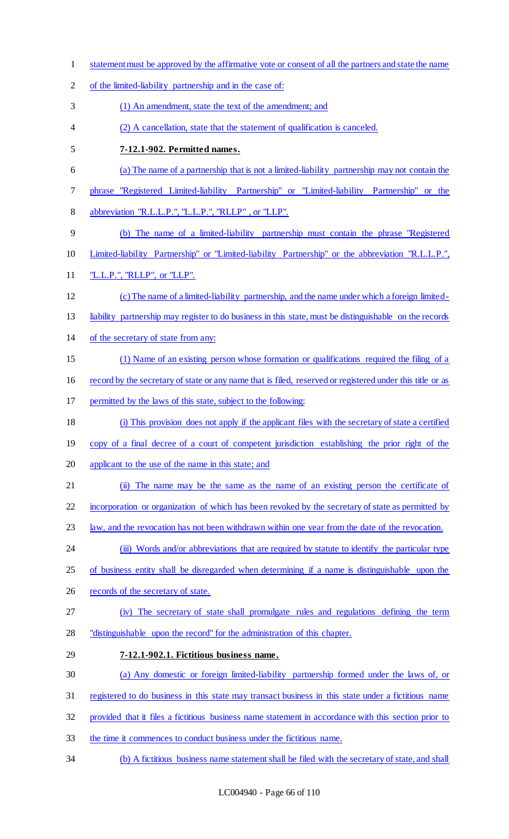statement must be approved by the affirmative vote or consent of all the partners and state the name of the limited-liability partnership and in the case of: (1) An amendment, state the text of the amendment; and (2) A cancellation, state that the statement of qualification is canceled. **7-12.1-902. Permitted names.**  (a) The name of a partnership that is not a limited-liability partnership may not contain the phrase "Registered Limited-liability Partnership" or "Limited-liability Partnership" or the abbreviation "R.L.L.P.", "L.L.P.", "RLLP" , or "LLP". (b) The name of a limited-liability partnership must contain the phrase "Registered Limited-liability Partnership" or "Limited-liability Partnership" or the abbreviation "R.L.L.P.", "L.L.P.", "RLLP", or "LLP". (c) The name of a limited-liability partnership, and the name under which a foreign limited- liability partnership may register to do business in this state, must be distinguishable on the records of the secretary of state from any: (1) Name of an existing person whose formation or qualifications required the filing of a record by the secretary of state or any name that is filed, reserved or registered under this title or as permitted by the laws of this state, subject to the following: (i) This provision does not apply if the applicant files with the secretary of state a certified copy of a final decree of a court of competent jurisdiction establishing the prior right of the applicant to the use of the name in this state; and (ii) The name may be the same as the name of an existing person the certificate of incorporation or organization of which has been revoked by the secretary of state as permitted by 23 law, and the revocation has not been withdrawn within one year from the date of the revocation. 24 (iii) Words and/or abbreviations that are required by statute to identify the particular type of business entity shall be disregarded when determining if a name is distinguishable upon the records of the secretary of state. (iv) The secretary of state shall promulgate rules and regulations defining the term "distinguishable upon the record" for the administration of this chapter. **7-12.1-902.1. Fictitious business name.**  (a) Any domestic or foreign limited-liability partnership formed under the laws of, or registered to do business in this state may transact business in this state under a fictitious name provided that it files a fictitious business name statement in accordance with this section prior to the time it commences to conduct business under the fictitious name. (b) A fictitious business name statement shall be filed with the secretary of state, and shall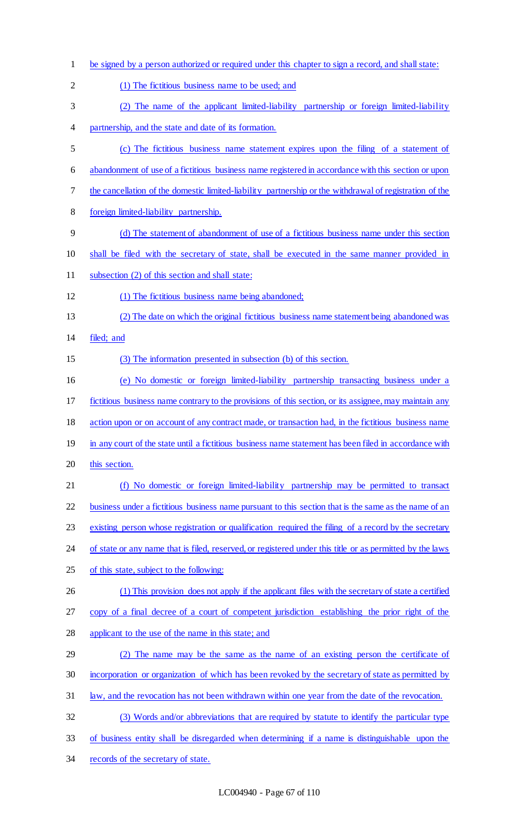1 be signed by a person authorized or required under this chapter to sign a record, and shall state: (1) The fictitious business name to be used; and (2) The name of the applicant limited-liability partnership or foreign limited-liability partnership, and the state and date of its formation. (c) The fictitious business name statement expires upon the filing of a statement of abandonment of use of a fictitious business name registered in accordance with this section or upon the cancellation of the domestic limited-liability partnership or the withdrawal of registration of the foreign limited-liability partnership. (d) The statement of abandonment of use of a fictitious business name under this section shall be filed with the secretary of state, shall be executed in the same manner provided in 11 subsection (2) of this section and shall state: (1) The fictitious business name being abandoned; (2) The date on which the original fictitious business name statement being abandoned was filed; and (3) The information presented in subsection (b) of this section. (e) No domestic or foreign limited-liability partnership transacting business under a fictitious business name contrary to the provisions of this section, or its assignee, may maintain any action upon or on account of any contract made, or transaction had, in the fictitious business name 19 in any court of the state until a fictitious business name statement has been filed in accordance with this section. (f) No domestic or foreign limited-liability partnership may be permitted to transact business under a fictitious business name pursuant to this section that is the same as the name of an existing person whose registration or qualification required the filing of a record by the secretary 24 of state or any name that is filed, reserved, or registered under this title or as permitted by the laws of this state, subject to the following: 26 (1) This provision does not apply if the applicant files with the secretary of state a certified copy of a final decree of a court of competent jurisdiction establishing the prior right of the applicant to the use of the name in this state; and (2) The name may be the same as the name of an existing person the certificate of incorporation or organization of which has been revoked by the secretary of state as permitted by law, and the revocation has not been withdrawn within one year from the date of the revocation. (3) Words and/or abbreviations that are required by statute to identify the particular type of business entity shall be disregarded when determining if a name is distinguishable upon the 34 records of the secretary of state.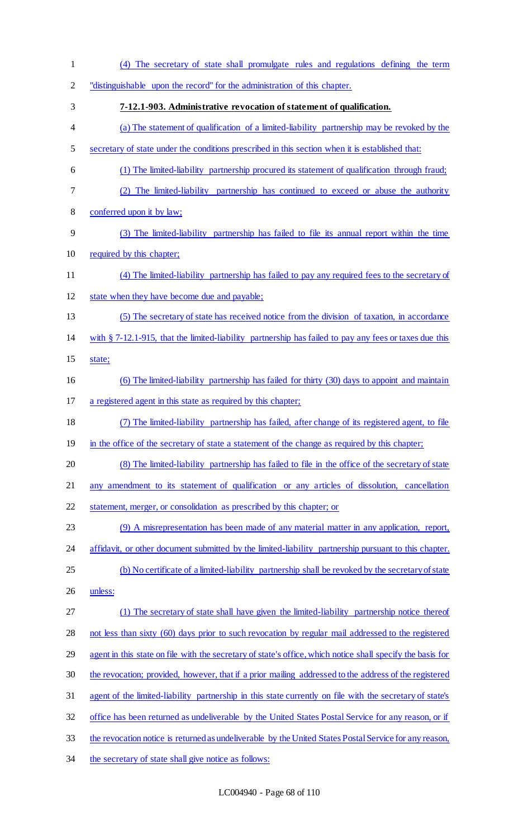| $\mathbf{1}$   | (4) The secretary of state shall promulgate rules and regulations defining the term                        |
|----------------|------------------------------------------------------------------------------------------------------------|
| $\overline{2}$ | "distinguishable upon the record" for the administration of this chapter.                                  |
| 3              | 7-12.1-903. Administrative revocation of statement of qualification.                                       |
| 4              | (a) The statement of qualification of a limited-liability partnership may be revoked by the                |
| 5              | secretary of state under the conditions prescribed in this section when it is established that:            |
| 6              | (1) The limited-liability partnership procured its statement of qualification through fraud;               |
| 7              | The limited-liability partnership has continued to exceed or abuse the authority<br>(2)                    |
| 8              | conferred upon it by law;                                                                                  |
| 9              | (3) The limited-liability partnership has failed to file its annual report within the time                 |
| 10             | required by this chapter;                                                                                  |
| 11             | (4) The limited-liability partnership has failed to pay any required fees to the secretary of              |
| 12             | state when they have become due and payable;                                                               |
| 13             | (5) The secretary of state has received notice from the division of taxation, in accordance                |
| 14             | with $\S$ 7-12.1-915, that the limited-liability partnership has failed to pay any fees or taxes due this  |
| 15             | state;                                                                                                     |
| 16             | (6) The limited-liability partnership has failed for thirty (30) days to appoint and maintain              |
| 17             | a registered agent in this state as required by this chapter;                                              |
| 18             | (7) The limited-liability partnership has failed, after change of its registered agent, to file            |
| 19             | in the office of the secretary of state a statement of the change as required by this chapter;             |
| 20             | (8) The limited-liability partnership has failed to file in the office of the secretary of state           |
| 21             | any amendment to its statement of qualification or any articles of dissolution, cancellation               |
| 22             | statement, merger, or consolidation as prescribed by this chapter; or                                      |
| 23             | (9) A misrepresentation has been made of any material matter in any application, report,                   |
| 24             | affidavit, or other document submitted by the limited-liability partnership pursuant to this chapter.      |
| 25             | (b) No certificate of a limited-liability partnership shall be revoked by the secretary of state           |
| 26             | unless:                                                                                                    |
| 27             | (1) The secretary of state shall have given the limited-liability partnership notice thereof               |
| 28             | not less than sixty (60) days prior to such revocation by regular mail addressed to the registered         |
| 29             | agent in this state on file with the secretary of state's office, which notice shall specify the basis for |
| 30             | the revocation; provided, however, that if a prior mailing addressed to the address of the registered      |
| 31             | agent of the limited-liability partnership in this state currently on file with the secretary of state's   |
| 32             | office has been returned as undeliverable by the United States Postal Service for any reason, or if        |
| 33             | the revocation notice is returned as undeliverable by the United States Postal Service for any reason,     |
| 34             | the secretary of state shall give notice as follows:                                                       |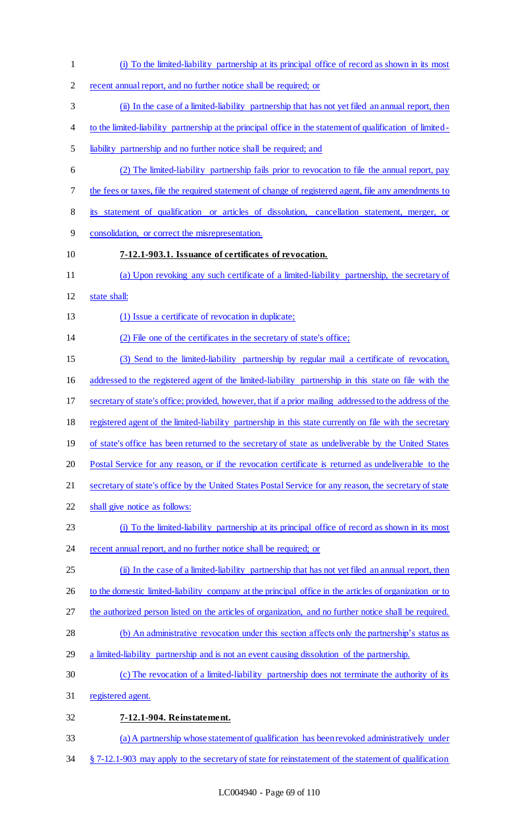(i) To the limited-liability partnership at its principal office of record as shown in its most recent annual report, and no further notice shall be required; or (ii) In the case of a limited-liability partnership that has not yet filed an annual report, then to the limited-liability partnership at the principal office in the statement of qualification of limited- liability partnership and no further notice shall be required; and (2) The limited-liability partnership fails prior to revocation to file the annual report, pay the fees or taxes, file the required statement of change of registered agent, file any amendments to its statement of qualification or articles of dissolution, cancellation statement, merger, or consolidation, or correct the misrepresentation. **7-12.1-903.1. Issuance of certificates of revocation.**  (a) Upon revoking any such certificate of a limited-liability partnership, the secretary of state shall: (1) Issue a certificate of revocation in duplicate; (2) File one of the certificates in the secretary of state's office; (3) Send to the limited-liability partnership by regular mail a certificate of revocation, addressed to the registered agent of the limited-liability partnership in this state on file with the secretary of state's office; provided, however, that if a prior mailing addressed to the address of the registered agent of the limited-liability partnership in this state currently on file with the secretary 19 of state's office has been returned to the secretary of state as undeliverable by the United States Postal Service for any reason, or if the revocation certificate is returned as undeliverable to the secretary of state's office by the United States Postal Service for any reason, the secretary of state shall give notice as follows: (i) To the limited-liability partnership at its principal office of record as shown in its most 24 recent annual report, and no further notice shall be required; or (ii) In the case of a limited-liability partnership that has not yet filed an annual report, then 26 to the domestic limited-liability company at the principal office in the articles of organization or to the authorized person listed on the articles of organization, and no further notice shall be required. (b) An administrative revocation under this section affects only the partnership's status as a limited-liability partnership and is not an event causing dissolution of the partnership. (c) The revocation of a limited-liability partnership does not terminate the authority of its registered agent. **7-12.1-904. Reinstatement.**  (a) A partnership whose statement of qualification has been revoked administratively under § 7-12.1-903 may apply to the secretary of state for reinstatement of the statement of qualification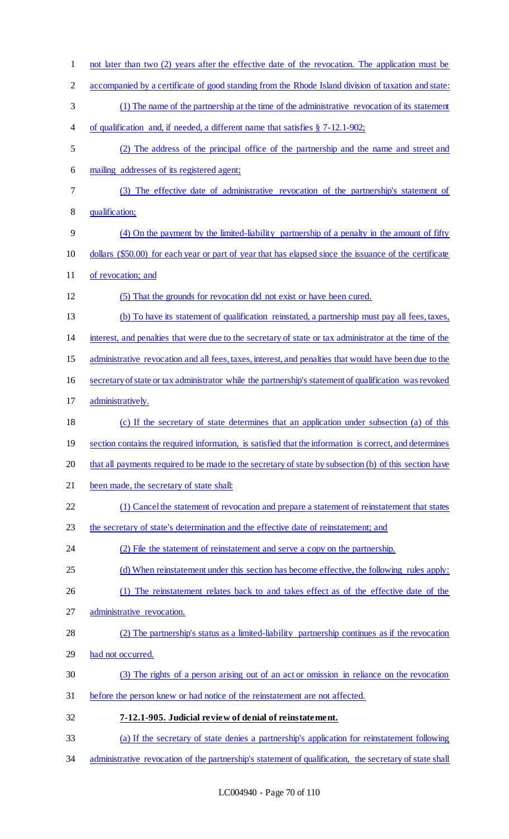| 1  | not later than two (2) years after the effective date of the revocation. The application must be        |
|----|---------------------------------------------------------------------------------------------------------|
| 2  | accompanied by a certificate of good standing from the Rhode Island division of taxation and state:     |
| 3  | (1) The name of the partnership at the time of the administrative revocation of its statement           |
| 4  | of qualification and, if needed, a different name that satisfies $\S$ 7-12.1-902;                       |
| 5  | (2) The address of the principal office of the partnership and the name and street and                  |
| 6  | mailing addresses of its registered agent;                                                              |
| 7  | (3) The effective date of administrative revocation of the partnership's statement of                   |
| 8  | qualification;                                                                                          |
| 9  | (4) On the payment by the limited-liability partnership of a penalty in the amount of fifty             |
| 10 | dollars (\$50.00) for each year or part of year that has elapsed since the issuance of the certificate  |
| 11 | of revocation; and                                                                                      |
| 12 | (5) That the grounds for revocation did not exist or have been cured.                                   |
| 13 | (b) To have its statement of qualification reinstated, a partnership must pay all fees, taxes,          |
| 14 | interest, and penalties that were due to the secretary of state or tax administrator at the time of the |
| 15 | administrative revocation and all fees, taxes, interest, and penalties that would have been due to the  |
| 16 | secretary of state or tax administrator while the partnership's statement of qualification was revoked  |
| 17 | administratively.                                                                                       |
| 18 | (c) If the secretary of state determines that an application under subsection (a) of this               |
| 19 | section contains the required information, is satisfied that the information is correct, and determines |
| 20 | that all payments required to be made to the secretary of state by subsection (b) of this section have  |
| 21 | been made, the secretary of state shall:                                                                |
| 22 | (1) Cancel the statement of revocation and prepare a statement of reinstatement that states             |
| 23 | the secretary of state's determination and the effective date of reinstatement; and                     |
| 24 | (2) File the statement of reinstatement and serve a copy on the partnership.                            |
| 25 | (d) When reinstatement under this section has become effective, the following rules apply:              |
| 26 | The reinstatement relates back to and takes effect as of the effective date of the                      |
| 27 | administrative revocation.                                                                              |
| 28 | (2) The partnership's status as a limited-liability partnership continues as if the revocation          |
| 29 | had not occurred.                                                                                       |
| 30 | (3) The rights of a person arising out of an act or omission in reliance on the revocation              |
| 31 | before the person knew or had notice of the reinstatement are not affected.                             |
| 32 | 7-12.1-905. Judicial review of denial of reinstatement.                                                 |
| 33 | (a) If the secretary of state denies a partnership's application for reinstatement following            |

34 administrative revocation of the partnership's statement of qualification, the secretary of state shall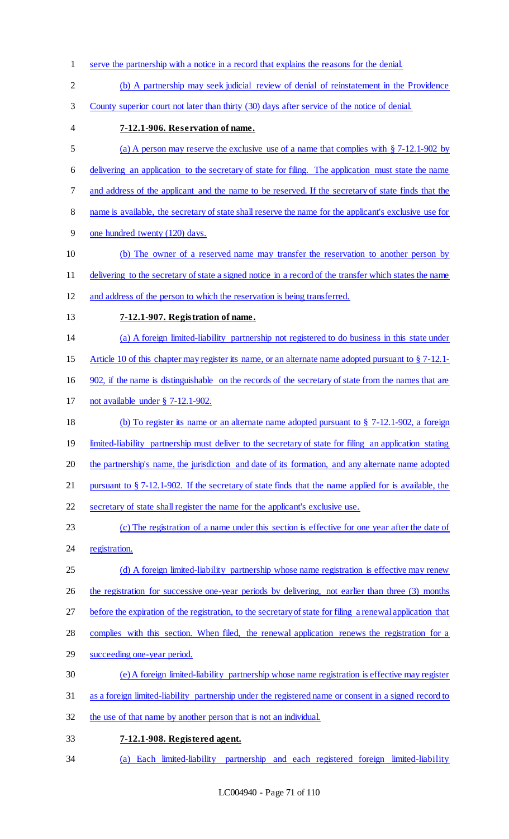- serve the partnership with a notice in a record that explains the reasons for the denial. (b) A partnership may seek judicial review of denial of reinstatement in the Providence County superior court not later than thirty (30) days after service of the notice of denial. **7-12.1-906. Reservation of name.**  (a) A person may reserve the exclusive use of a name that complies with § 7-12.1-902 by delivering an application to the secretary of state for filing. The application must state the name and address of the applicant and the name to be reserved. If the secretary of state finds that the name is available, the secretary of state shall reserve the name for the applicant's exclusive use for one hundred twenty (120) days. (b) The owner of a reserved name may transfer the reservation to another person by 11 delivering to the secretary of state a signed notice in a record of the transfer which states the name and address of the person to which the reservation is being transferred. **7-12.1-907. Registration of name.**  (a) A foreign limited-liability partnership not registered to do business in this state under Article 10 of this chapter may register its name, or an alternate name adopted pursuant to § 7-12.1- 902, if the name is distinguishable on the records of the secretary of state from the names that are not available under § 7-12.1-902. (b) To register its name or an alternate name adopted pursuant to § 7-12.1-902, a foreign 19 limited-liability partnership must deliver to the secretary of state for filing an application stating the partnership's name, the jurisdiction and date of its formation, and any alternate name adopted pursuant to § 7-12.1-902. If the secretary of state finds that the name applied for is available, the secretary of state shall register the name for the applicant's exclusive use. (c) The registration of a name under this section is effective for one year after the date of 24 registration. 25 (d) A foreign limited-liability partnership whose name registration is effective may renew 26 the registration for successive one-year periods by delivering, not earlier than three (3) months before the expiration of the registration, to the secretary of state for filing a renewal application that complies with this section. When filed, the renewal application renews the registration for a succeeding one-year period. (e) A foreign limited-liability partnership whose name registration is effective may register as a foreign limited-liability partnership under the registered name or consent in a signed record to
- the use of that name by another person that is not an individual.
- **7-12.1-908. Registered agent.**
- (a) Each limited-liability partnership and each registered foreign limited-liability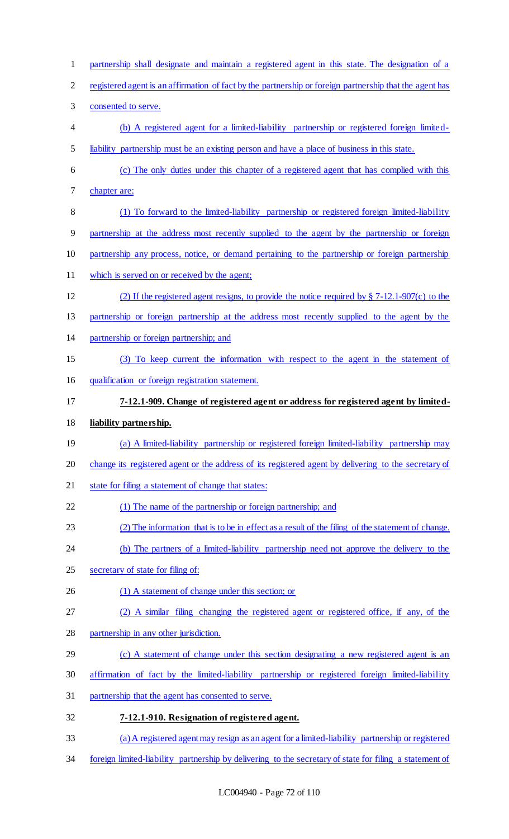partnership shall designate and maintain a registered agent in this state. The designation of a registered agent is an affirmation of fact by the partnership or foreign partnership that the agent has consented to serve. (b) A registered agent for a limited-liability partnership or registered foreign limited- liability partnership must be an existing person and have a place of business in this state. (c) The only duties under this chapter of a registered agent that has complied with this chapter are: (1) To forward to the limited-liability partnership or registered foreign limited-liability partnership at the address most recently supplied to the agent by the partnership or foreign partnership any process, notice, or demand pertaining to the partnership or foreign partnership which is served on or received by the agent; (2) If the registered agent resigns, to provide the notice required by § 7-12.1-907(c) to the partnership or foreign partnership at the address most recently supplied to the agent by the partnership or foreign partnership; and (3) To keep current the information with respect to the agent in the statement of qualification or foreign registration statement. **7-12.1-909. Change of registered agent or address for registered agent by limited- liability partnership.**  (a) A limited-liability partnership or registered foreign limited-liability partnership may change its registered agent or the address of its registered agent by delivering to the secretary of 21 state for filing a statement of change that states: 22 (1) The name of the partnership or foreign partnership; and (2) The information that is to be in effect as a result of the filing of the statement of change. (b) The partners of a limited-liability partnership need not approve the delivery to the 25 secretary of state for filing of: 26 (1) A statement of change under this section; or (2) A similar filing changing the registered agent or registered office, if any, of the partnership in any other jurisdiction. (c) A statement of change under this section designating a new registered agent is an affirmation of fact by the limited-liability partnership or registered foreign limited-liability partnership that the agent has consented to serve. **7-12.1-910. Resignation of registered agent.**  (a) A registered agent may resign as an agent for a limited-liability partnership or registered foreign limited-liability partnership by delivering to the secretary of state for filing a statement of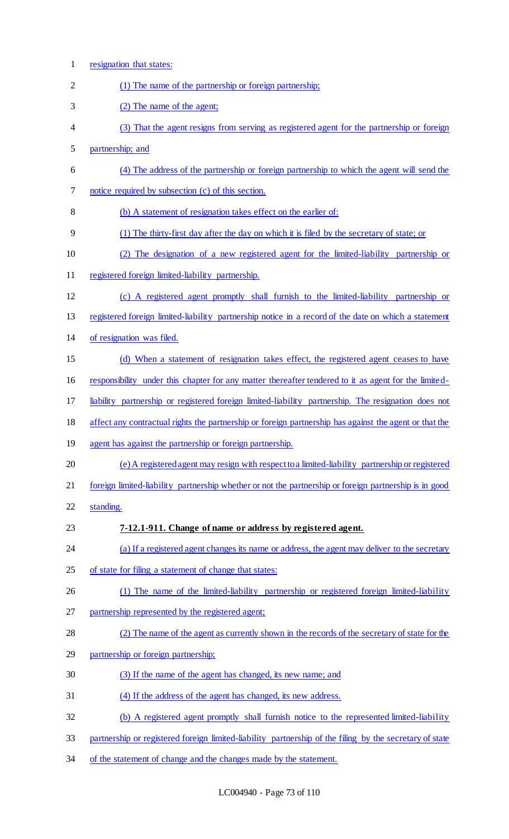| $\mathbf{1}$   | resignation that states:                                                                                |
|----------------|---------------------------------------------------------------------------------------------------------|
| $\overline{2}$ | (1) The name of the partnership or foreign partnership;                                                 |
| 3              | (2) The name of the agent;                                                                              |
| 4              | (3) That the agent resigns from serving as registered agent for the partnership or foreign              |
| 5              | partnership; and                                                                                        |
| 6              | (4) The address of the partnership or foreign partnership to which the agent will send the              |
| 7              | notice required by subsection (c) of this section.                                                      |
| 8              | (b) A statement of resignation takes effect on the earlier of:                                          |
| 9              | (1) The thirty-first day after the day on which it is filed by the secretary of state; or               |
| 10             | (2) The designation of a new registered agent for the limited-liability partnership or                  |
| 11             | registered foreign limited-liability partnership.                                                       |
| 12             | (c) A registered agent promptly shall furnish to the limited-liability partnership or                   |
| 13             | registered foreign limited-liability partnership notice in a record of the date on which a statement    |
| 14             | of resignation was filed.                                                                               |
| 15             | (d) When a statement of resignation takes effect, the registered agent ceases to have                   |
| 16             | responsibility under this chapter for any matter thereafter tendered to it as agent for the limited-    |
| 17             | liability partnership or registered foreign limited-liability partnership. The resignation does not     |
| 18             | affect any contractual rights the partnership or foreign partnership has against the agent or that the  |
| 19             | agent has against the partnership or foreign partnership.                                               |
| 20             | (e) A registered agent may resign with respect to a limited-liability partnership or registered         |
| 21             | foreign limited-liability partnership whether or not the partnership or foreign partnership is in good  |
| 22             | standing.                                                                                               |
| 23             | 7-12.1-911. Change of name or address by registered agent.                                              |
| 24             | (a) If a registered agent changes its name or address, the agent may deliver to the secretary           |
| 25             | of state for filing a statement of change that states:                                                  |
| 26             | (1) The name of the limited-liability partnership or registered foreign limited-liability               |
| 27             | partnership represented by the registered agent;                                                        |
| 28             | (2) The name of the agent as currently shown in the records of the secretary of state for the           |
| 29             | partnership or foreign partnership;                                                                     |
| 30             | (3) If the name of the agent has changed, its new name; and                                             |
| 31             | (4) If the address of the agent has changed, its new address.                                           |
| 32             | (b) A registered agent promptly shall furnish notice to the represented limited-liability               |
| 33             | partnership or registered foreign limited-liability partnership of the filing by the secretary of state |
| 34             | of the statement of change and the changes made by the statement.                                       |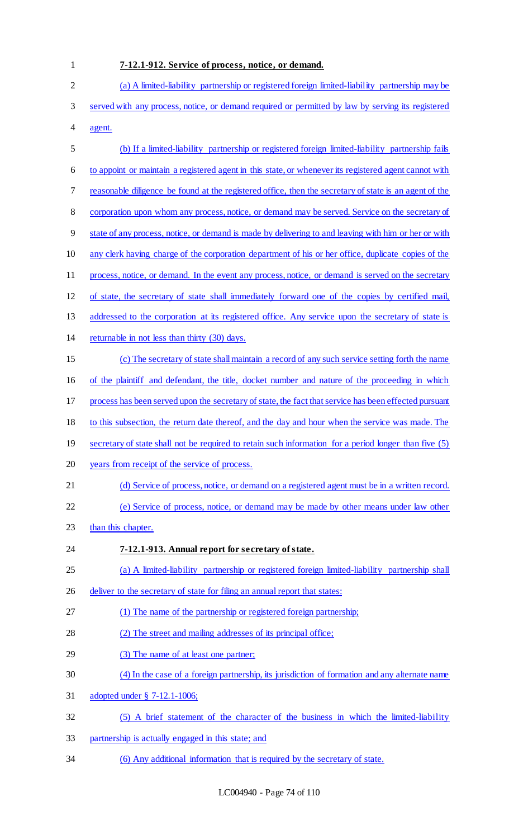## **7-12.1-912. Service of process, notice, or demand.**

| $\mathbf{2}$   | (a) A limited-liability partnership or registered foreign limited-liability partnership may be         |
|----------------|--------------------------------------------------------------------------------------------------------|
| 3              | served with any process, notice, or demand required or permitted by law by serving its registered      |
| $\overline{4}$ | agent.                                                                                                 |
| 5              | (b) If a limited-liability partnership or registered foreign limited-liability partnership fails       |
| 6              | to appoint or maintain a registered agent in this state, or whenever its registered agent cannot with  |
| 7              | reasonable diligence be found at the registered office, then the secretary of state is an agent of the |
| $8\,$          | corporation upon whom any process, notice, or demand may be served. Service on the secretary of        |
| 9              | state of any process, notice, or demand is made by delivering to and leaving with him or her or with   |
| 10             | any clerk having charge of the corporation department of his or her office, duplicate copies of the    |
| 11             | process, notice, or demand. In the event any process, notice, or demand is served on the secretary     |
| 12             | of state, the secretary of state shall immediately forward one of the copies by certified mail,        |
| 13             | addressed to the corporation at its registered office. Any service upon the secretary of state is      |
| 14             | returnable in not less than thirty (30) days.                                                          |
| 15             | (c) The secretary of state shall maintain a record of any such service setting forth the name          |
| 16             | of the plaintiff and defendant, the title, docket number and nature of the proceeding in which         |
| 17             | process has been served upon the secretary of state, the fact that service has been effected pursuant  |
| 18             | to this subsection, the return date thereof, and the day and hour when the service was made. The       |
| 19             | secretary of state shall not be required to retain such information for a period longer than five (5)  |
| 20             | years from receipt of the service of process.                                                          |
| 21             | (d) Service of process, notice, or demand on a registered agent must be in a written record.           |
| 22             | (e) Service of process, notice, or demand may be made by other means under law other                   |
| 23             | than this chapter.                                                                                     |
| 24             | 7-12.1-913. Annual report for secretary of state.                                                      |
| 25             | (a) A limited-liability partnership or registered foreign limited-liability partnership shall          |
| 26             | deliver to the secretary of state for filing an annual report that states:                             |
| 27             | (1) The name of the partnership or registered foreign partnership;                                     |
| 28             | (2) The street and mailing addresses of its principal office;                                          |
| 29             | (3) The name of at least one partner;                                                                  |
| 30             | (4) In the case of a foreign partnership, its jurisdiction of formation and any alternate name         |
| 31             | adopted under § 7-12.1-1006;                                                                           |
| 32             | (5) A brief statement of the character of the business in which the limited-liability                  |
| 33             | partnership is actually engaged in this state; and                                                     |
| 34             | (6) Any additional information that is required by the secretary of state.                             |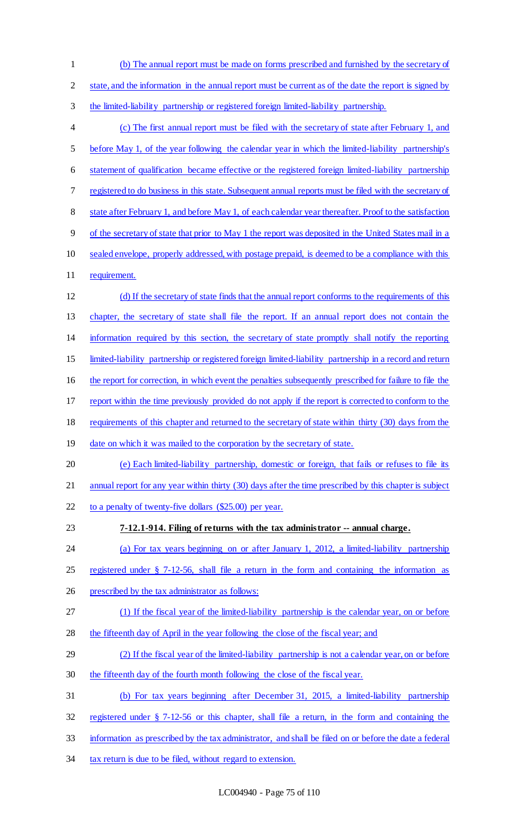(b) The annual report must be made on forms prescribed and furnished by the secretary of state, and the information in the annual report must be current as of the date the report is signed by the limited-liability partnership or registered foreign limited-liability partnership. (c) The first annual report must be filed with the secretary of state after February 1, and before May 1, of the year following the calendar year in which the limited-liability partnership's statement of qualification became effective or the registered foreign limited-liability partnership registered to do business in this state. Subsequent annual reports must be filed with the secretary of state after February 1, and before May 1, of each calendar year thereafter. Proof to the satisfaction of the secretary of state that prior to May 1 the report was deposited in the United States mail in a sealed envelope, properly addressed, with postage prepaid, is deemed to be a compliance with this 11 requirement. (d) If the secretary of state finds that the annual report conforms to the requirements of this chapter, the secretary of state shall file the report. If an annual report does not contain the information required by this section, the secretary of state promptly shall notify the reporting limited-liability partnership or registered foreign limited-liability partnership in a record and return the report for correction, in which event the penalties subsequently prescribed for failure to file the report within the time previously provided do not apply if the report is corrected to conform to the requirements of this chapter and returned to the secretary of state within thirty (30) days from the 19 date on which it was mailed to the corporation by the secretary of state. (e) Each limited-liability partnership, domestic or foreign, that fails or refuses to file its 21 annual report for any year within thirty (30) days after the time prescribed by this chapter is subject 22 to a penalty of twenty-five dollars (\$25.00) per year. **7-12.1-914. Filing of returns with the tax administrator -- annual charge.**  (a) For tax years beginning on or after January 1, 2012, a limited-liability partnership registered under § 7-12-56, shall file a return in the form and containing the information as prescribed by the tax administrator as follows: (1) If the fiscal year of the limited-liability partnership is the calendar year, on or before 28 the fifteenth day of April in the year following the close of the fiscal year; and (2) If the fiscal year of the limited-liability partnership is not a calendar year, on or before the fifteenth day of the fourth month following the close of the fiscal year. (b) For tax years beginning after December 31, 2015, a limited-liability partnership registered under § 7-12-56 or this chapter, shall file a return, in the form and containing the information as prescribed by the tax administrator, and shall be filed on or before the date a federal 34 tax return is due to be filed, without regard to extension.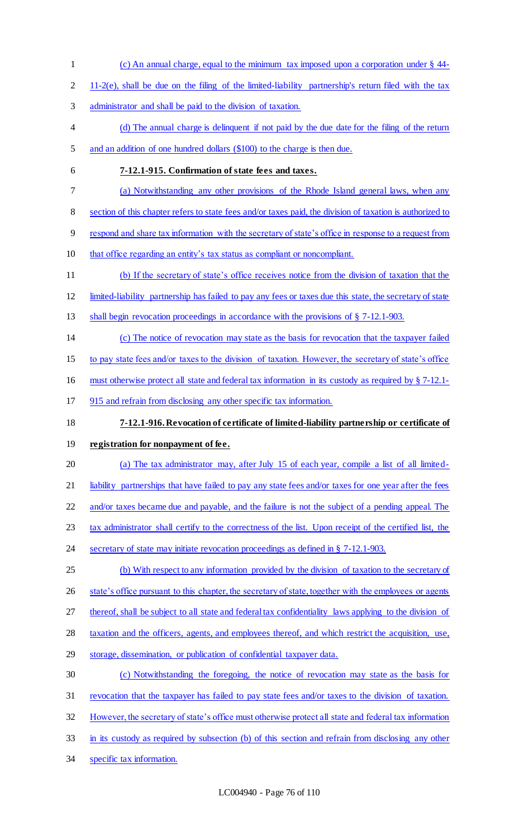11-2(e), shall be due on the filing of the limited-liability partnership's return filed with the tax administrator and shall be paid to the division of taxation. (d) The annual charge is delinquent if not paid by the due date for the filing of the return and an addition of one hundred dollars (\$100) to the charge is then due. **7-12.1-915. Confirmation of state fees and taxes.**  (a) Notwithstanding any other provisions of the Rhode Island general laws, when any section of this chapter refers to state fees and/or taxes paid, the division of taxation is authorized to respond and share tax information with the secretary of state's office in response to a request from 10 that office regarding an entity's tax status as compliant or noncompliant. (b) If the secretary of state's office receives notice from the division of taxation that the limited-liability partnership has failed to pay any fees or taxes due this state, the secretary of state shall begin revocation proceedings in accordance with the provisions of § 7-12.1-903. (c) The notice of revocation may state as the basis for revocation that the taxpayer failed to pay state fees and/or taxes to the division of taxation. However, the secretary of state's office must otherwise protect all state and federal tax information in its custody as required by § 7-12.1- 915 and refrain from disclosing any other specific tax information. **7-12.1-916. Revocation of certificate of limited-liability partnership or certificate of registration for nonpayment of fee.**  (a) The tax administrator may, after July 15 of each year, compile a list of all limited-21 liability partnerships that have failed to pay any state fees and/or taxes for one year after the fees 22 and/or taxes became due and payable, and the failure is not the subject of a pending appeal. The 23 tax administrator shall certify to the correctness of the list. Upon receipt of the certified list, the secretary of state may initiate revocation proceedings as defined in § 7-12.1-903. (b) With respect to any information provided by the division of taxation to the secretary of 26 state's office pursuant to this chapter, the secretary of state, together with the employees or agents thereof, shall be subject to all state and federal tax confidentiality laws applying to the division of 28 taxation and the officers, agents, and employees thereof, and which restrict the acquisition, use, storage, dissemination, or publication of confidential taxpayer data. (c) Notwithstanding the foregoing, the notice of revocation may state as the basis for revocation that the taxpayer has failed to pay state fees and/or taxes to the division of taxation. However, the secretary of state's office must otherwise protect all state and federal tax information in its custody as required by subsection (b) of this section and refrain from disclosing any other

(c) An annual charge, equal to the minimum tax imposed upon a corporation under § 44-

specific tax information.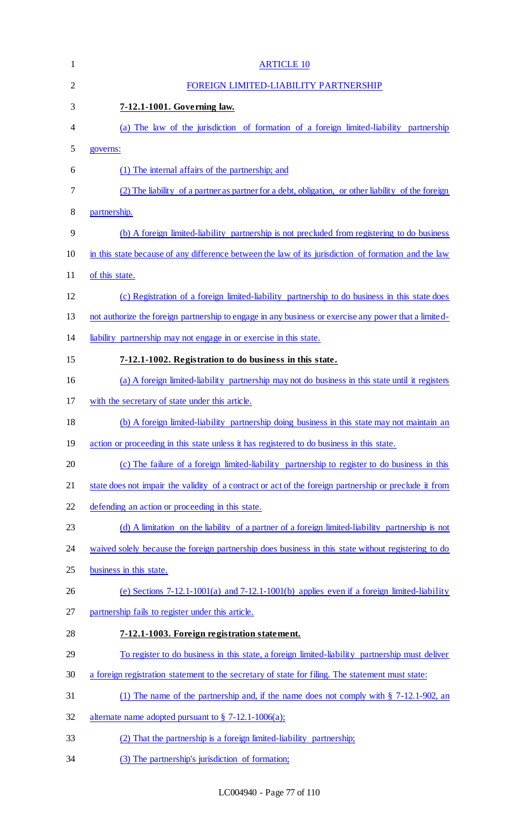| $\mathbf{1}$   | <b>ARTICLE 10</b>                                                                                      |
|----------------|--------------------------------------------------------------------------------------------------------|
| $\overline{2}$ | FOREIGN LIMITED-LIABILITY PARTNERSHIP                                                                  |
| 3              | 7-12.1-1001. Governing law.                                                                            |
| 4              | (a) The law of the jurisdiction of formation of a foreign limited-liability partnership                |
| 5              | governs:                                                                                               |
| 6              | (1) The internal affairs of the partnership; and                                                       |
| 7              | (2) The liability of a partner as partner for a debt, obligation, or other liability of the foreign    |
| $8\,$          | partnership.                                                                                           |
| 9              | (b) A foreign limited-liability partnership is not precluded from registering to do business           |
| 10             | in this state because of any difference between the law of its jurisdiction of formation and the law   |
| 11             | of this state.                                                                                         |
| 12             | (c) Registration of a foreign limited-liability partnership to do business in this state does          |
| 13             | not authorize the foreign partnership to engage in any business or exercise any power that a limited-  |
| 14             | liability partnership may not engage in or exercise in this state.                                     |
| 15             | 7-12.1-1002. Registration to do business in this state.                                                |
| 16             | (a) A foreign limited-liability partnership may not do business in this state until it registers       |
| 17             | with the secretary of state under this article.                                                        |
| 18             | (b) A foreign limited-liability partnership doing business in this state may not maintain an           |
| 19             | action or proceeding in this state unless it has registered to do business in this state.              |
| 20             | (c) The failure of a foreign limited-liability partnership to register to do business in this          |
| 21             | state does not impair the validity of a contract or act of the foreign partnership or preclude it from |
| 22             | defending an action or proceeding in this state.                                                       |
| 23             | (d) A limitation on the liability of a partner of a foreign limited-liability partnership is not       |
| 24             | waived solely because the foreign partnership does business in this state without registering to do    |
| 25             | business in this state.                                                                                |
| 26             | (e) Sections $7-12.1-1001(a)$ and $7-12.1-1001(b)$ applies even if a foreign limited-liability         |
| 27             | partnership fails to register under this article.                                                      |
| 28             | 7-12.1-1003. Foreign registration statement.                                                           |
| 29             | To register to do business in this state, a foreign limited-liability partnership must deliver         |
| 30             | a foreign registration statement to the secretary of state for filing. The statement must state:       |
| 31             | (1) The name of the partnership and, if the name does not comply with $\S$ 7-12.1-902, an              |
| 32             | alternate name adopted pursuant to $\S$ 7-12.1-1006(a);                                                |
| 33             | (2) That the partnership is a foreign limited-liability partnership;                                   |
| 34             | (3) The partnership's jurisdiction of formation;                                                       |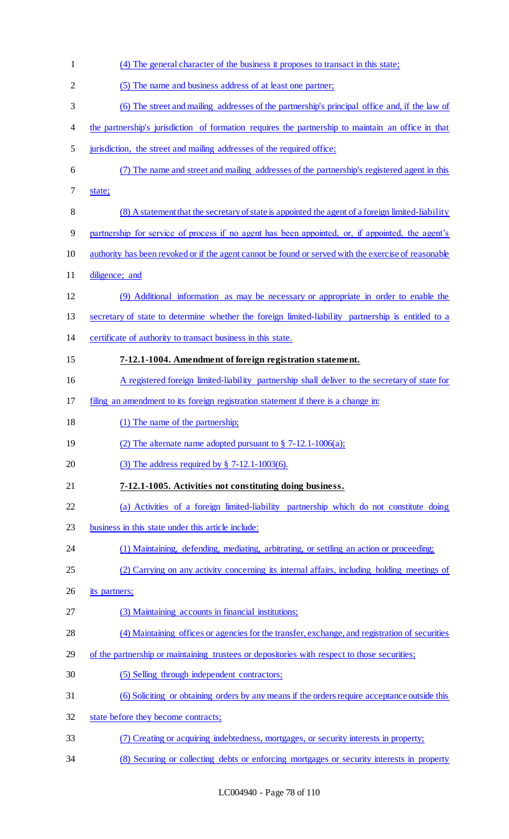| $\mathbf{1}$   | (4) The general character of the business it proposes to transact in this state;                     |
|----------------|------------------------------------------------------------------------------------------------------|
| $\overline{2}$ | (5) The name and business address of at least one partner;                                           |
| 3              | (6) The street and mailing addresses of the partnership's principal office and, if the law of        |
| 4              | the partnership's jurisdiction of formation requires the partnership to maintain an office in that   |
| 5              | jurisdiction, the street and mailing addresses of the required office;                               |
| 6              | (7) The name and street and mailing addresses of the partnership's registered agent in this          |
| 7              | state;                                                                                               |
| 8              | (8) A statement that the secretary of state is appointed the agent of a foreign limited-liability    |
| 9              | partnership for service of process if no agent has been appointed, or, if appointed, the agent's     |
| 10             | authority has been revoked or if the agent cannot be found or served with the exercise of reasonable |
| 11             | diligence; and                                                                                       |
| 12             | (9) Additional information as may be necessary or appropriate in order to enable the                 |
| 13             | secretary of state to determine whether the foreign limited-liability partnership is entitled to a   |
| 14             | certificate of authority to transact business in this state.                                         |
| 15             | 7-12.1-1004. Amendment of foreign registration statement.                                            |
| 16             | A registered foreign limited-liability partnership shall deliver to the secretary of state for       |
| 17             | filing an amendment to its foreign registration statement if there is a change in:                   |
| 18             | (1) The name of the partnership;                                                                     |
| 19             | (2) The alternate name adopted pursuant to $\S$ 7-12.1-1006(a);                                      |
| 20             | (3) The address required by $\S$ 7-12.1-1003(6).                                                     |
| 21             | 7-12.1-1005. Activities not constituting doing business.                                             |
| 22             | (a) Activities of a foreign limited-liability partnership which do not constitute doing              |
| 23             | business in this state under this article include:                                                   |
| 24             | (1) Maintaining, defending, mediating, arbitrating, or settling an action or proceeding;             |
| 25             | (2) Carrying on any activity concerning its internal affairs, including holding meetings of          |
| 26             | its partners;                                                                                        |
| 27             | (3) Maintaining accounts in financial institutions;                                                  |
| 28             | (4) Maintaining offices or agencies for the transfer, exchange, and registration of securities       |
| 29             | of the partnership or maintaining trustees or depositories with respect to those securities;         |
| 30             | (5) Selling through independent contractors;                                                         |
| 31             | (6) Soliciting or obtaining orders by any means if the orders require acceptance outside this        |
| 32             | state before they become contracts;                                                                  |
| 33             | (7) Creating or acquiring indebtedness, mortgages, or security interests in property;                |
| 34             | (8) Securing or collecting debts or enforcing mortgages or security interests in property            |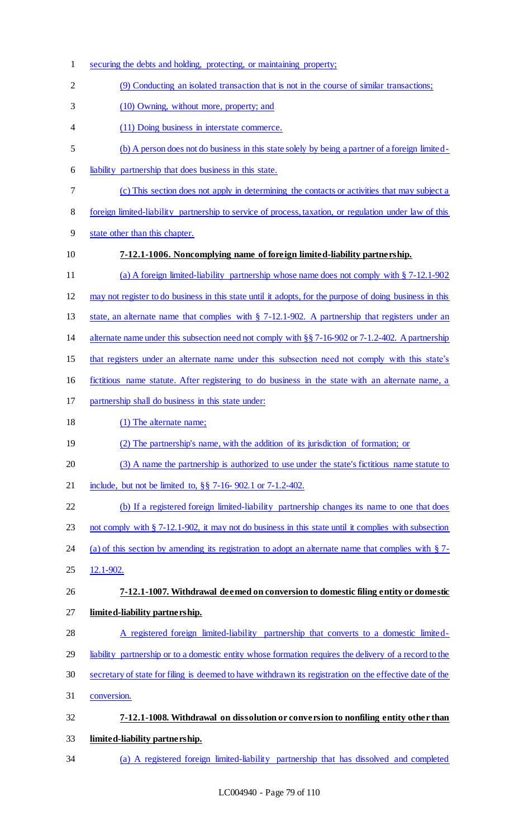securing the debts and holding, protecting, or maintaining property; (9) Conducting an isolated transaction that is not in the course of similar transactions; (10) Owning, without more, property; and 4 (11) Doing business in interstate commerce. (b) A person does not do business in this state solely by being a partner of a foreign limited- liability partnership that does business in this state. (c) This section does not apply in determining the contacts or activities that may subject a foreign limited-liability partnership to service of process, taxation, or regulation under law of this state other than this chapter. **7-12.1-1006. Noncomplying name of foreign limited-liability partnership.**  (a) A foreign limited-liability partnership whose name does not comply with § 7-12.1-902 may not register to do business in this state until it adopts, for the purpose of doing business in this state, an alternate name that complies with § 7-12.1-902. A partnership that registers under an 14 alternate name under this subsection need not comply with §§ 7-16-902 or 7-1.2-402. A partnership that registers under an alternate name under this subsection need not comply with this state's fictitious name statute. After registering to do business in the state with an alternate name, a partnership shall do business in this state under: 18 (1) The alternate name; (2) The partnership's name, with the addition of its jurisdiction of formation; or (3) A name the partnership is authorized to use under the state's fictitious name statute to 21 include, but not be limited to, §§ 7-16-902.1 or 7-1.2-402. (b) If a registered foreign limited-liability partnership changes its name to one that does 23 not comply with § 7-12.1-902, it may not do business in this state until it complies with subsection 24 (a) of this section by amending its registration to adopt an alternate name that complies with § 7- 12.1-902. **7-12.1-1007. Withdrawal deemed on conversion to domestic filing entity or domestic limited-liability partnership.**  28 A registered foreign limited-liability partnership that converts to a domestic limited- liability partnership or to a domestic entity whose formation requires the delivery of a record to the secretary of state for filing is deemed to have withdrawn its registration on the effective date of the conversion. **7-12.1-1008. Withdrawal on dissolution or conversion to nonfiling entity other than limited-liability partnership.**  (a) A registered foreign limited-liability partnership that has dissolved and completed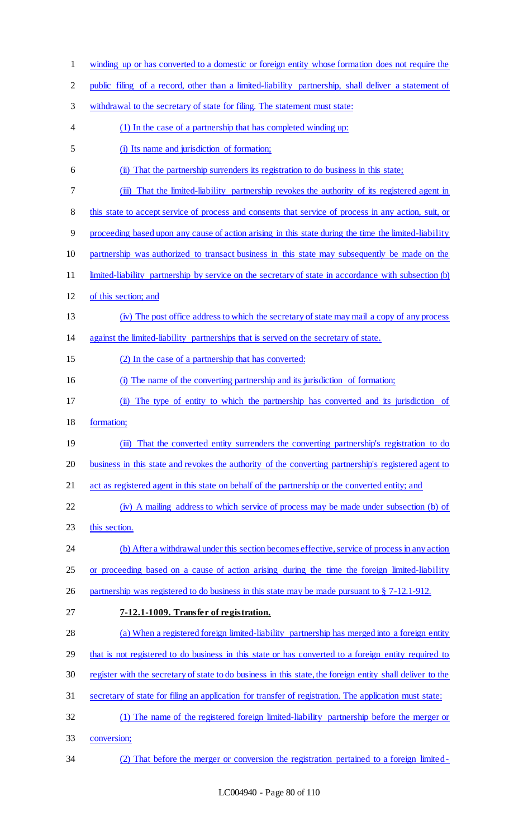| $\mathbf{1}$ | winding up or has converted to a domestic or foreign entity whose formation does not require the           |
|--------------|------------------------------------------------------------------------------------------------------------|
| 2            | public filing of a record, other than a limited-liability partnership, shall deliver a statement of        |
| 3            | withdrawal to the secretary of state for filing. The statement must state:                                 |
| 4            | (1) In the case of a partnership that has completed winding up:                                            |
| 5            | (i) Its name and jurisdiction of formation;                                                                |
| 6            | (ii) That the partnership surrenders its registration to do business in this state;                        |
| 7            | (iii) That the limited-liability partnership revokes the authority of its registered agent in              |
| 8            | this state to accept service of process and consents that service of process in any action, suit, or       |
| 9            | proceeding based upon any cause of action arising in this state during the time the limited-liability      |
| 10           | partnership was authorized to transact business in this state may subsequently be made on the              |
| 11           | limited-liability partnership by service on the secretary of state in accordance with subsection (b)       |
| 12           | of this section; and                                                                                       |
| 13           | (iv) The post office address to which the secretary of state may mail a copy of any process                |
| 14           | against the limited-liability partnerships that is served on the secretary of state.                       |
| 15           | (2) In the case of a partnership that has converted:                                                       |
| 16           | (i) The name of the converting partnership and its jurisdiction of formation;                              |
| 17           | The type of entity to which the partnership has converted and its jurisdiction of<br>$\ddot{\mathbf{u}}$   |
| 18           | formation;                                                                                                 |
| 19           | (iii) That the converted entity surrenders the converting partnership's registration to do                 |
| 20           | business in this state and revokes the authority of the converting partnership's registered agent to       |
| 21           | act as registered agent in this state on behalf of the partnership or the converted entity; and            |
| 22           | (iv) A mailing address to which service of process may be made under subsection (b) of                     |
| 23           | this section.                                                                                              |
| 24           | (b) After a withdrawal under this section becomes effective, service of process in any action              |
| 25           | or proceeding based on a cause of action arising during the time the foreign limited-liability             |
| 26           | partnership was registered to do business in this state may be made pursuant to $\S$ 7-12.1-912.           |
| 27           | 7-12.1-1009. Transfer of registration.                                                                     |
| 28           | (a) When a registered foreign limited-liability partnership has merged into a foreign entity               |
| 29           | that is not registered to do business in this state or has converted to a foreign entity required to       |
| 30           | register with the secretary of state to do business in this state, the foreign entity shall deliver to the |
| 31           | secretary of state for filing an application for transfer of registration. The application must state:     |
| 32           | (1) The name of the registered foreign limited-liability partnership before the merger or                  |
| 33           | conversion;                                                                                                |
| 34           | (2) That before the merger or conversion the registration pertained to a foreign limited-                  |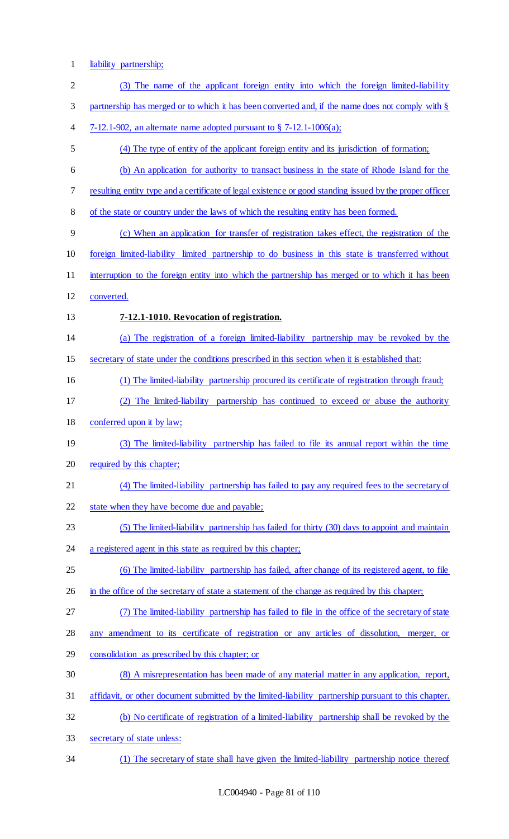1 liability partnership;

| $\mathbf{2}$   | (3) The name of the applicant foreign entity into which the foreign limited-liability                    |
|----------------|----------------------------------------------------------------------------------------------------------|
| 3              | partnership has merged or to which it has been converted and, if the name does not comply with §         |
| $\overline{4}$ | 7-12.1-902, an alternate name adopted pursuant to $\S$ 7-12.1-1006(a);                                   |
| 5              | (4) The type of entity of the applicant foreign entity and its jurisdiction of formation;                |
| 6              | (b) An application for authority to transact business in the state of Rhode Island for the               |
| 7              | resulting entity type and a certificate of legal existence or good standing issued by the proper officer |
| $8\,$          | of the state or country under the laws of which the resulting entity has been formed.                    |
| 9              | (c) When an application for transfer of registration takes effect, the registration of the               |
| 10             | foreign limited-liability limited partnership to do business in this state is transferred without        |
| 11             | interruption to the foreign entity into which the partnership has merged or to which it has been         |
| 12             | converted.                                                                                               |
| 13             | 7-12.1-1010. Revocation of registration.                                                                 |
| 14             | (a) The registration of a foreign limited-liability partnership may be revoked by the                    |
| 15             | secretary of state under the conditions prescribed in this section when it is established that:          |
| 16             | (1) The limited-liability partnership procured its certificate of registration through fraud;            |
| 17             | The limited-liability partnership has continued to exceed or abuse the authority<br>(2)                  |
| 18             | conferred upon it by law;                                                                                |
| 19             | (3) The limited-liability partnership has failed to file its annual report within the time               |
| 20             | required by this chapter;                                                                                |
| 21             | (4) The limited-liability partnership has failed to pay any required fees to the secretary of            |
| 22             | state when they have become due and payable;                                                             |
| 23             | (5) The limited-liability partnership has failed for thirty (30) days to appoint and maintain            |
| 24             | a registered agent in this state as required by this chapter;                                            |
| 25             | (6) The limited-liability partnership has failed, after change of its registered agent, to file          |
| 26             | in the office of the secretary of state a statement of the change as required by this chapter;           |
| 27             | (7) The limited-liability partnership has failed to file in the office of the secretary of state         |
| 28             | any amendment to its certificate of registration or any articles of dissolution, merger, or              |
| 29             | consolidation as prescribed by this chapter; or                                                          |
| 30             | (8) A misrepresentation has been made of any material matter in any application, report,                 |
| 31             | affidavit, or other document submitted by the limited-liability partnership pursuant to this chapter.    |
| 32             | (b) No certificate of registration of a limited-liability partnership shall be revoked by the            |
| 33             | secretary of state unless:                                                                               |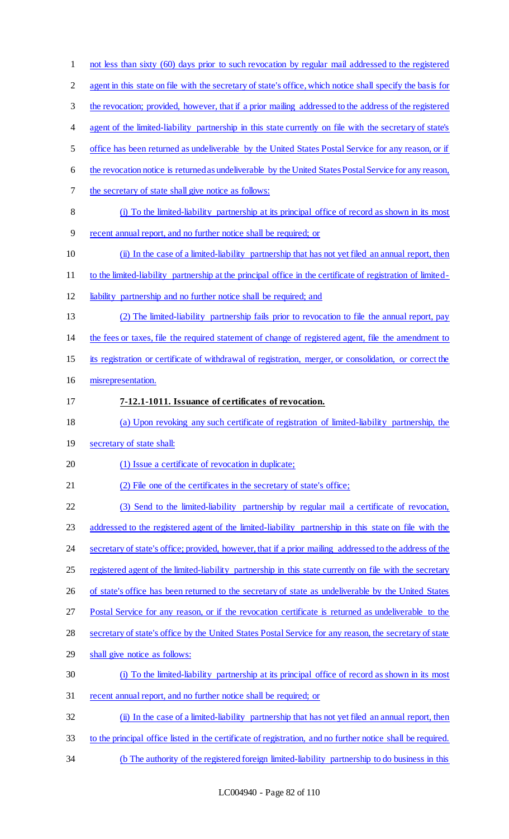not less than sixty (60) days prior to such revocation by regular mail addressed to the registered agent in this state on file with the secretary of state's office, which notice shall specify the basis for the revocation; provided, however, that if a prior mailing addressed to the address of the registered 4 agent of the limited-liability partnership in this state currently on file with the secretary of state's office has been returned as undeliverable by the United States Postal Service for any reason, or if 6 the revocation notice is returned as undeliverable by the United States Postal Service for any reason, the secretary of state shall give notice as follows: (i) To the limited-liability partnership at its principal office of record as shown in its most recent annual report, and no further notice shall be required; or (ii) In the case of a limited-liability partnership that has not yet filed an annual report, then to the limited-liability partnership at the principal office in the certificate of registration of limited- liability partnership and no further notice shall be required; and (2) The limited-liability partnership fails prior to revocation to file the annual report, pay the fees or taxes, file the required statement of change of registered agent, file the amendment to its registration or certificate of withdrawal of registration, merger, or consolidation, or correct the misrepresentation. **7-12.1-1011. Issuance of certificates of revocation.**  (a) Upon revoking any such certificate of registration of limited-liability partnership, the secretary of state shall: (1) Issue a certificate of revocation in duplicate; 21 (2) File one of the certificates in the secretary of state's office; (3) Send to the limited-liability partnership by regular mail a certificate of revocation, 23 addressed to the registered agent of the limited-liability partnership in this state on file with the 24 secretary of state's office; provided, however, that if a prior mailing addressed to the address of the 25 registered agent of the limited-liability partnership in this state currently on file with the secretary of state's office has been returned to the secretary of state as undeliverable by the United States Postal Service for any reason, or if the revocation certificate is returned as undeliverable to the 28 secretary of state's office by the United States Postal Service for any reason, the secretary of state shall give notice as follows: (i) To the limited-liability partnership at its principal office of record as shown in its most recent annual report, and no further notice shall be required; or (ii) In the case of a limited-liability partnership that has not yet filed an annual report, then to the principal office listed in the certificate of registration, and no further notice shall be required. (b The authority of the registered foreign limited-liability partnership to do business in this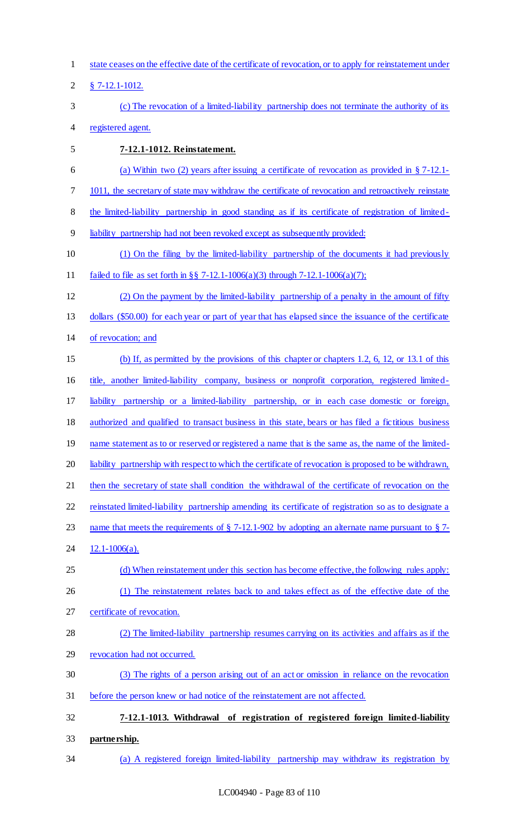- state ceases on the effective date of the certificate of revocation, or to apply for reinstatement under
- § 7-12.1-1012.
- (c) The revocation of a limited-liability partnership does not terminate the authority of its registered agent.
- 

## **7-12.1-1012. Reinstatement.**

- (a) Within two (2) years after issuing a certificate of revocation as provided in § 7-12.1-
- 1011, the secretary of state may withdraw the certificate of revocation and retroactively reinstate
- the limited-liability partnership in good standing as if its certificate of registration of limited-
- liability partnership had not been revoked except as subsequently provided:
- 10 (1) On the filing by the limited-liability partnership of the documents it had previously failed to file as set forth in §§ 7-12.1-1006(a)(3) through 7-12.1-1006(a)(7);
- (2) On the payment by the limited-liability partnership of a penalty in the amount of fifty dollars (\$50.00) for each year or part of year that has elapsed since the issuance of the certificate
- of revocation; and
- (b) If, as permitted by the provisions of this chapter or chapters 1.2, 6, 12, or 13.1 of this title, another limited-liability company, business or nonprofit corporation, registered limited- liability partnership or a limited-liability partnership, or in each case domestic or foreign, authorized and qualified to transact business in this state, bears or has filed a fictitious business
- 19 name statement as to or reserved or registered a name that is the same as, the name of the limited-
- liability partnership with respect to which the certificate of revocation is proposed to be withdrawn,
- 21 then the secretary of state shall condition the withdrawal of the certificate of revocation on the
- reinstated limited-liability partnership amending its certificate of registration so as to designate a
- 23 name that meets the requirements of § 7-12.1-902 by adopting an alternate name pursuant to § 7-
- 24 12.1-1006(a).
- 25 (d) When reinstatement under this section has become effective, the following rules apply:
- 26 (1) The reinstatement relates back to and takes effect as of the effective date of the
- certificate of revocation.
- (2) The limited-liability partnership resumes carrying on its activities and affairs as if the
- revocation had not occurred.
- (3) The rights of a person arising out of an act or omission in reliance on the revocation
- before the person knew or had notice of the reinstatement are not affected.
- **7-12.1-1013. Withdrawal of registration of registered foreign limited-liability**
- **partnership.**
- (a) A registered foreign limited-liability partnership may withdraw its registration by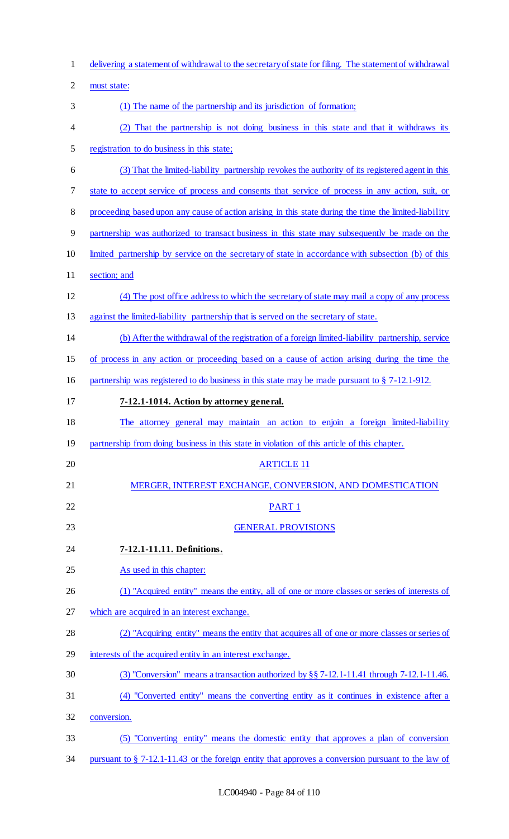- delivering a statement of withdrawal to the secretary of state for filing. The statement of withdrawal must state: (1) The name of the partnership and its jurisdiction of formation; (2) That the partnership is not doing business in this state and that it withdraws its registration to do business in this state; (3) That the limited-liability partnership revokes the authority of its registered agent in this state to accept service of process and consents that service of process in any action, suit, or proceeding based upon any cause of action arising in this state during the time the limited-liability partnership was authorized to transact business in this state may subsequently be made on the limited partnership by service on the secretary of state in accordance with subsection (b) of this 11 section; and (4) The post office address to which the secretary of state may mail a copy of any process 13 against the limited-liability partnership that is served on the secretary of state. (b) After the withdrawal of the registration of a foreign limited-liability partnership, service of process in any action or proceeding based on a cause of action arising during the time the partnership was registered to do business in this state may be made pursuant to § 7-12.1-912. **7-12.1-1014. Action by attorney general.**  The attorney general may maintain an action to enjoin a foreign limited-liability 19 partnership from doing business in this state in violation of this article of this chapter. ARTICLE 11 MERGER, INTEREST EXCHANGE, CONVERSION, AND DOMESTICATION PART 1 GENERAL PROVISIONS **7-12.1-11.11. Definitions.**  As used in this chapter: (1) "Acquired entity" means the entity, all of one or more classes or series of interests of which are acquired in an interest exchange. (2) "Acquiring entity" means the entity that acquires all of one or more classes or series of interests of the acquired entity in an interest exchange. (3) "Conversion" means a transaction authorized by §§ 7-12.1-11.41 through 7-12.1-11.46. (4) "Converted entity" means the converting entity as it continues in existence after a conversion. (5) "Converting entity" means the domestic entity that approves a plan of conversion
- pursuant to § 7-12.1-11.43 or the foreign entity that approves a conversion pursuant to the law of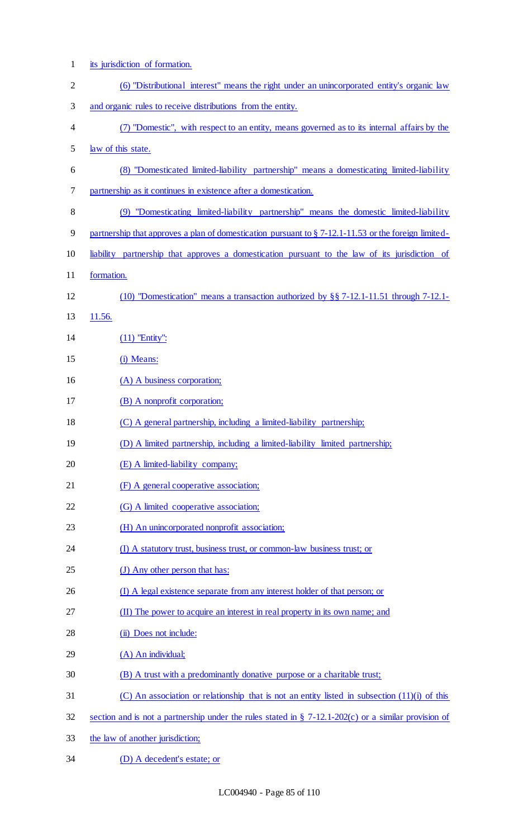| $\mathbf{1}$   | its jurisdiction of formation.                                                                          |
|----------------|---------------------------------------------------------------------------------------------------------|
| $\overline{c}$ | (6) "Distributional interest" means the right under an unincorporated entity's organic law              |
| 3              | and organic rules to receive distributions from the entity.                                             |
| 4              | (7) "Domestic", with respect to an entity, means governed as to its internal affairs by the             |
| 5              | law of this state.                                                                                      |
| 6              | (8) "Domesticated limited-liability partnership" means a domesticating limited-liability                |
| 7              | partnership as it continues in existence after a domestication.                                         |
| 8              | (9) "Domesticating limited-liability partnership" means the domestic limited-liability                  |
| 9              | partnership that approves a plan of domestication pursuant to $\S$ 7-12.1-11.53 or the foreign limited- |
| 10             | liability partnership that approves a domestication pursuant to the law of its jurisdiction of          |
| 11             | formation.                                                                                              |
| 12             | (10) "Domestication" means a transaction authorized by $\S$ $\frac{8}{3}$ 7-12.1-11.51 through 7-12.1-  |
| 13             | 11.56.                                                                                                  |
| 14             | $(11)$ "Entity":                                                                                        |
| 15             | (i) Means:                                                                                              |
| 16             | (A) A business corporation;                                                                             |
| 17             | (B) A nonprofit corporation;                                                                            |
| 18             | (C) A general partnership, including a limited-liability partnership;                                   |
| 19             | (D) A limited partnership, including a limited-liability limited partnership;                           |
| 20             | (E) A limited-liability company;                                                                        |
| 21             | (F) A general cooperative association;                                                                  |
| 22             | (G) A limited cooperative association;                                                                  |
| 23             | (H) An unincorporated nonprofit association;                                                            |
| 24             | (I) A statutory trust, business trust, or common-law business trust; or                                 |
| 25             | (J) Any other person that has:                                                                          |
| 26             | (I) A legal existence separate from any interest holder of that person; or                              |
| 27             | (II) The power to acquire an interest in real property in its own name; and                             |
| 28             | (ii) Does not include:                                                                                  |
| 29             | (A) An individual;                                                                                      |
| 30             | (B) A trust with a predominantly donative purpose or a charitable trust;                                |
| 31             | $(C)$ An association or relationship that is not an entity listed in subsection $(11)(i)$ of this       |
| 32             | section and is not a partnership under the rules stated in § 7-12.1-202(c) or a similar provision of    |
| 33             | the law of another jurisdiction;                                                                        |
| 34             | (D) A decedent's estate; or                                                                             |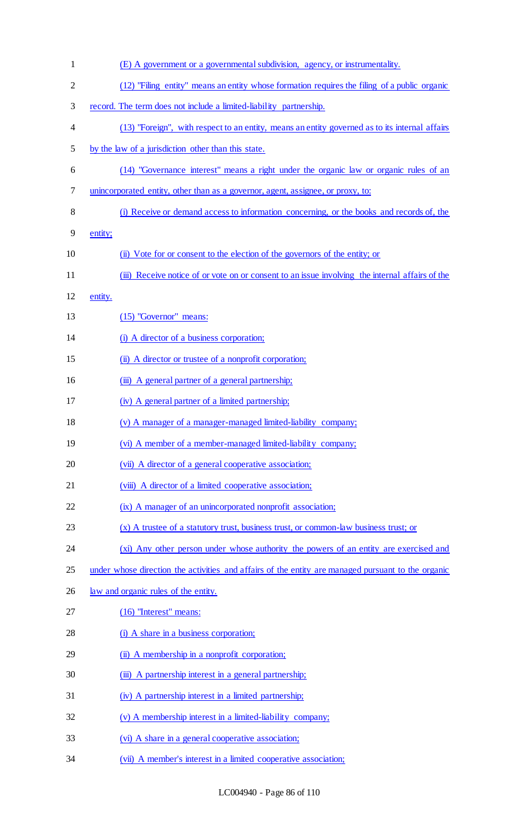| $\mathbf{1}$   | (E) A government or a governmental subdivision, agency, or instrumentality.                        |
|----------------|----------------------------------------------------------------------------------------------------|
| $\overline{c}$ | (12) "Filing entity" means an entity whose formation requires the filing of a public organic       |
| 3              | record. The term does not include a limited-liability partnership.                                 |
| 4              | (13) "Foreign", with respect to an entity, means an entity governed as to its internal affairs     |
| 5              | by the law of a jurisdiction other than this state.                                                |
| 6              | (14) "Governance interest" means a right under the organic law or organic rules of an              |
| 7              | unincorporated entity, other than as a governor, agent, assignee, or proxy, to:                    |
| 8              | (i) Receive or demand access to information concerning, or the books and records of, the           |
| 9              | entity;                                                                                            |
| 10             | (ii) Vote for or consent to the election of the governors of the entity; or                        |
| 11             | (iii) Receive notice of or vote on or consent to an issue involving the internal affairs of the    |
| 12             | entity.                                                                                            |
| 13             | (15) "Governor" means:                                                                             |
| 14             | (i) A director of a business corporation;                                                          |
| 15             | (ii) A director or trustee of a nonprofit corporation;                                             |
| 16             | (iii) A general partner of a general partnership;                                                  |
| 17             | (iv) A general partner of a limited partnership;                                                   |
| 18             | (v) A manager of a manager-managed limited-liability company;                                      |
| 19             | (vi) A member of a member-managed limited-liability company;                                       |
| 20             | (vii) A director of a general cooperative association;                                             |
| 21             | (viii) A director of a limited cooperative association;                                            |
| 22             | (ix) A manager of an unincorporated nonprofit association;                                         |
| 23             | (x) A trustee of a statutory trust, business trust, or common-law business trust; or               |
| 24             | (xi) Any other person under whose authority the powers of an entity are exercised and              |
| 25             | under whose direction the activities and affairs of the entity are managed pursuant to the organic |
| 26             | law and organic rules of the entity.                                                               |
| 27             | (16) "Interest" means:                                                                             |
| 28             | (i) A share in a business corporation;                                                             |
| 29             | (ii) A membership in a nonprofit corporation;                                                      |
| 30             | (iii) A partnership interest in a general partnership;                                             |
| 31             | (iv) A partnership interest in a limited partnership;                                              |
| 32             | (v) A membership interest in a limited-liability company;                                          |
| 33             | (vi) A share in a general cooperative association;                                                 |
| 34             | (vii) A member's interest in a limited cooperative association;                                    |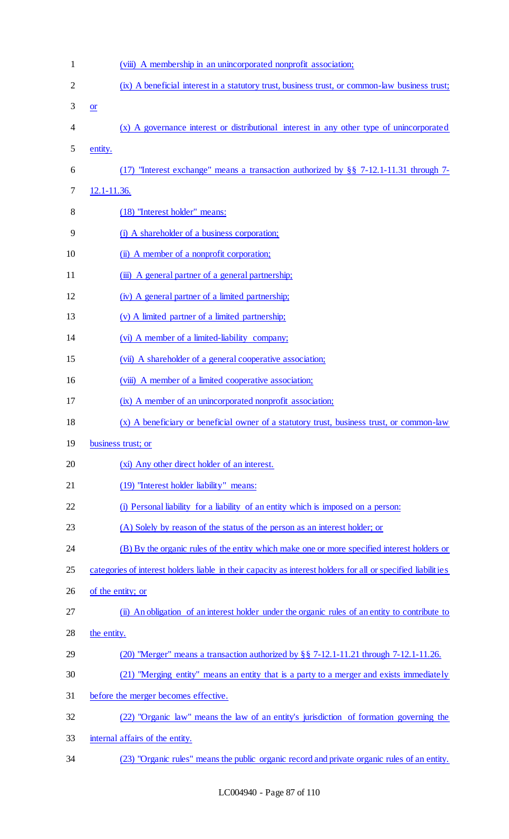| $\mathbf{1}$   |             | (viii) A membership in an unincorporated nonprofit association;                                              |
|----------------|-------------|--------------------------------------------------------------------------------------------------------------|
| $\overline{2}$ |             | (ix) A beneficial interest in a statutory trust, business trust, or common-law business trust;               |
| 3              | or          |                                                                                                              |
| 4              |             | $(x)$ A governance interest or distributional interest in any other type of unincorporated                   |
| 5              | entity.     |                                                                                                              |
| 6              |             | (17) "Interest exchange" means a transaction authorized by §§ 7-12.1-11.31 through 7-                        |
| 7              | 12.1-11.36. |                                                                                                              |
| 8              |             | (18) "Interest holder" means:                                                                                |
| 9              |             | (i) A shareholder of a business corporation;                                                                 |
| 10             |             | (ii) A member of a nonprofit corporation;                                                                    |
| 11             |             | (iii) A general partner of a general partnership;                                                            |
| 12             |             | (iv) A general partner of a limited partnership;                                                             |
| 13             |             | (v) A limited partner of a limited partnership;                                                              |
| 14             |             | (vi) A member of a limited-liability company;                                                                |
| 15             |             | (vii) A shareholder of a general cooperative association;                                                    |
| 16             |             | (viii) A member of a limited cooperative association;                                                        |
| 17             |             | (ix) A member of an unincorporated nonprofit association;                                                    |
| 18             |             | (x) A beneficiary or beneficial owner of a statutory trust, business trust, or common-law                    |
| 19             |             | business trust; or                                                                                           |
| 20             |             | (xi) Any other direct holder of an interest.                                                                 |
| 21             |             | (19) "Interest holder liability" means:                                                                      |
| 22             |             | (i) Personal liability for a liability of an entity which is imposed on a person:                            |
| 23             |             | (A) Solely by reason of the status of the person as an interest holder; or                                   |
| 24             |             | (B) By the organic rules of the entity which make one or more specified interest holders or                  |
| 25             |             | categories of interest holders liable in their capacity as interest holders for all or specified liabilities |
| 26             |             | of the entity; or                                                                                            |
| 27             |             | (ii) An obligation of an interest holder under the organic rules of an entity to contribute to               |
| 28             | the entity. |                                                                                                              |
| 29             |             | (20) "Merger" means a transaction authorized by $\S$ $\S$ $7$ -12.1-11.21 through $7$ -12.1-11.26.           |
| 30             |             | (21) "Merging entity" means an entity that is a party to a merger and exists immediately                     |
| 31             |             | before the merger becomes effective.                                                                         |
| 32             |             | (22) "Organic law" means the law of an entity's jurisdiction of formation governing the                      |
| 33             |             | internal affairs of the entity.                                                                              |
| 34             |             | (23) "Organic rules" means the public organic record and private organic rules of an entity.                 |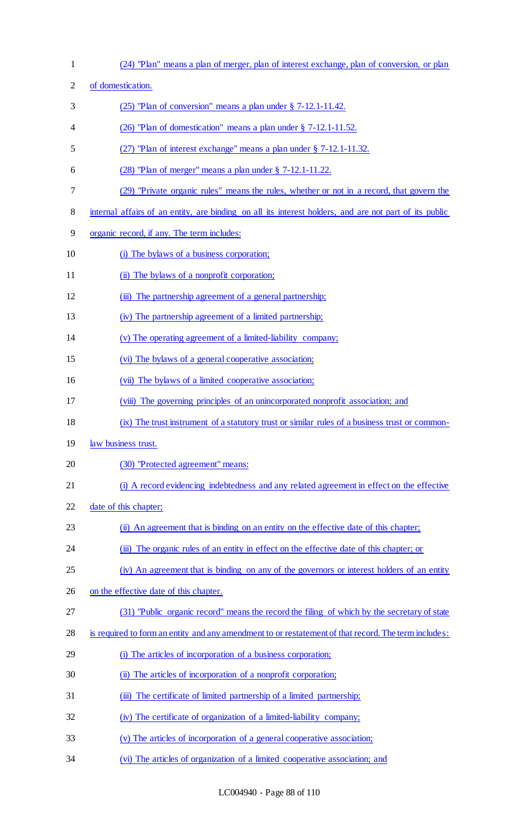| $\mathbf{1}$ | (24) "Plan" means a plan of merger, plan of interest exchange, plan of conversion, or plan             |
|--------------|--------------------------------------------------------------------------------------------------------|
| 2            | of domestication.                                                                                      |
| 3            | $(25)$ "Plan of conversion" means a plan under § 7-12.1-11.42.                                         |
| 4            | (26) "Plan of domestication" means a plan under § 7-12.1-11.52.                                        |
| 5            | (27) "Plan of interest exchange" means a plan under § 7-12.1-11.32.                                    |
| 6            | $(28)$ "Plan of merger" means a plan under § 7-12.1-11.22.                                             |
| 7            | (29) "Private organic rules" means the rules, whether or not in a record, that govern the              |
| 8            | internal affairs of an entity, are binding on all its interest holders, and are not part of its public |
| 9            | organic record, if any. The term includes:                                                             |
| 10           | (i) The bylaws of a business corporation;                                                              |
| 11           | (ii) The bylaws of a nonprofit corporation;                                                            |
| 12           | (iii) The partnership agreement of a general partnership;                                              |
| 13           | (iv) The partnership agreement of a limited partnership;                                               |
| 14           | (v) The operating agreement of a limited-liability company;                                            |
| 15           | (vi) The bylaws of a general cooperative association;                                                  |
| 16           | (vii) The bylaws of a limited cooperative association;                                                 |
| 17           | (viii) The governing principles of an unincorporated nonprofit association; and                        |
| 18           | (ix) The trust instrument of a statutory trust or similar rules of a business trust or common-         |
| 19           | law business trust.                                                                                    |
| 20           | (30) "Protected agreement" means:                                                                      |
| 21           | (i) A record evidencing indebtedness and any related agreement in effect on the effective              |
| 22           | date of this chapter;                                                                                  |
| 23           | (ii) An agreement that is binding on an entity on the effective date of this chapter;                  |
| 24           | (iii) The organic rules of an entity in effect on the effective date of this chapter; or               |
| 25           | (iv) An agreement that is binding on any of the governors or interest holders of an entity             |
| 26           | on the effective date of this chapter.                                                                 |
| 27           | (31) "Public organic record" means the record the filing of which by the secretary of state            |
| 28           | is required to form an entity and any amendment to or restatement of that record. The term includes:   |
| 29           | (i) The articles of incorporation of a business corporation;                                           |
| 30           | (ii) The articles of incorporation of a nonprofit corporation;                                         |
| 31           | (iii) The certificate of limited partnership of a limited partnership;                                 |
| 32           | (iv) The certificate of organization of a limited-liability company;                                   |
| 33           | (v) The articles of incorporation of a general cooperative association;                                |
| 34           | (vi) The articles of organization of a limited cooperative association; and                            |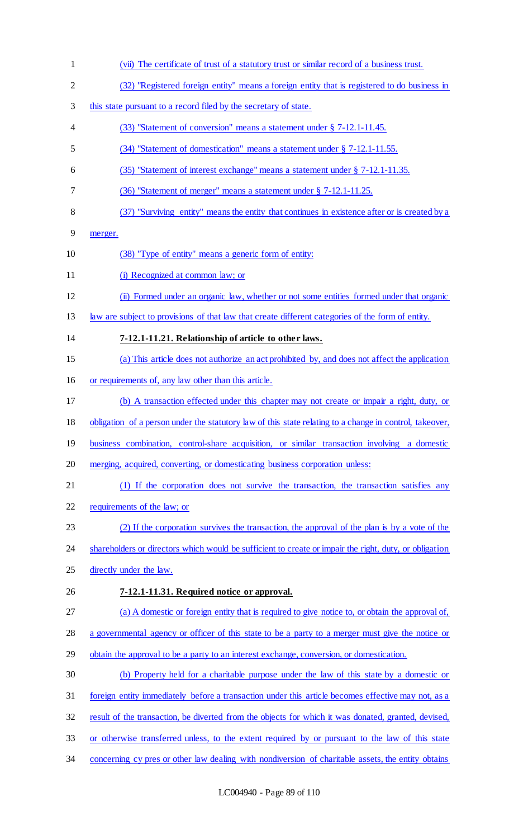(vii) The certificate of trust of a statutory trust or similar record of a business trust. (32) "Registered foreign entity" means a foreign entity that is registered to do business in this state pursuant to a record filed by the secretary of state. (33) "Statement of conversion" means a statement under § 7-12.1-11.45. (34) "Statement of domestication" means a statement under § 7-12.1-11.55. (35) "Statement of interest exchange" means a statement under § 7-12.1-11.35. (36) "Statement of merger" means a statement under § 7-12.1-11.25. (37) "Surviving entity" means the entity that continues in existence after or is created by a merger. (38) "Type of entity" means a generic form of entity: (i) Recognized at common law; or (ii) Formed under an organic law, whether or not some entities formed under that organic law are subject to provisions of that law that create different categories of the form of entity. **7-12.1-11.21. Relationship of article to other laws.**  (a) This article does not authorize an act prohibited by, and does not affect the application or requirements of, any law other than this article. (b) A transaction effected under this chapter may not create or impair a right, duty, or obligation of a person under the statutory law of this state relating to a change in control, takeover, business combination, control-share acquisition, or similar transaction involving a domestic merging, acquired, converting, or domesticating business corporation unless: (1) If the corporation does not survive the transaction, the transaction satisfies any requirements of the law; or (2) If the corporation survives the transaction, the approval of the plan is by a vote of the 24 shareholders or directors which would be sufficient to create or impair the right, duty, or obligation directly under the law. **7-12.1-11.31. Required notice or approval.**  (a) A domestic or foreign entity that is required to give notice to, or obtain the approval of, 28 a governmental agency or officer of this state to be a party to a merger must give the notice or obtain the approval to be a party to an interest exchange, conversion, or domestication. (b) Property held for a charitable purpose under the law of this state by a domestic or foreign entity immediately before a transaction under this article becomes effective may not, as a result of the transaction, be diverted from the objects for which it was donated, granted, devised, or otherwise transferred unless, to the extent required by or pursuant to the law of this state concerning cy pres or other law dealing with nondiversion of charitable assets, the entity obtains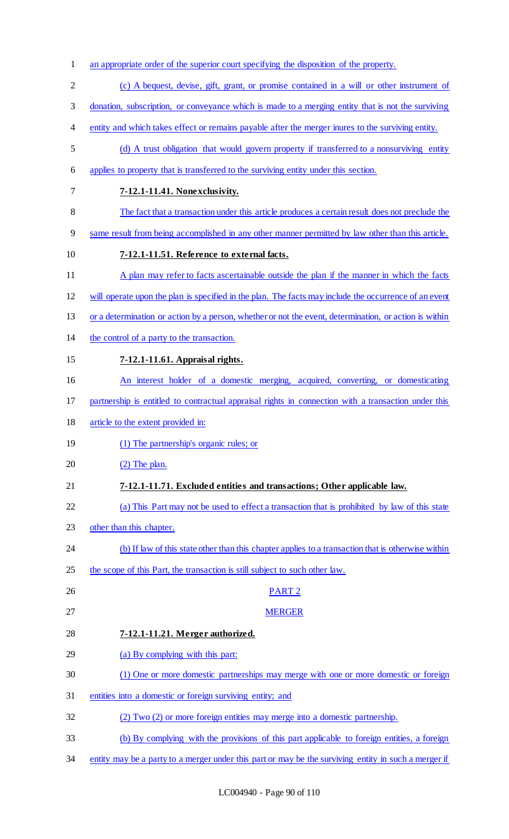| $\mathbf{1}$   | an appropriate order of the superior court specifying the disposition of the property.                 |
|----------------|--------------------------------------------------------------------------------------------------------|
| $\overline{2}$ | (c) A bequest, devise, gift, grant, or promise contained in a will or other instrument of              |
| 3              | donation, subscription, or conveyance which is made to a merging entity that is not the surviving      |
| $\overline{4}$ | entity and which takes effect or remains payable after the merger inures to the surviving entity.      |
| 5              | (d) A trust obligation that would govern property if transferred to a nonsurviving entity              |
| 6              | applies to property that is transferred to the surviving entity under this section.                    |
| 7              | 7-12.1-11.41. Nonexclusivity.                                                                          |
| 8              | The fact that a transaction under this article produces a certain result does not preclude the         |
| 9              | same result from being accomplished in any other manner permitted by law other than this article.      |
| 10             | 7-12.1-11.51. Reference to external facts.                                                             |
| 11             | A plan may refer to facts ascertainable outside the plan if the manner in which the facts              |
| 12             | will operate upon the plan is specified in the plan. The facts may include the occurrence of an event  |
| 13             | or a determination or action by a person, whether or not the event, determination, or action is within |
| 14             | the control of a party to the transaction.                                                             |
| 15             | 7-12.1-11.61. Appraisal rights.                                                                        |
| 16             | An interest holder of a domestic merging, acquired, converting, or domesticating                       |
| 17             | partnership is entitled to contractual appraisal rights in connection with a transaction under this    |
| 18             | article to the extent provided in:                                                                     |
| 19             | (1) The partnership's organic rules; or                                                                |
| 20             | $(2)$ The plan.                                                                                        |
| 21             | 7-12.1-11.71. Excluded entities and transactions; Other applicable law.                                |
| 22             | (a) This Part may not be used to effect a transaction that is prohibited by law of this state          |
| 23             | other than this chapter.                                                                               |
| 24             | (b) If law of this state other than this chapter applies to a transaction that is otherwise within     |
| 25             | the scope of this Part, the transaction is still subject to such other law.                            |
| 26             | PART <sub>2</sub>                                                                                      |
| 27             | <b>MERGER</b>                                                                                          |
| 28             | 7-12.1-11.21. Merger authorized.                                                                       |
| 29             | (a) By complying with this part:                                                                       |
| 30             | (1) One or more domestic partnerships may merge with one or more domestic or foreign                   |
| 31             | entities into a domestic or foreign surviving entity; and                                              |
| 32             | (2) Two (2) or more foreign entities may merge into a domestic partnership.                            |
| 33             | (b) By complying with the provisions of this part applicable to foreign entities, a foreign            |
| 34             | entity may be a party to a merger under this part or may be the surviving entity in such a merger if   |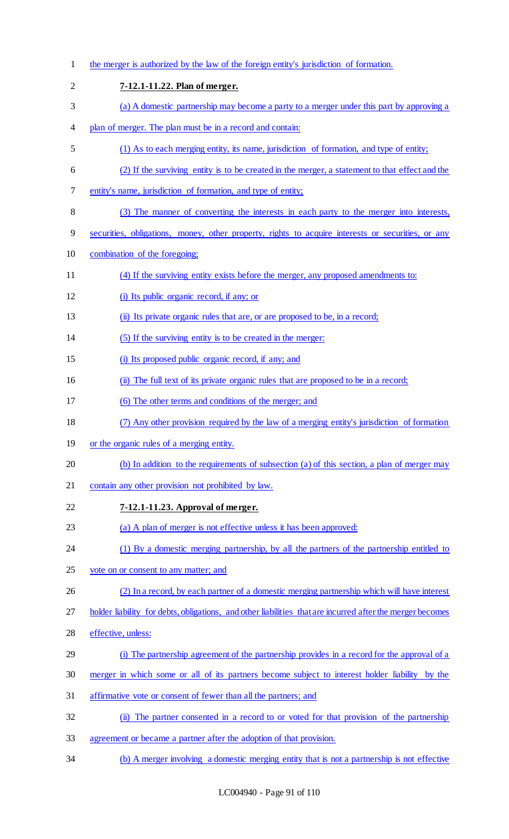| $\mathbf{1}$ | the merger is authorized by the law of the foreign entity's jurisdiction of formation.                    |
|--------------|-----------------------------------------------------------------------------------------------------------|
| 2            | 7-12.1-11.22. Plan of merger.                                                                             |
| 3            | (a) A domestic partnership may become a party to a merger under this part by approving a                  |
| 4            | plan of merger. The plan must be in a record and contain:                                                 |
| 5            | (1) As to each merging entity, its name, jurisdiction of formation, and type of entity;                   |
| 6            | (2) If the surviving entity is to be created in the merger, a statement to that effect and the            |
| 7            | entity's name, jurisdiction of formation, and type of entity;                                             |
| 8            | (3) The manner of converting the interests in each party to the merger into interests,                    |
| 9            | securities, obligations, money, other property, rights to acquire interests or securities, or any         |
| 10           | combination of the foregoing;                                                                             |
| 11           | (4) If the surviving entity exists before the merger, any proposed amendments to:                         |
| 12           | (i) Its public organic record, if any; or                                                                 |
| 13           | (ii) Its private organic rules that are, or are proposed to be, in a record;                              |
| 14           | (5) If the surviving entity is to be created in the merger:                                               |
| 15           | (i) Its proposed public organic record, if any; and                                                       |
| 16           | (ii) The full text of its private organic rules that are proposed to be in a record;                      |
| 17           | (6) The other terms and conditions of the merger; and                                                     |
| 18           | (7) Any other provision required by the law of a merging entity's jurisdiction of formation               |
| 19           | or the organic rules of a merging entity.                                                                 |
| 20           | (b) In addition to the requirements of subsection (a) of this section, a plan of merger may               |
| 21           | contain any other provision not prohibited by law.                                                        |
| 22           | 7-12.1-11.23. Approval of merger.                                                                         |
| 23           | (a) A plan of merger is not effective unless it has been approved:                                        |
| 24           | (1) By a domestic merging partnership, by all the partners of the partnership entitled to                 |
| 25           | vote on or consent to any matter; and                                                                     |
| 26           | (2) In a record, by each partner of a domestic merging partnership which will have interest               |
| 27           | holder liability for debts, obligations, and other liabilities that are incurred after the merger becomes |
| 28           | effective, unless:                                                                                        |
| 29           | (i) The partnership agreement of the partnership provides in a record for the approval of a               |
| 30           | merger in which some or all of its partners become subject to interest holder liability by the            |
| 31           | affirmative vote or consent of fewer than all the partners; and                                           |
| 32           | (ii) The partner consented in a record to or voted for that provision of the partnership                  |
| 33           | agreement or became a partner after the adoption of that provision.                                       |
| 34           | (b) A merger involving a domestic merging entity that is not a partnership is not effective               |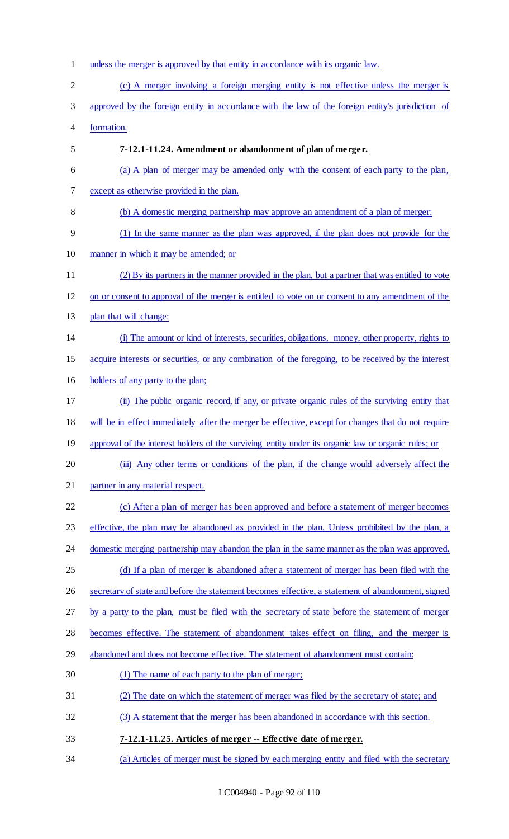unless the merger is approved by that entity in accordance with its organic law. (c) A merger involving a foreign merging entity is not effective unless the merger is approved by the foreign entity in accordance with the law of the foreign entity's jurisdiction of formation. **7-12.1-11.24. Amendment or abandonment of plan of merger.**  (a) A plan of merger may be amended only with the consent of each party to the plan, except as otherwise provided in the plan. (b) A domestic merging partnership may approve an amendment of a plan of merger: (1) In the same manner as the plan was approved, if the plan does not provide for the 10 manner in which it may be amended; or (2) By its partners in the manner provided in the plan, but a partner that was entitled to vote on or consent to approval of the merger is entitled to vote on or consent to any amendment of the 13 plan that will change: (i) The amount or kind of interests, securities, obligations, money, other property, rights to acquire interests or securities, or any combination of the foregoing, to be received by the interest 16 holders of any party to the plan; (ii) The public organic record, if any, or private organic rules of the surviving entity that will be in effect immediately after the merger be effective, except for changes that do not require 19 approval of the interest holders of the surviving entity under its organic law or organic rules; or (iii) Any other terms or conditions of the plan, if the change would adversely affect the partner in any material respect. (c) After a plan of merger has been approved and before a statement of merger becomes 23 effective, the plan may be abandoned as provided in the plan. Unless prohibited by the plan, a 24 domestic merging partnership may abandon the plan in the same manner as the plan was approved. (d) If a plan of merger is abandoned after a statement of merger has been filed with the 26 secretary of state and before the statement becomes effective, a statement of abandonment, signed by a party to the plan, must be filed with the secretary of state before the statement of merger becomes effective. The statement of abandonment takes effect on filing, and the merger is abandoned and does not become effective. The statement of abandonment must contain: (1) The name of each party to the plan of merger; (2) The date on which the statement of merger was filed by the secretary of state; and (3) A statement that the merger has been abandoned in accordance with this section. **7-12.1-11.25. Articles of merger -- Effective date of merger.**  (a) Articles of merger must be signed by each merging entity and filed with the secretary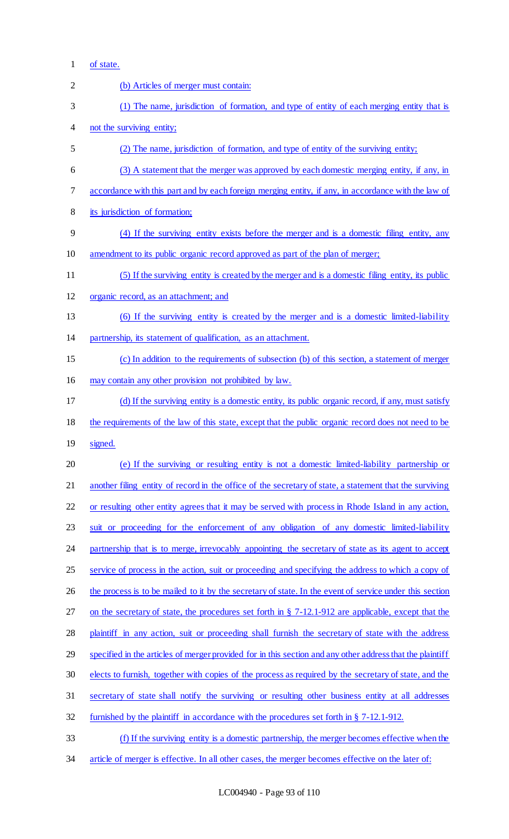of state.

| $\overline{2}$ | (b) Articles of merger must contain:                                                                      |
|----------------|-----------------------------------------------------------------------------------------------------------|
| 3              | (1) The name, jurisdiction of formation, and type of entity of each merging entity that is                |
| 4              | not the surviving entity;                                                                                 |
| 5              | (2) The name, jurisdiction of formation, and type of entity of the surviving entity;                      |
| 6              | (3) A statement that the merger was approved by each domestic merging entity, if any, in                  |
| 7              | accordance with this part and by each foreign merging entity, if any, in accordance with the law of       |
| 8              | its jurisdiction of formation;                                                                            |
| 9              | (4) If the surviving entity exists before the merger and is a domestic filing entity, any                 |
| 10             | amendment to its public organic record approved as part of the plan of merger;                            |
| 11             | (5) If the surviving entity is created by the merger and is a domestic filing entity, its public          |
| 12             | organic record, as an attachment; and                                                                     |
| 13             | (6) If the surviving entity is created by the merger and is a domestic limited-liability                  |
| 14             | partnership, its statement of qualification, as an attachment.                                            |
| 15             | (c) In addition to the requirements of subsection (b) of this section, a statement of merger              |
| 16             | may contain any other provision not prohibited by law.                                                    |
| 17             | (d) If the surviving entity is a domestic entity, its public organic record, if any, must satisfy         |
| 18             | the requirements of the law of this state, except that the public organic record does not need to be      |
| 19             | signed.                                                                                                   |
| 20             | (e) If the surviving or resulting entity is not a domestic limited-liability partnership or               |
| 21             | another filing entity of record in the office of the secretary of state, a statement that the surviving   |
| 22             | or resulting other entity agrees that it may be served with process in Rhode Island in any action,        |
| 23             | suit or proceeding for the enforcement of any obligation of any domestic limited-liability                |
| 24             | partnership that is to merge, irrevocably appointing the secretary of state as its agent to accept        |
| 25             | service of process in the action, suit or proceeding and specifying the address to which a copy of        |
| 26             | the process is to be mailed to it by the secretary of state. In the event of service under this section   |
| 27             | on the secretary of state, the procedures set forth in $\S$ 7-12.1-912 are applicable, except that the    |
| 28             | plaintiff in any action, suit or proceeding shall furnish the secretary of state with the address         |
| 29             | specified in the articles of merger provided for in this section and any other address that the plaintiff |
| 30             | elects to furnish, together with copies of the process as required by the secretary of state, and the     |
| 31             | secretary of state shall notify the surviving or resulting other business entity at all addresses         |
| 32             | furnished by the plaintiff in accordance with the procedures set forth in $\S$ 7-12.1-912.                |
| 33             |                                                                                                           |

article of merger is effective. In all other cases, the merger becomes effective on the later of: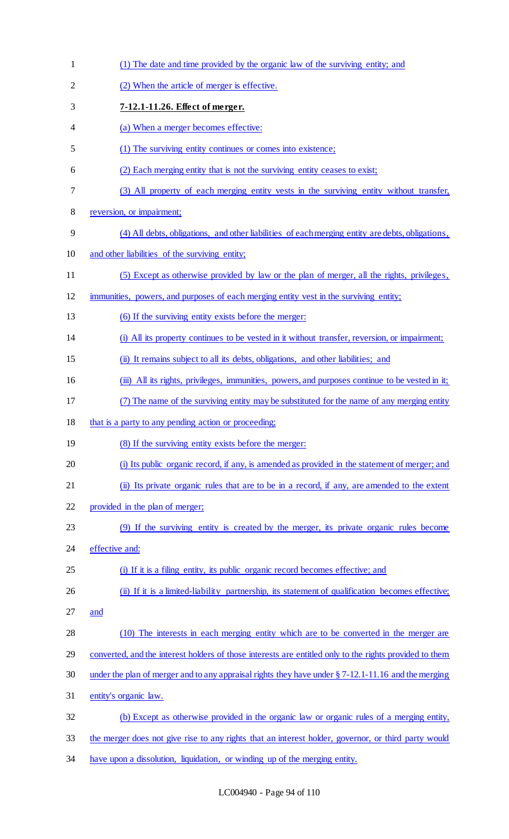| $\mathbf{1}$   | (1) The date and time provided by the organic law of the surviving entity; and                          |
|----------------|---------------------------------------------------------------------------------------------------------|
| $\overline{2}$ | (2) When the article of merger is effective.                                                            |
| 3              | 7-12.1-11.26. Effect of merger.                                                                         |
| 4              | (a) When a merger becomes effective:                                                                    |
| 5              | (1) The surviving entity continues or comes into existence;                                             |
| 6              | (2) Each merging entity that is not the surviving entity ceases to exist;                               |
| 7              | (3) All property of each merging entity vests in the surviving entity without transfer,                 |
| 8              | reversion, or impairment;                                                                               |
| 9              | (4) All debts, obligations, and other liabilities of each merging entity are debts, obligations,        |
| 10             | and other liabilities of the surviving entity;                                                          |
| 11             | (5) Except as otherwise provided by law or the plan of merger, all the rights, privileges,              |
| 12             | immunities, powers, and purposes of each merging entity vest in the surviving entity;                   |
| 13             | (6) If the surviving entity exists before the merger:                                                   |
| 14             | (i) All its property continues to be vested in it without transfer, reversion, or impairment;           |
| 15             | (ii) It remains subject to all its debts, obligations, and other liabilities; and                       |
| 16             | (iii) All its rights, privileges, immunities, powers, and purposes continue to be vested in it;         |
| 17             | (7) The name of the surviving entity may be substituted for the name of any merging entity              |
| 18             | that is a party to any pending action or proceeding;                                                    |
| 19             | (8) If the surviving entity exists before the merger:                                                   |
| 20             | (i) Its public organic record, if any, is amended as provided in the statement of merger; and           |
| 21             | (ii) Its private organic rules that are to be in a record, if any, are amended to the extent            |
| 22             | provided in the plan of merger;                                                                         |
| 23             | (9) If the surviving entity is created by the merger, its private organic rules become                  |
| 24             | effective and:                                                                                          |
| 25             | (i) If it is a filing entity, its public organic record becomes effective; and                          |
| 26             | (ii) If it is a limited-liability partnership, its statement of qualification becomes effective;        |
| 27             | and                                                                                                     |
| 28             | (10) The interests in each merging entity which are to be converted in the merger are                   |
| 29             | converted, and the interest holders of those interests are entitled only to the rights provided to them |
| 30             | under the plan of merger and to any appraisal rights they have under § 7-12.1-11.16 and the merging     |
| 31             | entity's organic law.                                                                                   |
| 32             | (b) Except as otherwise provided in the organic law or organic rules of a merging entity,               |
| 33             | the merger does not give rise to any rights that an interest holder, governor, or third party would     |
| 34             | have upon a dissolution, liquidation, or winding up of the merging entity.                              |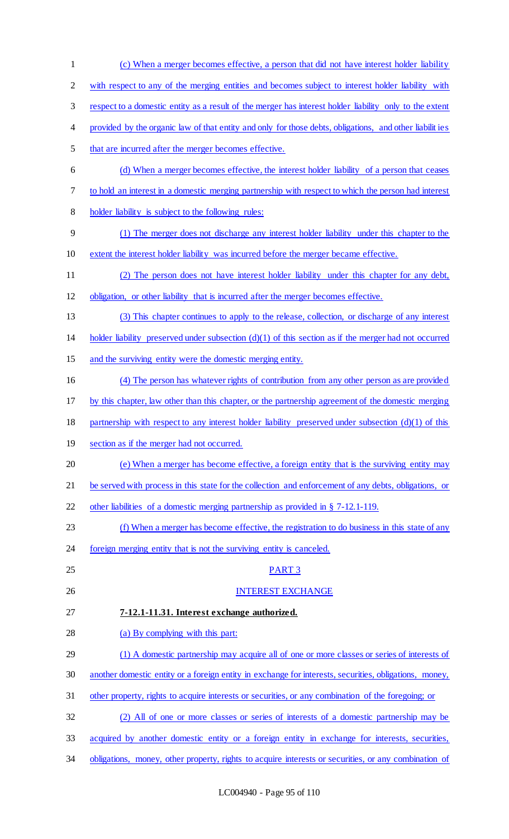| $\mathbf{1}$   | (c) When a merger becomes effective, a person that did not have interest holder liability               |
|----------------|---------------------------------------------------------------------------------------------------------|
| $\overline{2}$ | with respect to any of the merging entities and becomes subject to interest holder liability with       |
| 3              | respect to a domestic entity as a result of the merger has interest holder liability only to the extent |
| 4              | provided by the organic law of that entity and only for those debts, obligations, and other liabilities |
| 5              | that are incurred after the merger becomes effective.                                                   |
| 6              | (d) When a merger becomes effective, the interest holder liability of a person that ceases              |
| 7              | to hold an interest in a domestic merging partnership with respect to which the person had interest     |
| 8              | holder liability is subject to the following rules:                                                     |
| 9              | (1) The merger does not discharge any interest holder liability under this chapter to the               |
| 10             | extent the interest holder liability was incurred before the merger became effective.                   |
| 11             | (2) The person does not have interest holder liability under this chapter for any debt,                 |
| 12             | obligation, or other liability that is incurred after the merger becomes effective.                     |
| 13             | (3) This chapter continues to apply to the release, collection, or discharge of any interest            |
| 14             | holder liability preserved under subsection $(d)(1)$ of this section as if the merger had not occurred  |
| 15             | and the surviving entity were the domestic merging entity.                                              |
| 16             | (4) The person has whatever rights of contribution from any other person as are provided                |
| 17             | by this chapter, law other than this chapter, or the partnership agreement of the domestic merging      |
| 18             | partnership with respect to any interest holder liability preserved under subsection $(d)(1)$ of this   |
| 19             | section as if the merger had not occurred.                                                              |
| 20             | (e) When a merger has become effective, a foreign entity that is the surviving entity may               |
| 21             | be served with process in this state for the collection and enforcement of any debts, obligations, or   |
| 22             | other liabilities of a domestic merging partnership as provided in $\S$ 7-12.1-119.                     |
| 23             | (f) When a merger has become effective, the registration to do business in this state of any            |
| 24             | foreign merging entity that is not the surviving entity is canceled.                                    |
| 25             | PART <sub>3</sub>                                                                                       |
| 26             | <b>INTEREST EXCHANGE</b>                                                                                |
| 27             | 7-12.1-11.31. Interest exchange authorized.                                                             |
| 28             | (a) By complying with this part:                                                                        |
| 29             | (1) A domestic partnership may acquire all of one or more classes or series of interests of             |
| 30             | another domestic entity or a foreign entity in exchange for interests, securities, obligations, money,  |
| 31             | other property, rights to acquire interests or securities, or any combination of the foregoing; or      |
| 32             | (2) All of one or more classes or series of interests of a domestic partnership may be                  |
| 33             | acquired by another domestic entity or a foreign entity in exchange for interests, securities,          |
| 34             | obligations, money, other property, rights to acquire interests or securities, or any combination of    |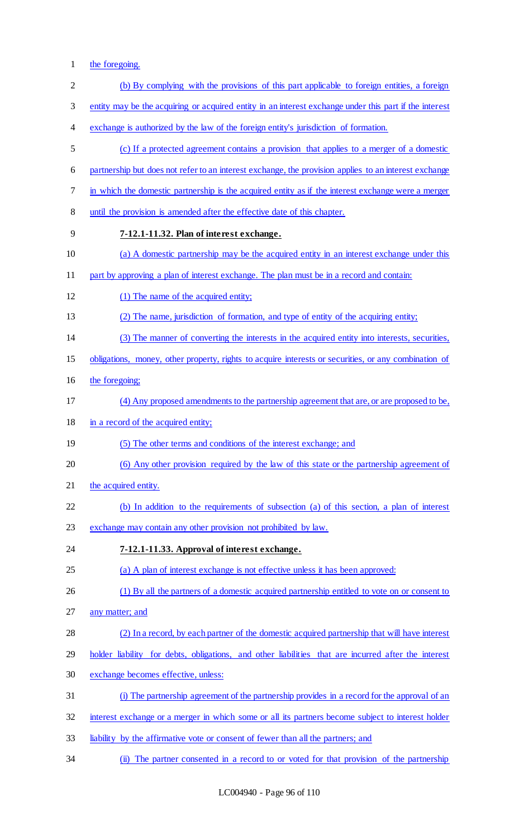1 the foregoing.

| $\overline{2}$ | (b) By complying with the provisions of this part applicable to foreign entities, a foreign            |
|----------------|--------------------------------------------------------------------------------------------------------|
| 3              | entity may be the acquiring or acquired entity in an interest exchange under this part if the interest |
| 4              | exchange is authorized by the law of the foreign entity's jurisdiction of formation.                   |
| 5              | (c) If a protected agreement contains a provision that applies to a merger of a domestic               |
| 6              | partnership but does not refer to an interest exchange, the provision applies to an interest exchange  |
| 7              | in which the domestic partnership is the acquired entity as if the interest exchange were a merger     |
| 8              | until the provision is amended after the effective date of this chapter.                               |
| 9              | 7-12.1-11.32. Plan of interest exchange.                                                               |
| 10             | (a) A domestic partnership may be the acquired entity in an interest exchange under this               |
| 11             | part by approving a plan of interest exchange. The plan must be in a record and contain:               |
| 12             | (1) The name of the acquired entity;                                                                   |
| 13             | (2) The name, jurisdiction of formation, and type of entity of the acquiring entity;                   |
| 14             | (3) The manner of converting the interests in the acquired entity into interests, securities,          |
| 15             | obligations, money, other property, rights to acquire interests or securities, or any combination of   |
| 16             | the foregoing;                                                                                         |
| 17             | (4) Any proposed amendments to the partnership agreement that are, or are proposed to be,              |
| 18             | in a record of the acquired entity;                                                                    |
| 19             | (5) The other terms and conditions of the interest exchange; and                                       |
| 20             | (6) Any other provision required by the law of this state or the partnership agreement of              |
| 21             | the acquired entity.                                                                                   |
| 22             | (b) In addition to the requirements of subsection (a) of this section, a plan of interest              |
| 23             | exchange may contain any other provision not prohibited by law.                                        |
| 24             | 7-12.1-11.33. Approval of interest exchange.                                                           |
| 25             | (a) A plan of interest exchange is not effective unless it has been approved:                          |
| 26             | (1) By all the partners of a domestic acquired partnership entitled to vote on or consent to           |
| 27             | any matter; and                                                                                        |
| 28             | (2) In a record, by each partner of the domestic acquired partnership that will have interest          |
| 29             | holder liability for debts, obligations, and other liabilities that are incurred after the interest    |
| 30             | exchange becomes effective, unless:                                                                    |
| 31             | (i) The partnership agreement of the partnership provides in a record for the approval of an           |
| 32             | interest exchange or a merger in which some or all its partners become subject to interest holder      |
| 33             | liability by the affirmative vote or consent of fewer than all the partners; and                       |

34 (ii) The partner consented in a record to or voted for that provision of the partnership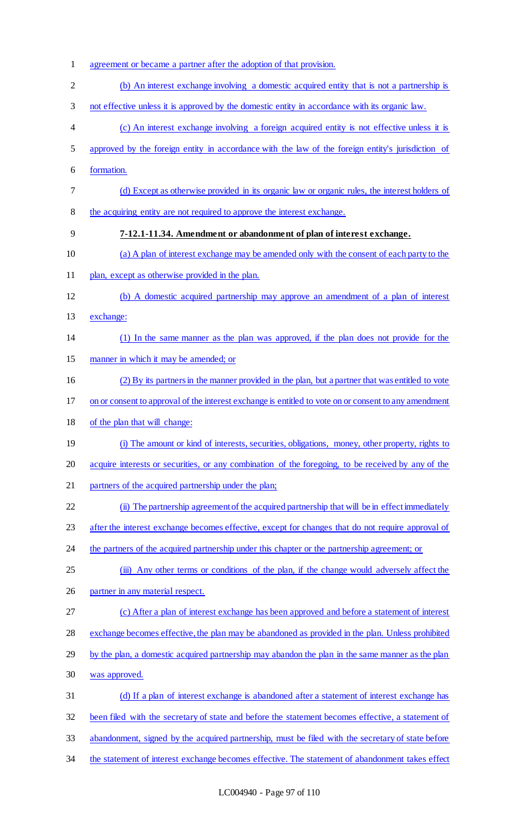agreement or became a partner after the adoption of that provision. 2 (b) An interest exchange involving a domestic acquired entity that is not a partnership is not effective unless it is approved by the domestic entity in accordance with its organic law. (c) An interest exchange involving a foreign acquired entity is not effective unless it is approved by the foreign entity in accordance with the law of the foreign entity's jurisdiction of formation. (d) Except as otherwise provided in its organic law or organic rules, the interest holders of 8 the acquiring entity are not required to approve the interest exchange. **7-12.1-11.34. Amendment or abandonment of plan of interest exchange.**  (a) A plan of interest exchange may be amended only with the consent of each party to the 11 plan, except as otherwise provided in the plan. (b) A domestic acquired partnership may approve an amendment of a plan of interest exchange: (1) In the same manner as the plan was approved, if the plan does not provide for the 15 manner in which it may be amended; or (2) By its partners in the manner provided in the plan, but a partner that was entitled to vote on or consent to approval of the interest exchange is entitled to vote on or consent to any amendment of the plan that will change: (i) The amount or kind of interests, securities, obligations, money, other property, rights to acquire interests or securities, or any combination of the foregoing, to be received by any of the 21 partners of the acquired partnership under the plan; (ii) The partnership agreement of the acquired partnership that will be in effect immediately 23 after the interest exchange becomes effective, except for changes that do not require approval of 24 the partners of the acquired partnership under this chapter or the partnership agreement; or (iii) Any other terms or conditions of the plan, if the change would adversely affect the partner in any material respect. (c) After a plan of interest exchange has been approved and before a statement of interest exchange becomes effective, the plan may be abandoned as provided in the plan. Unless prohibited by the plan, a domestic acquired partnership may abandon the plan in the same manner as the plan was approved. (d) If a plan of interest exchange is abandoned after a statement of interest exchange has been filed with the secretary of state and before the statement becomes effective, a statement of abandonment, signed by the acquired partnership, must be filed with the secretary of state before the statement of interest exchange becomes effective. The statement of abandonment takes effect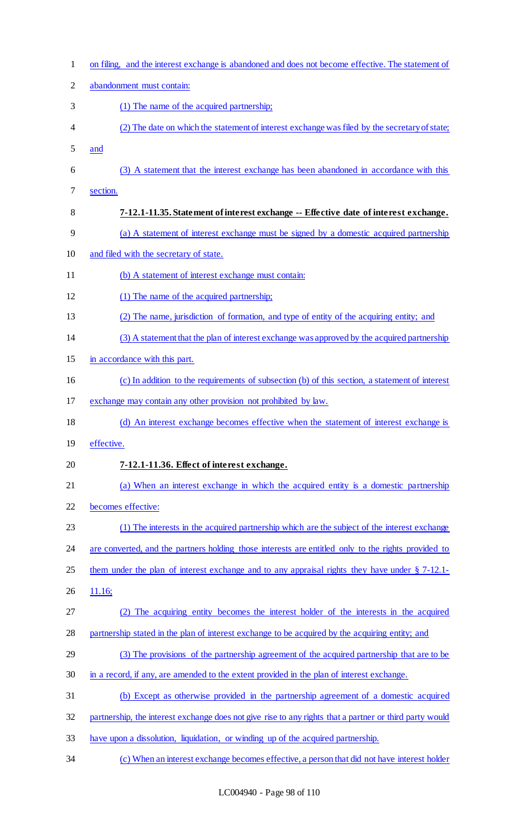| $\mathbf{1}$   | on filing, and the interest exchange is abandoned and does not become effective. The statement of       |
|----------------|---------------------------------------------------------------------------------------------------------|
| $\overline{2}$ | abandonment must contain:                                                                               |
| 3              | (1) The name of the acquired partnership;                                                               |
| 4              | (2) The date on which the statement of interest exchange was filed by the secretary of state;           |
| 5              | and                                                                                                     |
| 6              | (3) A statement that the interest exchange has been abandoned in accordance with this                   |
| 7              | section.                                                                                                |
| 8              | 7-12.1-11.35. Statement of interest exchange -- Effective date of interest exchange.                    |
| 9              | (a) A statement of interest exchange must be signed by a domestic acquired partnership                  |
| 10             | and filed with the secretary of state.                                                                  |
| 11             | (b) A statement of interest exchange must contain:                                                      |
| 12             | (1) The name of the acquired partnership;                                                               |
| 13             | (2) The name, jurisdiction of formation, and type of entity of the acquiring entity; and                |
| 14             | (3) A statement that the plan of interest exchange was approved by the acquired partnership             |
| 15             | in accordance with this part.                                                                           |
| 16             | (c) In addition to the requirements of subsection (b) of this section, a statement of interest          |
| 17             | exchange may contain any other provision not prohibited by law.                                         |
| 18             | (d) An interest exchange becomes effective when the statement of interest exchange is                   |
| 19             | effective.                                                                                              |
| 20             | 7-12.1-11.36. Effect of interest exchange.                                                              |
| 21             | (a) When an interest exchange in which the acquired entity is a domestic partnership                    |
| 22             | becomes effective:                                                                                      |
| 23             | (1) The interests in the acquired partnership which are the subject of the interest exchange            |
| 24             | are converted, and the partners holding those interests are entitled only to the rights provided to     |
| 25             | them under the plan of interest exchange and to any appraisal rights they have under $\S$ 7-12.1-       |
| 26             | 11.16;                                                                                                  |
| 27             | (2) The acquiring entity becomes the interest holder of the interests in the acquired                   |
| 28             | partnership stated in the plan of interest exchange to be acquired by the acquiring entity; and         |
| 29             | (3) The provisions of the partnership agreement of the acquired partnership that are to be              |
| 30             | in a record, if any, are amended to the extent provided in the plan of interest exchange.               |
| 31             | (b) Except as otherwise provided in the partnership agreement of a domestic acquired                    |
| 32             | partnership, the interest exchange does not give rise to any rights that a partner or third party would |
| 33             | have upon a dissolution, liquidation, or winding up of the acquired partnership.                        |
|                |                                                                                                         |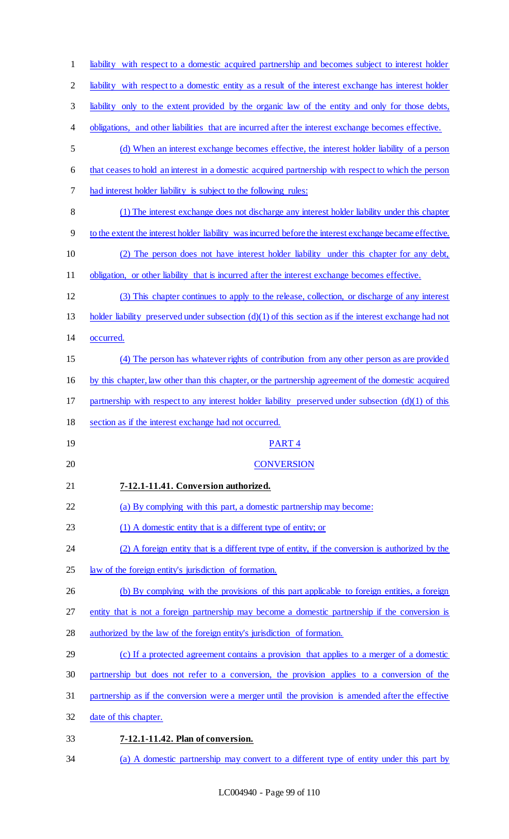| $\mathbf{1}$   | liability with respect to a domestic acquired partnership and becomes subject to interest holder         |
|----------------|----------------------------------------------------------------------------------------------------------|
| $\overline{2}$ | liability with respect to a domestic entity as a result of the interest exchange has interest holder     |
| 3              | liability only to the extent provided by the organic law of the entity and only for those debts,         |
| 4              | obligations, and other liabilities that are incurred after the interest exchange becomes effective.      |
| 5              | (d) When an interest exchange becomes effective, the interest holder liability of a person               |
| 6              | that ceases to hold an interest in a domestic acquired partnership with respect to which the person      |
| 7              | had interest holder liability is subject to the following rules:                                         |
| 8              | (1) The interest exchange does not discharge any interest holder liability under this chapter            |
| 9              | to the extent the interest holder liability was incurred before the interest exchange became effective.  |
| 10             | (2) The person does not have interest holder liability under this chapter for any debt,                  |
| 11             | obligation, or other liability that is incurred after the interest exchange becomes effective.           |
| 12             | (3) This chapter continues to apply to the release, collection, or discharge of any interest             |
| 13             | holder liability preserved under subsection $(d)(1)$ of this section as if the interest exchange had not |
| 14             | occurred.                                                                                                |
| 15             | (4) The person has whatever rights of contribution from any other person as are provided                 |
| 16             | by this chapter, law other than this chapter, or the partnership agreement of the domestic acquired      |
| 17             | partnership with respect to any interest holder liability preserved under subsection $(d)(1)$ of this    |
| 18             | section as if the interest exchange had not occurred.                                                    |
| 19             | PART <sub>4</sub>                                                                                        |
| 20             | <b>CONVERSION</b>                                                                                        |
| 21             | 7-12.1-11.41. Conversion authorized.                                                                     |
| 22             | (a) By complying with this part, a domestic partnership may become:                                      |
| 23             | (1) A domestic entity that is a different type of entity; or                                             |
| 24             | (2) A foreign entity that is a different type of entity, if the conversion is authorized by the          |
| 25             | law of the foreign entity's jurisdiction of formation.                                                   |
| 26             | (b) By complying with the provisions of this part applicable to foreign entities, a foreign              |
| 27             | entity that is not a foreign partnership may become a domestic partnership if the conversion is          |
| 28             | authorized by the law of the foreign entity's jurisdiction of formation.                                 |
| 29             | (c) If a protected agreement contains a provision that applies to a merger of a domestic                 |
| 30             | partnership but does not refer to a conversion, the provision applies to a conversion of the             |
| 31             | partnership as if the conversion were a merger until the provision is amended after the effective        |
| 32             | date of this chapter.                                                                                    |
| 33             | 7-12.1-11.42. Plan of conversion.                                                                        |
| 34             | (a) A domestic partnership may convert to a different type of entity under this part by                  |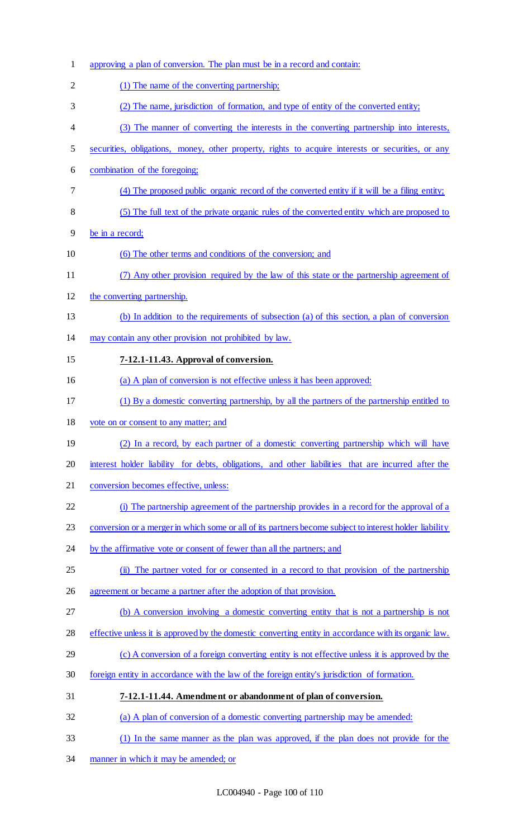| $\mathbf{1}$   | approving a plan of conversion. The plan must be in a record and contain:                               |
|----------------|---------------------------------------------------------------------------------------------------------|
| $\overline{2}$ | (1) The name of the converting partnership;                                                             |
| 3              | (2) The name, jurisdiction of formation, and type of entity of the converted entity;                    |
| 4              | (3) The manner of converting the interests in the converting partnership into interests,                |
| 5              | securities, obligations, money, other property, rights to acquire interests or securities, or any       |
| 6              | combination of the foregoing;                                                                           |
| 7              | (4) The proposed public organic record of the converted entity if it will be a filing entity;           |
| 8              | (5) The full text of the private organic rules of the converted entity which are proposed to            |
| 9              | be in a record;                                                                                         |
| 10             | (6) The other terms and conditions of the conversion; and                                               |
| 11             | (7) Any other provision required by the law of this state or the partnership agreement of               |
| 12             | the converting partnership.                                                                             |
| 13             | (b) In addition to the requirements of subsection (a) of this section, a plan of conversion             |
| 14             | may contain any other provision not prohibited by law.                                                  |
| 15             | 7-12.1-11.43. Approval of conversion.                                                                   |
| 16             | (a) A plan of conversion is not effective unless it has been approved:                                  |
| 17             | (1) By a domestic converting partnership, by all the partners of the partnership entitled to            |
| 18             | vote on or consent to any matter; and                                                                   |
| 19             | (2) In a record, by each partner of a domestic converting partnership which will have                   |
| 20             | interest holder liability for debts, obligations, and other liabilities that are incurred after the     |
| 21             | conversion becomes effective, unless:                                                                   |
| 22             | (i) The partnership agreement of the partnership provides in a record for the approval of a             |
| 23             | conversion or a merger in which some or all of its partners become subject to interest holder liability |
| 24             | by the affirmative vote or consent of fewer than all the partners; and                                  |
| 25             | (ii) The partner voted for or consented in a record to that provision of the partnership                |
| 26             | agreement or became a partner after the adoption of that provision.                                     |
| 27             | (b) A conversion involving a domestic converting entity that is not a partnership is not                |
| 28             | effective unless it is approved by the domestic converting entity in accordance with its organic law.   |
| 29             | (c) A conversion of a foreign converting entity is not effective unless it is approved by the           |
| 30             | foreign entity in accordance with the law of the foreign entity's jurisdiction of formation.            |
| 31             | 7-12.1-11.44. Amendment or abandonment of plan of conversion.                                           |
| 32             | (a) A plan of conversion of a domestic converting partnership may be amended:                           |
| 33             | (1) In the same manner as the plan was approved, if the plan does not provide for the                   |
| 34             | manner in which it may be amended; or                                                                   |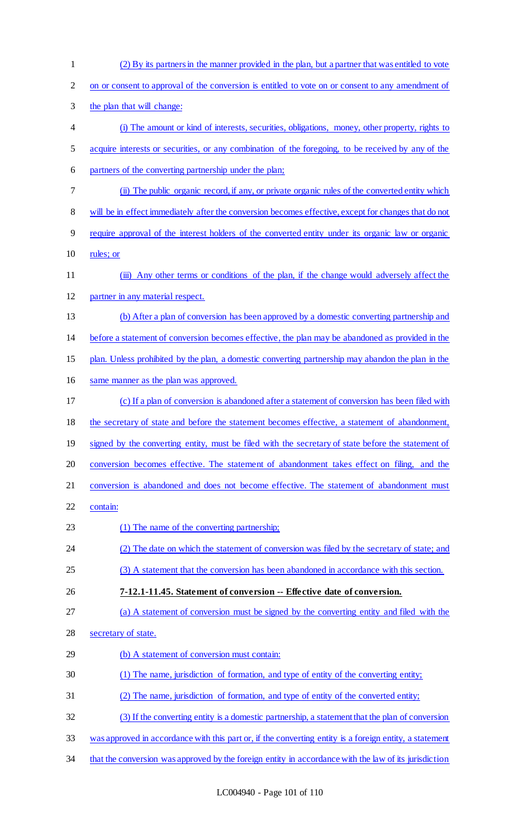| $\mathbf{1}$ | (2) By its partners in the manner provided in the plan, but a partner that was entitled to vote         |
|--------------|---------------------------------------------------------------------------------------------------------|
| 2            | on or consent to approval of the conversion is entitled to vote on or consent to any amendment of       |
| 3            | the plan that will change:                                                                              |
| 4            | (i) The amount or kind of interests, securities, obligations, money, other property, rights to          |
| 5            | acquire interests or securities, or any combination of the foregoing, to be received by any of the      |
| 6            | partners of the converting partnership under the plan;                                                  |
| 7            | (ii) The public organic record, if any, or private organic rules of the converted entity which          |
| 8            | will be in effect immediately after the conversion becomes effective, except for changes that do not    |
| 9            | require approval of the interest holders of the converted entity under its organic law or organic       |
| 10           | rules; or                                                                                               |
| 11           | (iii) Any other terms or conditions of the plan, if the change would adversely affect the               |
| 12           | partner in any material respect.                                                                        |
| 13           | (b) After a plan of conversion has been approved by a domestic converting partnership and               |
| 14           | before a statement of conversion becomes effective, the plan may be abandoned as provided in the        |
| 15           | plan. Unless prohibited by the plan, a domestic converting partnership may abandon the plan in the      |
| 16           | same manner as the plan was approved.                                                                   |
| 17           | (c) If a plan of conversion is abandoned after a statement of conversion has been filed with            |
| 18           | the secretary of state and before the statement becomes effective, a statement of abandonment,          |
| 19           | signed by the converting entity, must be filed with the secretary of state before the statement of      |
| 20           | conversion becomes effective. The statement of abandonment takes effect on filing, and the              |
| 21           | conversion is abandoned and does not become effective. The statement of abandonment must                |
| 22           | contain:                                                                                                |
| 23           | (1) The name of the converting partnership;                                                             |
| 24           | (2) The date on which the statement of conversion was filed by the secretary of state; and              |
| 25           | (3) A statement that the conversion has been abandoned in accordance with this section.                 |
| 26           | 7-12.1-11.45. Statement of conversion -- Effective date of conversion.                                  |
| 27           | (a) A statement of conversion must be signed by the converting entity and filed with the                |
| 28           | secretary of state.                                                                                     |
| 29           | (b) A statement of conversion must contain:                                                             |
| 30           | (1) The name, jurisdiction of formation, and type of entity of the converting entity;                   |
| 31           | (2) The name, jurisdiction of formation, and type of entity of the converted entity;                    |
| 32           | (3) If the converting entity is a domestic partnership, a statement that the plan of conversion         |
| 33           | was approved in accordance with this part or, if the converting entity is a foreign entity, a statement |
| 34           | that the conversion was approved by the foreign entity in accordance with the law of its jurisdiction   |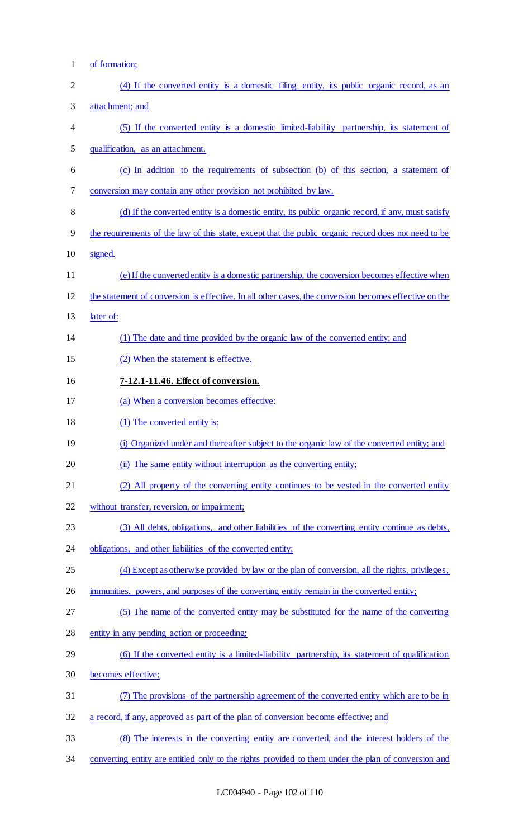of formation; (4) If the converted entity is a domestic filing entity, its public organic record, as an attachment; and (5) If the converted entity is a domestic limited-liability partnership, its statement of qualification, as an attachment. (c) In addition to the requirements of subsection (b) of this section, a statement of conversion may contain any other provision not prohibited by law. 8 (d) If the converted entity is a domestic entity, its public organic record, if any, must satisfy the requirements of the law of this state, except that the public organic record does not need to be signed. (e) If the converted entity is a domestic partnership, the conversion becomes effective when the statement of conversion is effective. In all other cases, the conversion becomes effective on the later of: (1) The date and time provided by the organic law of the converted entity; and 15 (2) When the statement is effective. **7-12.1-11.46. Effect of conversion.**  (a) When a conversion becomes effective: 18 (1) The converted entity is: 19 (i) Organized under and thereafter subject to the organic law of the converted entity; and (ii) The same entity without interruption as the converting entity; (2) All property of the converting entity continues to be vested in the converted entity without transfer, reversion, or impairment; (3) All debts, obligations, and other liabilities of the converting entity continue as debts, 24 obligations, and other liabilities of the converted entity; (4) Except as otherwise provided by law or the plan of conversion, all the rights, privileges, 26 immunities, powers, and purposes of the converting entity remain in the converted entity; (5) The name of the converted entity may be substituted for the name of the converting entity in any pending action or proceeding; (6) If the converted entity is a limited-liability partnership, its statement of qualification becomes effective; (7) The provisions of the partnership agreement of the converted entity which are to be in a record, if any, approved as part of the plan of conversion become effective; and (8) The interests in the converting entity are converted, and the interest holders of the converting entity are entitled only to the rights provided to them under the plan of conversion and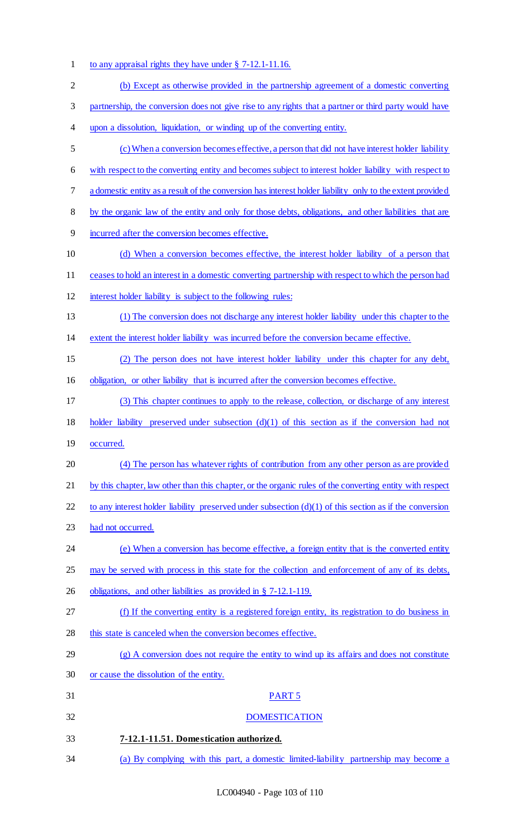- to any appraisal rights they have under § 7-12.1-11.16.
- (b) Except as otherwise provided in the partnership agreement of a domestic converting partnership, the conversion does not give rise to any rights that a partner or third party would have upon a dissolution, liquidation, or winding up of the converting entity. (c) When a conversion becomes effective, a person that did not have interest holder liability with respect to the converting entity and becomes subject to interest holder liability with respect to a domestic entity as a result of the conversion has interest holder liability only to the extent provided by the organic law of the entity and only for those debts, obligations, and other liabilities that are incurred after the conversion becomes effective. (d) When a conversion becomes effective, the interest holder liability of a person that ceases to hold an interest in a domestic converting partnership with respect to which the person had 12 interest holder liability is subject to the following rules: (1) The conversion does not discharge any interest holder liability under this chapter to the extent the interest holder liability was incurred before the conversion became effective. (2) The person does not have interest holder liability under this chapter for any debt, obligation, or other liability that is incurred after the conversion becomes effective. (3) This chapter continues to apply to the release, collection, or discharge of any interest holder liability preserved under subsection (d)(1) of this section as if the conversion had not occurred. (4) The person has whatever rights of contribution from any other person as are provided 21 by this chapter, law other than this chapter, or the organic rules of the converting entity with respect 22 to any interest holder liability preserved under subsection  $(d)(1)$  of this section as if the conversion had not occurred. (e) When a conversion has become effective, a foreign entity that is the converted entity may be served with process in this state for the collection and enforcement of any of its debts, 26 obligations, and other liabilities as provided in § 7-12.1-119. (f) If the converting entity is a registered foreign entity, its registration to do business in 28 this state is canceled when the conversion becomes effective. (g) A conversion does not require the entity to wind up its affairs and does not constitute or cause the dissolution of the entity. PART 5 DOMESTICATION **7-12.1-11.51. Domestication authorized.**  (a) By complying with this part, a domestic limited-liability partnership may become a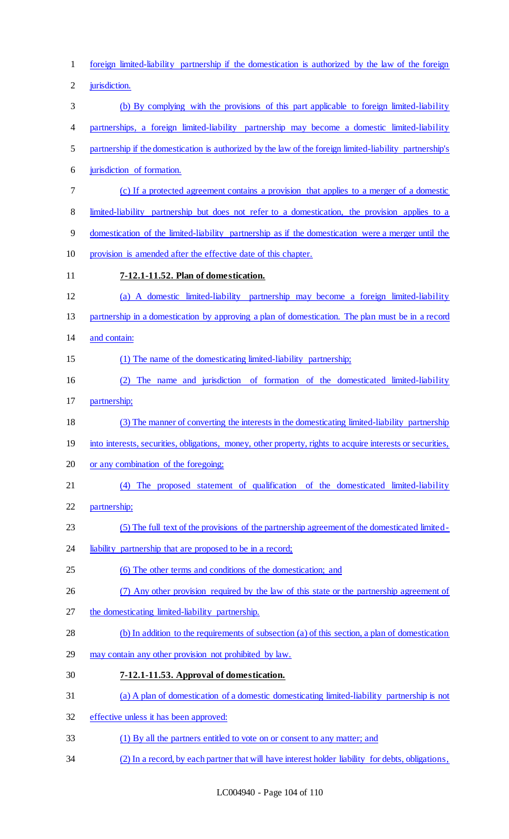foreign limited-liability partnership if the domestication is authorized by the law of the foreign jurisdiction. (b) By complying with the provisions of this part applicable to foreign limited-liability partnerships, a foreign limited-liability partnership may become a domestic limited-liability partnership if the domestication is authorized by the law of the foreign limited-liability partnership's jurisdiction of formation. (c) If a protected agreement contains a provision that applies to a merger of a domestic limited-liability partnership but does not refer to a domestication, the provision applies to a domestication of the limited-liability partnership as if the domestication were a merger until the provision is amended after the effective date of this chapter. **7-12.1-11.52. Plan of domestication.**  (a) A domestic limited-liability partnership may become a foreign limited-liability partnership in a domestication by approving a plan of domestication. The plan must be in a record and contain: (1) The name of the domesticating limited-liability partnership; (2) The name and jurisdiction of formation of the domesticated limited-liability partnership; (3) The manner of converting the interests in the domesticating limited-liability partnership 19 into interests, securities, obligations, money, other property, rights to acquire interests or securities, or any combination of the foregoing; (4) The proposed statement of qualification of the domesticated limited-liability partnership; (5) The full text of the provisions of the partnership agreement of the domesticated limited-24 liability partnership that are proposed to be in a record; (6) The other terms and conditions of the domestication; and (7) Any other provision required by the law of this state or the partnership agreement of the domesticating limited-liability partnership. 28 (b) In addition to the requirements of subsection (a) of this section, a plan of domestication may contain any other provision not prohibited by law. **7-12.1-11.53. Approval of domestication.**  (a) A plan of domestication of a domestic domesticating limited-liability partnership is not effective unless it has been approved: (1) By all the partners entitled to vote on or consent to any matter; and

(2) In a record, by each partner that will have interest holder liability for debts, obligations,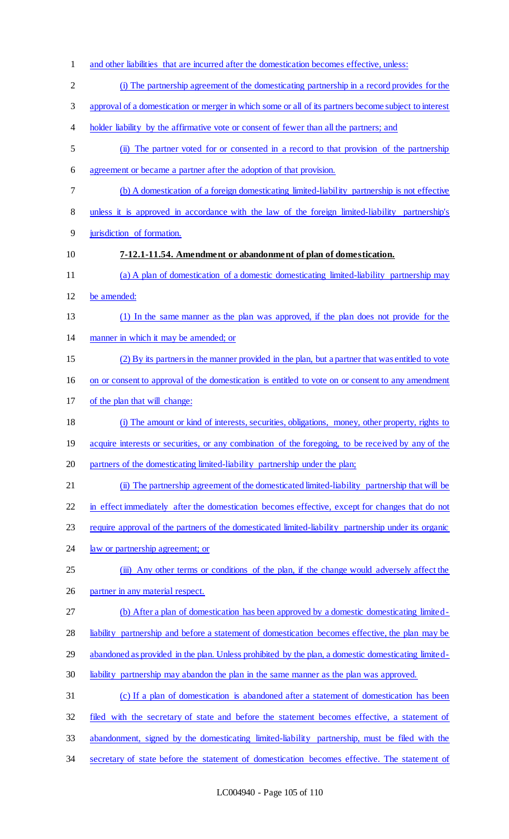and other liabilities that are incurred after the domestication becomes effective, unless: (i) The partnership agreement of the domesticating partnership in a record provides for the approval of a domestication or merger in which some or all of its partners become subject to interest 4 holder liability by the affirmative vote or consent of fewer than all the partners; and (ii) The partner voted for or consented in a record to that provision of the partnership agreement or became a partner after the adoption of that provision. (b) A domestication of a foreign domesticating limited-liability partnership is not effective unless it is approved in accordance with the law of the foreign limited-liability partnership's jurisdiction of formation. **7-12.1-11.54. Amendment or abandonment of plan of domestication.**  (a) A plan of domestication of a domestic domesticating limited-liability partnership may be amended: (1) In the same manner as the plan was approved, if the plan does not provide for the manner in which it may be amended; or (2) By its partners in the manner provided in the plan, but a partner that was entitled to vote on or consent to approval of the domestication is entitled to vote on or consent to any amendment of the plan that will change: (i) The amount or kind of interests, securities, obligations, money, other property, rights to 19 acquire interests or securities, or any combination of the foregoing, to be received by any of the partners of the domesticating limited-liability partnership under the plan; (ii) The partnership agreement of the domesticated limited-liability partnership that will be in effect immediately after the domestication becomes effective, except for changes that do not 23 require approval of the partners of the domesticated limited-liability partnership under its organic **law or partnership agreement; or**  (iii) Any other terms or conditions of the plan, if the change would adversely affect the partner in any material respect. (b) After a plan of domestication has been approved by a domestic domesticating limited-28 liability partnership and before a statement of domestication becomes effective, the plan may be abandoned as provided in the plan. Unless prohibited by the plan, a domestic domesticating limited- liability partnership may abandon the plan in the same manner as the plan was approved. (c) If a plan of domestication is abandoned after a statement of domestication has been filed with the secretary of state and before the statement becomes effective, a statement of abandonment, signed by the domesticating limited-liability partnership, must be filed with the secretary of state before the statement of domestication becomes effective. The statement of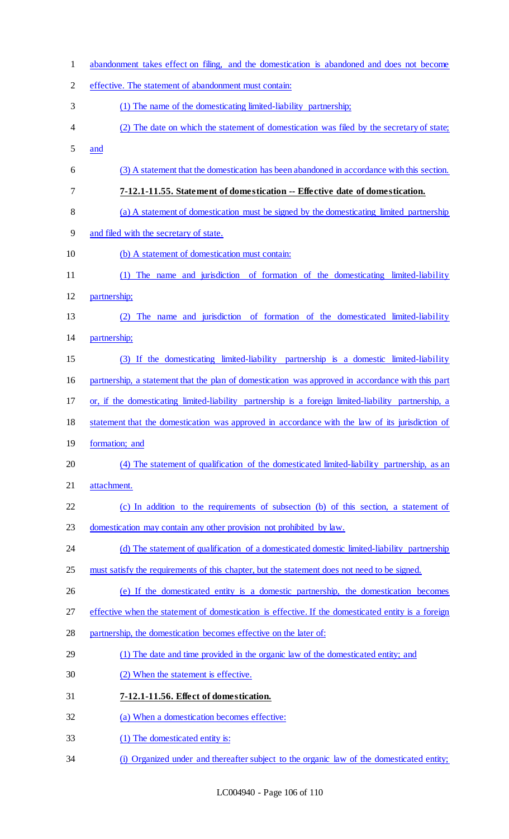| $\mathbf{1}$   | abandonment takes effect on filing, and the domestication is abandoned and does not become           |
|----------------|------------------------------------------------------------------------------------------------------|
| $\overline{2}$ | effective. The statement of abandonment must contain:                                                |
| 3              | (1) The name of the domesticating limited-liability partnership;                                     |
| $\overline{4}$ | (2) The date on which the statement of domestication was filed by the secretary of state;            |
| 5              | and                                                                                                  |
| 6              | (3) A statement that the domestication has been abandoned in accordance with this section.           |
| 7              | 7-12.1-11.55. Statement of domestication -- Effective date of domestication.                         |
| 8              | (a) A statement of domestication must be signed by the domesticating limited partnership             |
| 9              | and filed with the secretary of state.                                                               |
| 10             | (b) A statement of domestication must contain:                                                       |
| 11             | (1) The name and jurisdiction of formation of the domesticating limited-liability                    |
| 12             | partnership;                                                                                         |
| 13             | (2) The name and jurisdiction of formation of the domesticated limited-liability                     |
| 14             | partnership;                                                                                         |
| 15             | (3) If the domesticating limited-liability partnership is a domestic limited-liability               |
| 16             | partnership, a statement that the plan of domestication was approved in accordance with this part    |
| 17             | or, if the domesticating limited-liability partnership is a foreign limited-liability partnership, a |
| 18             | statement that the domestication was approved in accordance with the law of its jurisdiction of      |
| 19             | formation; and                                                                                       |
| 20             | (4) The statement of qualification of the domesticated limited-liability partnership, as an          |
| 21             | attachment.                                                                                          |
| 22             | (c) In addition to the requirements of subsection (b) of this section, a statement of                |
| 23             | domestication may contain any other provision not prohibited by law.                                 |
| 24             | (d) The statement of qualification of a domesticated domestic limited-liability partnership          |
| 25             | must satisfy the requirements of this chapter, but the statement does not need to be signed.         |
| 26             | (e) If the domesticated entity is a domestic partnership, the domestication becomes                  |
| 27             | effective when the statement of domestication is effective. If the domesticated entity is a foreign  |
| 28             | partnership, the domestication becomes effective on the later of:                                    |
| 29             | (1) The date and time provided in the organic law of the domesticated entity; and                    |
| 30             | (2) When the statement is effective.                                                                 |
| 31             | 7-12.1-11.56. Effect of domestication.                                                               |
| 32             | (a) When a domestication becomes effective:                                                          |
| 33             | (1) The domesticated entity is:                                                                      |
| 34             | (i) Organized under and thereafter subject to the organic law of the domesticated entity;            |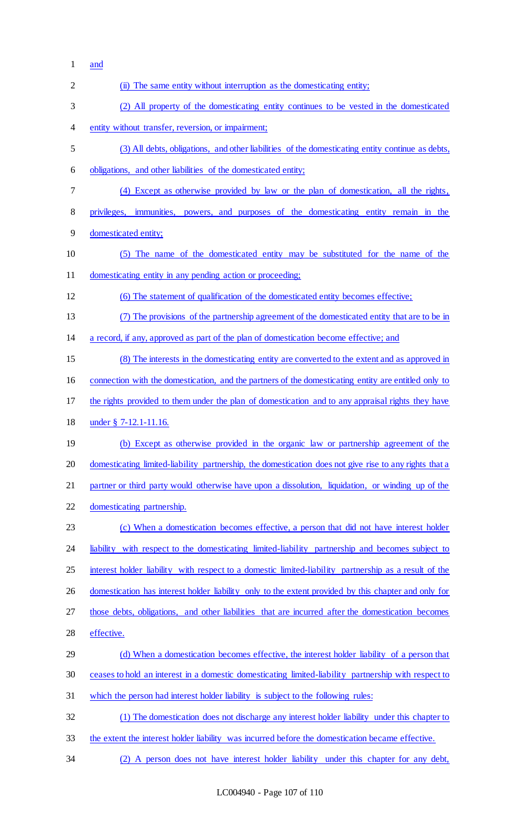and

| $\overline{2}$ | (ii) The same entity without interruption as the domesticating entity;                                 |
|----------------|--------------------------------------------------------------------------------------------------------|
| 3              | (2) All property of the domesticating entity continues to be vested in the domesticated                |
| $\overline{4}$ | entity without transfer, reversion, or impairment;                                                     |
| 5              | (3) All debts, obligations, and other liabilities of the domesticating entity continue as debts,       |
| 6              | obligations, and other liabilities of the domesticated entity;                                         |
| 7              | (4) Except as otherwise provided by law or the plan of domestication, all the rights,                  |
| 8              | privileges, immunities, powers, and purposes of the domesticating entity remain in the                 |
| 9              | domesticated entity;                                                                                   |
| 10             | (5) The name of the domesticated entity may be substituted for the name of the                         |
| 11             | domesticating entity in any pending action or proceeding;                                              |
| 12             | (6) The statement of qualification of the domesticated entity becomes effective;                       |
| 13             | The provisions of the partnership agreement of the domesticated entity that are to be in<br>(7)        |
| 14             | a record, if any, approved as part of the plan of domestication become effective; and                  |
| 15             | (8) The interests in the domesticating entity are converted to the extent and as approved in           |
| 16             | connection with the domestication, and the partners of the domesticating entity are entitled only to   |
| 17             | the rights provided to them under the plan of domestication and to any appraisal rights they have      |
| 18             | under $\S$ 7-12.1-11.16.                                                                               |
| 19             | (b) Except as otherwise provided in the organic law or partnership agreement of the                    |
| 20             | domesticating limited-liability partnership, the domestication does not give rise to any rights that a |
| 21             | partner or third party would otherwise have upon a dissolution, liquidation, or winding up of the      |
| 22             | domesticating partnership.                                                                             |
| 23             | (c) When a domestication becomes effective, a person that did not have interest holder                 |
| 24             | liability with respect to the domesticating limited-liability partnership and becomes subject to       |
| 25             | interest holder liability with respect to a domestic limited-liability partnership as a result of the  |
| 26             | domestication has interest holder liability only to the extent provided by this chapter and only for   |
| 27             | those debts, obligations, and other liabilities that are incurred after the domestication becomes      |
| 28             | effective.                                                                                             |
| 29             | (d) When a domestication becomes effective, the interest holder liability of a person that             |
| 30             | ceases to hold an interest in a domestic domesticating limited-liability partnership with respect to   |
| 31             | which the person had interest holder liability is subject to the following rules:                      |
| 32             | (1) The domestication does not discharge any interest holder liability under this chapter to           |
| 33             | the extent the interest holder liability was incurred before the domestication became effective.       |
| 34             | (2) A person does not have interest holder liability under this chapter for any debt,                  |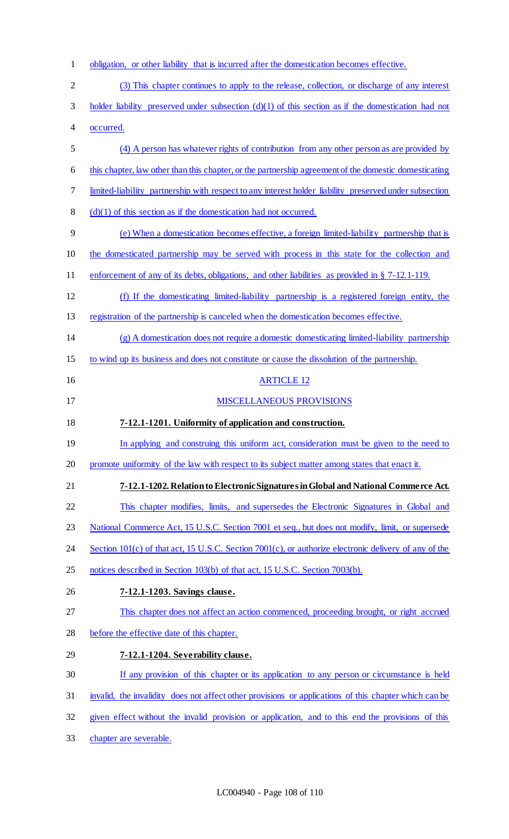| $\mathbf{1}$   | obligation, or other liability that is incurred after the domestication becomes effective.                 |
|----------------|------------------------------------------------------------------------------------------------------------|
| $\overline{c}$ | (3) This chapter continues to apply to the release, collection, or discharge of any interest               |
| 3              | holder liability preserved under subsection $(d)(1)$ of this section as if the domestication had not       |
| 4              | occurred.                                                                                                  |
| 5              | (4) A person has whatever rights of contribution from any other person as are provided by                  |
| 6              | this chapter, law other than this chapter, or the partnership agreement of the domestic domesticating      |
| 7              | limited-liability partnership with respect to any interest holder liability preserved under subsection     |
| 8              | $(d)(1)$ of this section as if the domestication had not occurred.                                         |
| 9              | (e) When a domestication becomes effective, a foreign limited-liability partnership that is                |
| 10             | the domesticated partnership may be served with process in this state for the collection and               |
| 11             | enforcement of any of its debts, obligations, and other liabilities as provided in § 7-12.1-119.           |
| 12             | (f) If the domesticating limited-liability partnership is a registered foreign entity, the                 |
| 13             | registration of the partnership is canceled when the domestication becomes effective.                      |
| 14             | (g) A domestication does not require a domestic domesticating limited-liability partnership                |
| 15             | to wind up its business and does not constitute or cause the dissolution of the partnership.               |
| 16             | <b>ARTICLE 12</b>                                                                                          |
| 17             | <b>MISCELLANEOUS PROVISIONS</b>                                                                            |
|                |                                                                                                            |
| 18             | 7-12.1-1201. Uniformity of application and construction.                                                   |
| 19             | In applying and construing this uniform act, consideration must be given to the need to                    |
| 20             | promote uniformity of the law with respect to its subject matter among states that enact it.               |
| 21             | 7-12.1-1202. Relation to Electronic Signatures in Global and National Commerce Act.                        |
| 22             | This chapter modifies, limits, and supersedes the Electronic Signatures in Global and                      |
|                | National Commerce Act, 15 U.S.C. Section 7001 et seq., but does not modify, limit, or supersede            |
|                | Section $101(c)$ of that act, 15 U.S.C. Section $7001(c)$ , or authorize electronic delivery of any of the |
| 23<br>24<br>25 | notices described in Section 103(b) of that act, 15 U.S.C. Section 7003(b).                                |
| 26             | 7-12.1-1203. Savings clause.                                                                               |
| 27             | This chapter does not affect an action commenced, proceeding brought, or right accrued                     |
| 28             | before the effective date of this chapter.                                                                 |
| 29             | 7-12.1-1204. Severability clause.                                                                          |
| 30             | If any provision of this chapter or its application to any person or circumstance is held                  |
| 31             | invalid, the invalidity does not affect other provisions or applications of this chapter which can be      |
| 32             | given effect without the invalid provision or application, and to this end the provisions of this          |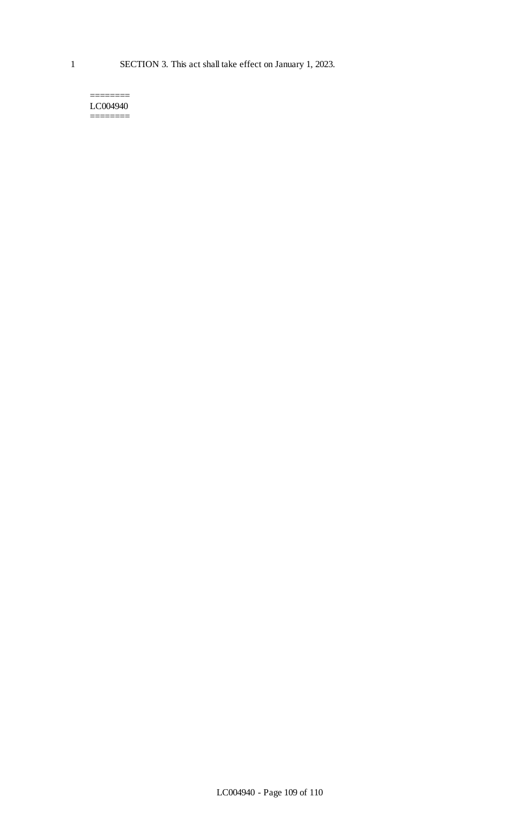======== LC004940 ========